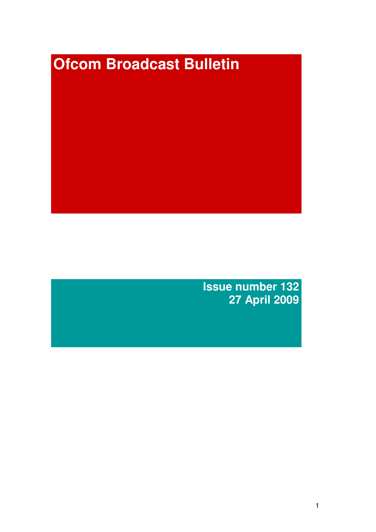# **Ofcom Broadcast Bulletin**

**Issue number 132 27 April 2009**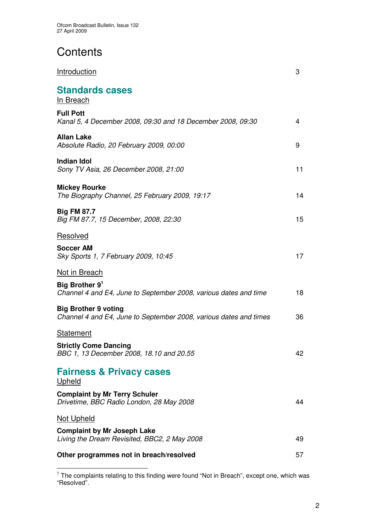# **Contents**

| Introduction                                                                                     | 3  |
|--------------------------------------------------------------------------------------------------|----|
| <b>Standards cases</b><br>In Breach                                                              |    |
| <b>Full Pott</b><br>Kanal 5, 4 December 2008, 09:30 and 18 December 2008, 09:30                  | 4  |
| <b>Allan Lake</b><br>Absolute Radio, 20 February 2009, 00:00                                     | 9  |
| <b>Indian Idol</b><br>Sony TV Asia, 26 December 2008, 21:00                                      | 11 |
| <b>Mickey Rourke</b><br>The Biography Channel, 25 February 2009, 19:17                           | 14 |
| <b>Big FM 87.7</b><br>Big FM 87.7, 15 December, 2008, 22:30                                      | 15 |
| Resolved                                                                                         |    |
| <b>Soccer AM</b><br>Sky Sports 1, 7 February 2009, 10:45                                         | 17 |
| <b>Not in Breach</b>                                                                             |    |
| Big Brother 9 <sup>1</sup><br>Channel 4 and E4, June to September 2008, various dates and time   | 18 |
| <b>Big Brother 9 voting</b><br>Channel 4 and E4, June to September 2008, various dates and times | 36 |
| <b>Statement</b>                                                                                 |    |
| <b>Strictly Come Dancing</b><br>BBC 1, 13 December 2008, 18.10 and 20.55                         | 42 |
| <b>Fairness &amp; Privacy cases</b><br>Upheld                                                    |    |
| <b>Complaint by Mr Terry Schuler</b><br>Drivetime, BBC Radio London, 28 May 2008                 | 44 |
| <b>Not Upheld</b>                                                                                |    |
| <b>Complaint by Mr Joseph Lake</b><br>Living the Dream Revisited, BBC2, 2 May 2008               | 49 |
| Other programmes not in breach/resolved                                                          | 57 |

<sup>&</sup>lt;sup>1</sup> The complaints relating to this finding were found "Not in Breach", except one, which was "Resolved".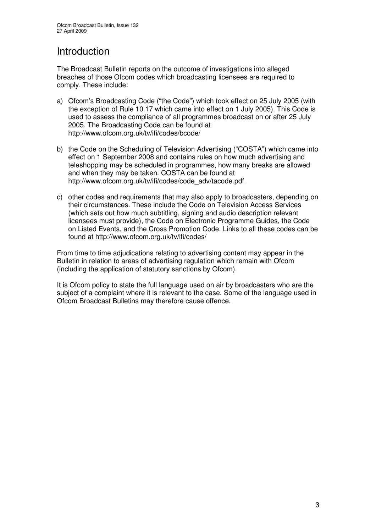# Introduction

The Broadcast Bulletin reports on the outcome of investigations into alleged breaches of those Ofcom codes which broadcasting licensees are required to comply. These include:

- a) Ofcom's Broadcasting Code ("the Code") which took effect on 25 July 2005 (with the exception of Rule 10.17 which came into effect on 1 July 2005). This Code is used to assess the compliance of all programmes broadcast on or after 25 July 2005. The Broadcasting Code can be found at http://www.ofcom.org.uk/tv/ifi/codes/bcode/
- b) the Code on the Scheduling of Television Advertising ("COSTA") which came into effect on 1 September 2008 and contains rules on how much advertising and teleshopping may be scheduled in programmes, how many breaks are allowed and when they may be taken. COSTA can be found at http://www.ofcom.org.uk/tv/ifi/codes/code\_adv/tacode.pdf.
- c) other codes and requirements that may also apply to broadcasters, depending on their circumstances. These include the Code on Television Access Services (which sets out how much subtitling, signing and audio description relevant licensees must provide), the Code on Electronic Programme Guides, the Code on Listed Events, and the Cross Promotion Code. Links to all these codes can be found at http://www.ofcom.org.uk/tv/ifi/codes/

From time to time adjudications relating to advertising content may appear in the Bulletin in relation to areas of advertising regulation which remain with Ofcom (including the application of statutory sanctions by Ofcom).

It is Ofcom policy to state the full language used on air by broadcasters who are the subject of a complaint where it is relevant to the case. Some of the language used in Ofcom Broadcast Bulletins may therefore cause offence.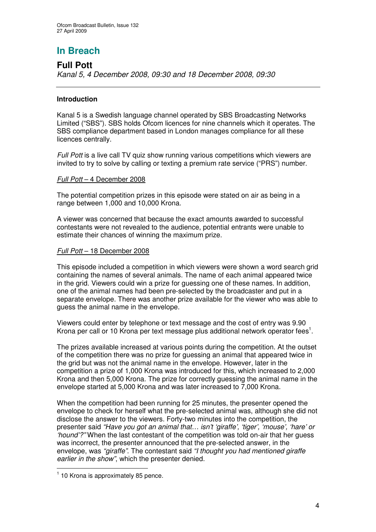# **In Breach**

# **Full Pott**

*Kanal 5, 4 December 2008, 09:30 and 18 December 2008, 09:30*

### **Introduction**

Kanal 5 is a Swedish language channel operated by SBS Broadcasting Networks Limited ("SBS"). SBS holds Ofcom licences for nine channels which it operates. The SBS compliance department based in London manages compliance for all these licences centrally.

*Full Pott* is a live call TV quiz show running various competitions which viewers are invited to try to solve by calling or texting a premium rate service ("PRS") number.

### *Full Pott* – 4 December 2008

The potential competition prizes in this episode were stated on air as being in a range between 1,000 and 10,000 Krona.

A viewer was concerned that because the exact amounts awarded to successful contestants were not revealed to the audience, potential entrants were unable to estimate their chances of winning the maximum prize.

### *Full Pott* – 18 December 2008

This episode included a competition in which viewers were shown a word search grid containing the names of several animals. The name of each animal appeared twice in the grid. Viewers could win a prize for guessing one of these names. In addition, one of the animal names had been pre-selected by the broadcaster and put in a separate envelope. There was another prize available for the viewer who was able to guess the animal name in the envelope.

Viewers could enter by telephone or text message and the cost of entry was 9.90 Krona per call or 10 Krona per text message plus additional network operator fees<sup>1</sup>.

The prizes available increased at various points during the competition. At the outset of the competition there was no prize for guessing an animal that appeared twice in the grid but was not the animal name in the envelope. However, later in the competition a prize of 1,000 Krona was introduced for this, which increased to 2,000 Krona and then 5,000 Krona. The prize for correctly guessing the animal name in the envelope started at 5,000 Krona and was later increased to 7,000 Krona.

When the competition had been running for 25 minutes, the presenter opened the envelope to check for herself what the pre-selected animal was, although she did not disclose the answer to the viewers. Forty-two minutes into the competition, the presenter said *"Have you got an animal that… isn't 'giraffe', 'tiger', 'mouse', 'hare' or 'hound'?"* When the last contestant of the competition was told on-air that her guess was incorrect, the presenter announced that the pre-selected answer, in the envelope, was *"giraffe"*. The contestant said *"I thought you had mentioned giraffe earlier in the show"*, which the presenter denied.

<sup>&</sup>lt;sup>1</sup> 10 Krona is approximately 85 pence.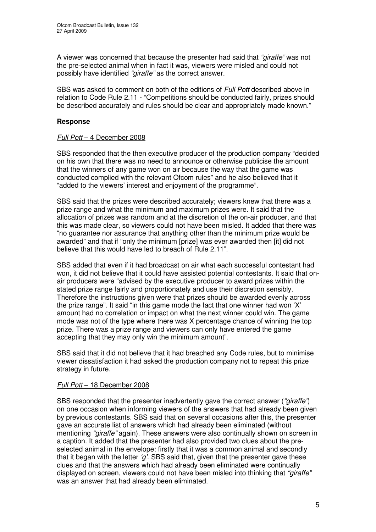A viewer was concerned that because the presenter had said that *"giraffe"* was not the pre-selected animal when in fact it was, viewers were misled and could not possibly have identified *"giraffe"* as the correct answer.

SBS was asked to comment on both of the editions of *Full Pott* described above in relation to Code Rule 2.11 - "Competitions should be conducted fairly, prizes should be described accurately and rules should be clear and appropriately made known."

### **Response**

### *Full Pott* – 4 December 2008

SBS responded that the then executive producer of the production company "decided on his own that there was no need to announce or otherwise publicise the amount that the winners of any game won on air because the way that the game was conducted complied with the relevant Ofcom rules" and he also believed that it "added to the viewers' interest and enjoyment of the programme".

SBS said that the prizes were described accurately; viewers knew that there was a prize range and what the minimum and maximum prizes were. It said that the allocation of prizes was random and at the discretion of the on-air producer, and that this was made clear, so viewers could not have been misled. It added that there was "no guarantee nor assurance that anything other than the minimum prize would be awarded" and that if "only the minimum [prize] was ever awarded then [it] did not believe that this would have led to breach of Rule 2.11".

SBS added that even if it had broadcast on air what each successful contestant had won, it did not believe that it could have assisted potential contestants. It said that onair producers were "advised by the executive producer to award prizes within the stated prize range fairly and proportionately and use their discretion sensibly. Therefore the instructions given were that prizes should be awarded evenly across the prize range". It said "in this game mode the fact that one winner had won 'X' amount had no correlation or impact on what the next winner could win. The game mode was not of the type where there was X percentage chance of winning the top prize. There was a prize range and viewers can only have entered the game accepting that they may only win the minimum amount".

SBS said that it did not believe that it had breached any Code rules, but to minimise viewer dissatisfaction it had asked the production company not to repeat this prize strategy in future.

### *Full Pott* – 18 December 2008

SBS responded that the presenter inadvertently gave the correct answer (*"giraffe"*) on one occasion when informing viewers of the answers that had already been given by previous contestants. SBS said that on several occasions after this, the presenter gave an accurate list of answers which had already been eliminated (without mentioning *"giraffe"* again). These answers were also continually shown on screen in a caption. It added that the presenter had also provided two clues about the preselected animal in the envelope: firstly that it was a common animal and secondly that it began with the letter *'g'*. SBS said that, given that the presenter gave these clues and that the answers which had already been eliminated were continually displayed on screen, viewers could not have been misled into thinking that *"giraffe"* was an answer that had already been eliminated.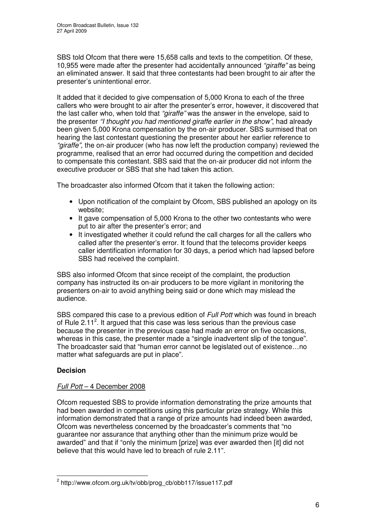SBS told Ofcom that there were 15,658 calls and texts to the competition. Of these, 10,955 were made after the presenter had accidentally announced *"giraffe"* as being an eliminated answer. It said that three contestants had been brought to air after the presenter's unintentional error.

It added that it decided to give compensation of 5,000 Krona to each of the three callers who were brought to air after the presenter's error, however, it discovered that the last caller who, when told that *"giraffe"* was the answer in the envelope, said to the presenter *"I thought you had mentioned giraffe earlier in the show"*, had already been given 5,000 Krona compensation by the on-air producer. SBS surmised that on hearing the last contestant questioning the presenter about her earlier reference to *"giraffe"*, the on-air producer (who has now left the production company) reviewed the programme, realised that an error had occurred during the competition and decided to compensate this contestant. SBS said that the on-air producer did not inform the executive producer or SBS that she had taken this action.

The broadcaster also informed Ofcom that it taken the following action:

- Upon notification of the complaint by Ofcom, SBS published an apology on its website;
- It gave compensation of 5,000 Krona to the other two contestants who were put to air after the presenter's error; and
- It investigated whether it could refund the call charges for all the callers who called after the presenter's error. It found that the telecoms provider keeps caller identification information for 30 days, a period which had lapsed before SBS had received the complaint.

SBS also informed Ofcom that since receipt of the complaint, the production company has instructed its on-air producers to be more vigilant in monitoring the presenters on-air to avoid anything being said or done which may mislead the audience.

SBS compared this case to a previous edition of *Full Pott* which was found in breach of Rule 2.11<sup>2</sup>. It argued that this case was less serious than the previous case because the presenter in the previous case had made an error on five occasions, whereas in this case, the presenter made a "single inadvertent slip of the tongue". The broadcaster said that "human error cannot be legislated out of existence…no matter what safeguards are put in place".

### **Decision**

### *Full Pott* – 4 December 2008

Ofcom requested SBS to provide information demonstrating the prize amounts that had been awarded in competitions using this particular prize strategy. While this information demonstrated that a range of prize amounts had indeed been awarded, Ofcom was nevertheless concerned by the broadcaster's comments that "no guarantee nor assurance that anything other than the minimum prize would be awarded" and that if "only the minimum [prize] was ever awarded then [it] did not believe that this would have led to breach of rule 2.11".

<sup>&</sup>lt;sup>2</sup> http://www.ofcom.org.uk/tv/obb/prog\_cb/obb117/issue117.pdf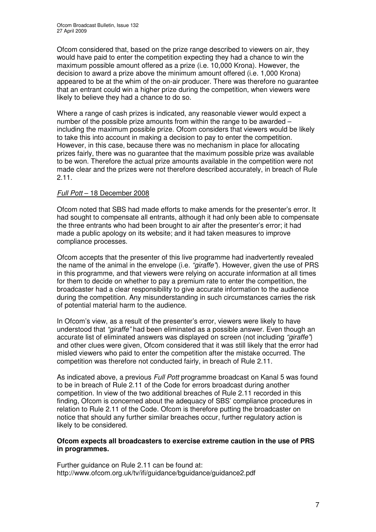Ofcom considered that, based on the prize range described to viewers on air, they would have paid to enter the competition expecting they had a chance to win the maximum possible amount offered as a prize (i.e. 10,000 Krona). However, the decision to award a prize above the minimum amount offered (i.e. 1,000 Krona) appeared to be at the whim of the on-air producer. There was therefore no guarantee that an entrant could win a higher prize during the competition, when viewers were likely to believe they had a chance to do so.

Where a range of cash prizes is indicated, any reasonable viewer would expect a number of the possible prize amounts from within the range to be awarded – including the maximum possible prize. Ofcom considers that viewers would be likely to take this into account in making a decision to pay to enter the competition. However, in this case, because there was no mechanism in place for allocating prizes fairly, there was no guarantee that the maximum possible prize was available to be won. Therefore the actual prize amounts available in the competition were not made clear and the prizes were not therefore described accurately, in breach of Rule 2.11.

### *Full Pott* – 18 December 2008

Ofcom noted that SBS had made efforts to make amends for the presenter's error. It had sought to compensate all entrants, although it had only been able to compensate the three entrants who had been brought to air after the presenter's error; it had made a public apology on its website; and it had taken measures to improve compliance processes.

Ofcom accepts that the presenter of this live programme had inadvertently revealed the name of the animal in the envelope (i.e. *"giraffe"*). However, given the use of PRS in this programme, and that viewers were relying on accurate information at all times for them to decide on whether to pay a premium rate to enter the competition, the broadcaster had a clear responsibility to give accurate information to the audience during the competition. Any misunderstanding in such circumstances carries the risk of potential material harm to the audience.

In Ofcom's view, as a result of the presenter's error, viewers were likely to have understood that *"giraffe"* had been eliminated as a possible answer. Even though an accurate list of eliminated answers was displayed on screen (not including *"giraffe"*) and other clues were given, Ofcom considered that it was still likely that the error had misled viewers who paid to enter the competition after the mistake occurred. The competition was therefore not conducted fairly, in breach of Rule 2.11.

As indicated above, a previous *Full Pott* programme broadcast on Kanal 5 was found to be in breach of Rule 2.11 of the Code for errors broadcast during another competition. In view of the two additional breaches of Rule 2.11 recorded in this finding, Ofcom is concerned about the adequacy of SBS' compliance procedures in relation to Rule 2.11 of the Code. Ofcom is therefore putting the broadcaster on notice that should any further similar breaches occur, further regulatory action is likely to be considered.

### **Ofcom expects all broadcasters to exercise extreme caution in the use of PRS in programmes.**

Further guidance on Rule 2.11 can be found at: http://www.ofcom.org.uk/tv/ifi/guidance/bguidance/guidance2.pdf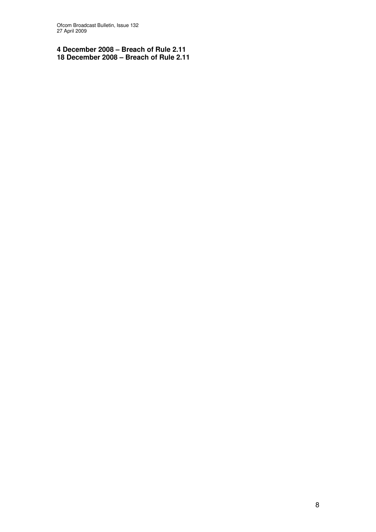Ofcom Broadcast Bulletin, Issue 132 April 2009

 **December 2008 – Breach of Rule 2.11 December 2008 – Breach of Rule 2.11**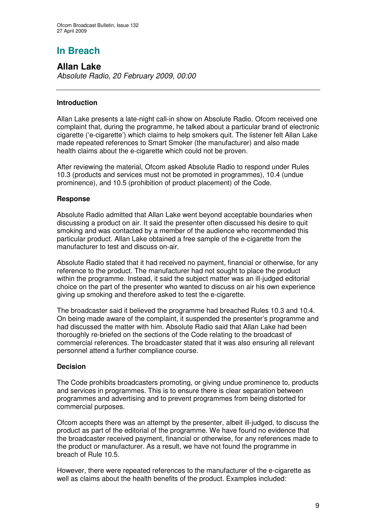# **In Breach**

**Allan Lake** *Absolute Radio, 20 February 2009, 00:00*

### **Introduction**

Allan Lake presents a late-night call-in show on Absolute Radio. Ofcom received one complaint that, during the programme, he talked about a particular brand of electronic cigarette ('e-cigarette') which claims to help smokers quit. The listener felt Allan Lake made repeated references to Smart Smoker (the manufacturer) and also made health claims about the e-cigarette which could not be proven.

After reviewing the material, Ofcom asked Absolute Radio to respond under Rules 10.3 (products and services must not be promoted in programmes), 10.4 (undue prominence), and 10.5 (prohibition of product placement) of the Code.

### **Response**

Absolute Radio admitted that Allan Lake went beyond acceptable boundaries when discussing a product on air. It said the presenter often discussed his desire to quit smoking and was contacted by a member of the audience who recommended this particular product. Allan Lake obtained a free sample of the e-cigarette from the manufacturer to test and discuss on-air.

Absolute Radio stated that it had received no payment, financial or otherwise, for any reference to the product. The manufacturer had not sought to place the product within the programme. Instead, it said the subject matter was an ill-judged editorial choice on the part of the presenter who wanted to discuss on air his own experience giving up smoking and therefore asked to test the e-cigarette.

The broadcaster said it believed the programme had breached Rules 10.3 and 10.4. On being made aware of the complaint, it suspended the presenter's programme and had discussed the matter with him. Absolute Radio said that Allan Lake had been thoroughly re-briefed on the sections of the Code relating to the broadcast of commercial references. The broadcaster stated that it was also ensuring all relevant personnel attend a further compliance course.

### **Decision**

The Code prohibits broadcasters promoting, or giving undue prominence to, products and services in programmes. This is to ensure there is clear separation between programmes and advertising and to prevent programmes from being distorted for commercial purposes.

Ofcom accepts there was an attempt by the presenter, albeit ill-judged, to discuss the product as part of the editorial of the programme. We have found no evidence that the broadcaster received payment, financial or otherwise, for any references made to the product or manufacturer. As a result, we have not found the programme in breach of Rule 10.5.

However, there were repeated references to the manufacturer of the e-cigarette as well as claims about the health benefits of the product. Examples included: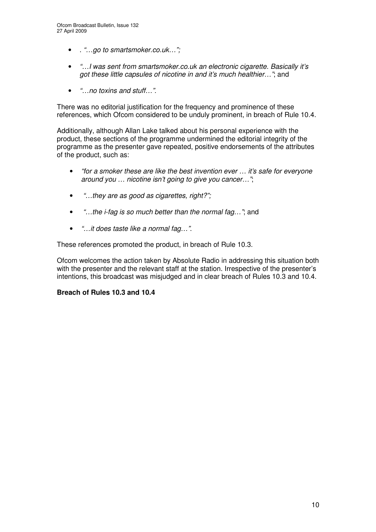- . *"…go to smartsmoker.co.uk…";*
- *"…I was sent from smartsmoker.co.uk an electronic cigarette. Basically it's got these little capsules of nicotine in and it's much healthier…"*; and
- *"…no toxins and stuff…".*

There was no editorial justification for the frequency and prominence of these references, which Ofcom considered to be unduly prominent, in breach of Rule 10.4.

Additionally, although Allan Lake talked about his personal experience with the product, these sections of the programme undermined the editorial integrity of the programme as the presenter gave repeated, positive endorsements of the attributes of the product, such as:

- *"for a smoker these are like the best invention ever … it's safe for everyone around you … nicotine isn't going to give you cancer…"*;
- *"…they are as good as cigarettes, right?";*
- *"…the i-fag is so much better than the normal fag…"*; and
- *"…it does taste like a normal fag…"*.

These references promoted the product, in breach of Rule 10.3.

Ofcom welcomes the action taken by Absolute Radio in addressing this situation both with the presenter and the relevant staff at the station. Irrespective of the presenter's intentions, this broadcast was misjudged and in clear breach of Rules 10.3 and 10.4.

### **Breach of Rules 10.3 and 10.4**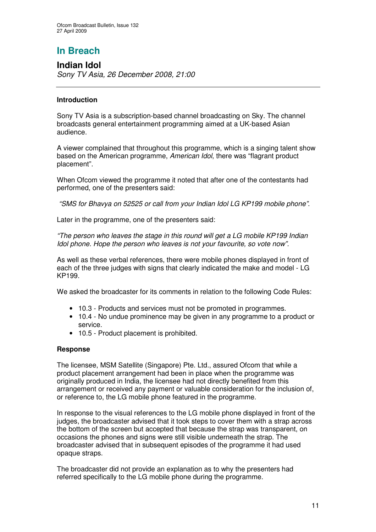# **In Breach**

**Indian Idol** *Sony TV Asia, 26 December 2008, 21:00*

### **Introduction**

Sony TV Asia is a subscription-based channel broadcasting on Sky. The channel broadcasts general entertainment programming aimed at a UK-based Asian audience.

A viewer complained that throughout this programme, which is a singing talent show based on the American programme, *American Idol*, there was "flagrant product placement".

When Ofcom viewed the programme it noted that after one of the contestants had performed, one of the presenters said:

*"SMS for Bhavya on 52525 or call from your Indian Idol LG KP199 mobile phone"*.

Later in the programme, one of the presenters said:

*"The person who leaves the stage in this round will get a LG mobile KP199 Indian Idol phone. Hope the person who leaves is not your favourite, so vote now".*

As well as these verbal references, there were mobile phones displayed in front of each of the three judges with signs that clearly indicated the make and model - LG KP199.

We asked the broadcaster for its comments in relation to the following Code Rules:

- 10.3 Products and services must not be promoted in programmes.
- 10.4 No undue prominence may be given in any programme to a product or service.
- 10.5 Product placement is prohibited.

### **Response**

The licensee, MSM Satellite (Singapore) Pte. Ltd., assured Ofcom that while a product placement arrangement had been in place when the programme was originally produced in India, the licensee had not directly benefited from this arrangement or received any payment or valuable consideration for the inclusion of, or reference to, the LG mobile phone featured in the programme.

In response to the visual references to the LG mobile phone displayed in front of the judges, the broadcaster advised that it took steps to cover them with a strap across the bottom of the screen but accepted that because the strap was transparent, on occasions the phones and signs were still visible underneath the strap. The broadcaster advised that in subsequent episodes of the programme it had used opaque straps.

The broadcaster did not provide an explanation as to why the presenters had referred specifically to the LG mobile phone during the programme.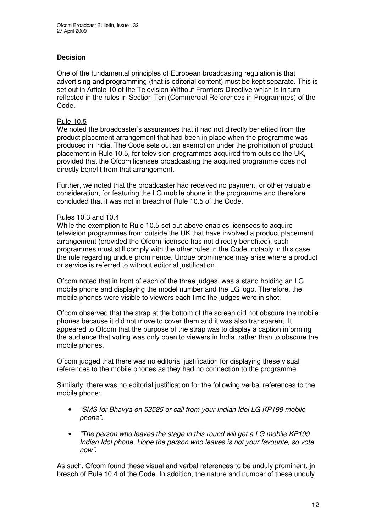### **Decision**

One of the fundamental principles of European broadcasting regulation is that advertising and programming (that is editorial content) must be kept separate. This is set out in Article 10 of the Television Without Frontiers Directive which is in turn reflected in the rules in Section Ten (Commercial References in Programmes) of the Code.

### Rule 10.5

We noted the broadcaster's assurances that it had not directly benefited from the product placement arrangement that had been in place when the programme was produced in India. The Code sets out an exemption under the prohibition of product placement in Rule 10.5, for television programmes acquired from outside the UK, provided that the Ofcom licensee broadcasting the acquired programme does not directly benefit from that arrangement.

Further, we noted that the broadcaster had received no payment, or other valuable consideration, for featuring the LG mobile phone in the programme and therefore concluded that it was not in breach of Rule 10.5 of the Code.

### Rules 10.3 and 10.4

While the exemption to Rule 10.5 set out above enables licensees to acquire television programmes from outside the UK that have involved a product placement arrangement (provided the Ofcom licensee has not directly benefited), such programmes must still comply with the other rules in the Code, notably in this case the rule regarding undue prominence. Undue prominence may arise where a product or service is referred to without editorial justification.

Ofcom noted that in front of each of the three judges, was a stand holding an LG mobile phone and displaying the model number and the LG logo. Therefore, the mobile phones were visible to viewers each time the judges were in shot.

Ofcom observed that the strap at the bottom of the screen did not obscure the mobile phones because it did not move to cover them and it was also transparent. It appeared to Ofcom that the purpose of the strap was to display a caption informing the audience that voting was only open to viewers in India, rather than to obscure the mobile phones.

Ofcom judged that there was no editorial justification for displaying these visual references to the mobile phones as they had no connection to the programme.

Similarly, there was no editorial justification for the following verbal references to the mobile phone:

- *"SMS for Bhavya on 52525 or call from your Indian Idol LG KP199 mobile phone"*.
- *"The person who leaves the stage in this round will get a LG mobile KP199 Indian Idol phone. Hope the person who leaves is not your favourite, so vote now".*

As such, Ofcom found these visual and verbal references to be unduly prominent, jn breach of Rule 10.4 of the Code. In addition, the nature and number of these unduly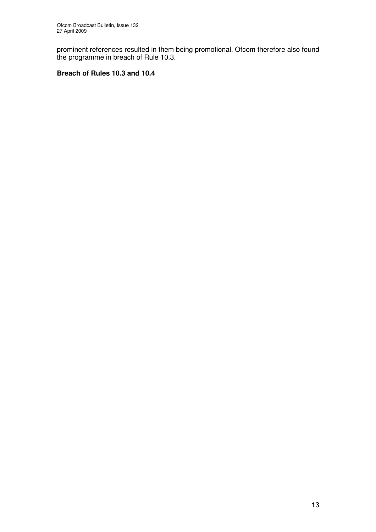prominent references resulted in them being promotional. Ofcom therefore also found the programme in breach of Rule 10.3.

### **Breach of Rules 10.3 and 10.4**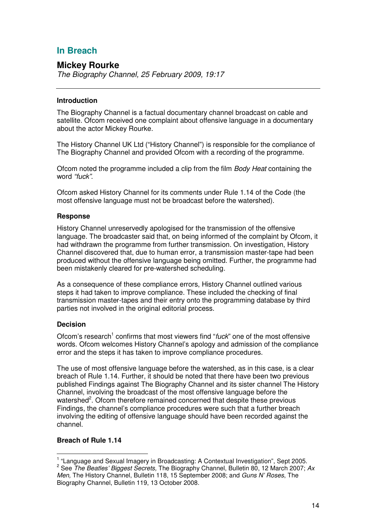# **In Breach**

### **Mickey Rourke**

*The Biography Channel, 25 February 2009, 19:17*

### **Introduction**

The Biography Channel is a factual documentary channel broadcast on cable and satellite. Ofcom received one complaint about offensive language in a documentary about the actor Mickey Rourke.

The History Channel UK Ltd ("History Channel") is responsible for the compliance of The Biography Channel and provided Ofcom with a recording of the programme.

Ofcom noted the programme included a clip from the film *Body Heat* containing the word *"fuck"*.

Ofcom asked History Channel for its comments under Rule 1.14 of the Code (the most offensive language must not be broadcast before the watershed).

### **Response**

History Channel unreservedly apologised for the transmission of the offensive language. The broadcaster said that, on being informed of the complaint by Ofcom, it had withdrawn the programme from further transmission. On investigation, History Channel discovered that, due to human error, a transmission master-tape had been produced without the offensive language being omitted. Further, the programme had been mistakenly cleared for pre-watershed scheduling.

As a consequence of these compliance errors, History Channel outlined various steps it had taken to improve compliance. These included the checking of final transmission master-tapes and their entry onto the programming database by third parties not involved in the original editorial process.

### **Decision**

Ofcom's research<sup>1</sup> confirms that most viewers find "*fuck*" one of the most offensive words. Ofcom welcomes History Channel's apology and admission of the compliance error and the steps it has taken to improve compliance procedures.

The use of most offensive language before the watershed, as in this case, is a clear breach of Rule 1.14. Further, it should be noted that there have been two previous published Findings against The Biography Channel and its sister channel The History Channel, involving the broadcast of the most offensive language before the watershed<sup>2</sup>. Ofcom therefore remained concerned that despite these previous Findings, the channel's compliance procedures were such that a further breach involving the editing of offensive language should have been recorded against the channel.

### **Breach of Rule 1.14**

<sup>&</sup>lt;sup>1</sup> "Language and Sexual Imagery in Broadcasting: A Contextual Investigation", Sept 2005.

<sup>2</sup> See *The Beatles' Biggest Secrets,* The Biography Channel, Bulletin 80, 12 March 2007; *Ax Men,* The History Channel, Bulletin 118, 15 September 2008; and *Guns N' Roses*, The Biography Channel, Bulletin 119, 13 October 2008.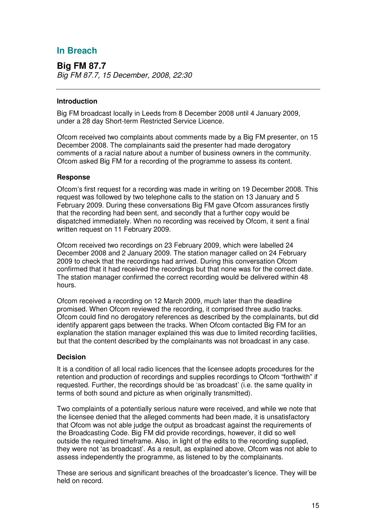# **In Breach**

**Big FM 87.7** *Big FM 87.7, 15 December, 2008, 22:30*

### **Introduction**

Big FM broadcast locally in Leeds from 8 December 2008 until 4 January 2009, under a 28 day Short-term Restricted Service Licence.

Ofcom received two complaints about comments made by a Big FM presenter, on 15 December 2008. The complainants said the presenter had made derogatory comments of a racial nature about a number of business owners in the community. Ofcom asked Big FM for a recording of the programme to assess its content.

### **Response**

Ofcom's first request for a recording was made in writing on 19 December 2008. This request was followed by two telephone calls to the station on 13 January and 5 February 2009. During these conversations Big FM gave Ofcom assurances firstly that the recording had been sent, and secondly that a further copy would be dispatched immediately. When no recording was received by Ofcom, it sent a final written request on 11 February 2009.

Ofcom received two recordings on 23 February 2009, which were labelled 24 December 2008 and 2 January 2009. The station manager called on 24 February 2009 to check that the recordings had arrived. During this conversation Ofcom confirmed that it had received the recordings but that none was for the correct date. The station manager confirmed the correct recording would be delivered within 48 hours.

Ofcom received a recording on 12 March 2009, much later than the deadline promised. When Ofcom reviewed the recording, it comprised three audio tracks. Ofcom could find no derogatory references as described by the complainants, but did identify apparent gaps between the tracks. When Ofcom contacted Big FM for an explanation the station manager explained this was due to limited recording facilities, but that the content described by the complainants was not broadcast in any case.

### **Decision**

It is a condition of all local radio licences that the licensee adopts procedures for the retention and production of recordings and supplies recordings to Ofcom "forthwith" if requested. Further, the recordings should be 'as broadcast' (i.e. the same quality in terms of both sound and picture as when originally transmitted).

Two complaints of a potentially serious nature were received, and while we note that the licensee denied that the alleged comments had been made, it is unsatisfactory that Ofcom was not able judge the output as broadcast against the requirements of the Broadcasting Code. Big FM did provide recordings, however, it did so well outside the required timeframe. Also, in light of the edits to the recording supplied, they were not 'as broadcast'. As a result, as explained above, Ofcom was not able to assess independently the programme, as listened to by the complainants.

These are serious and significant breaches of the broadcaster's licence. They will be held on record.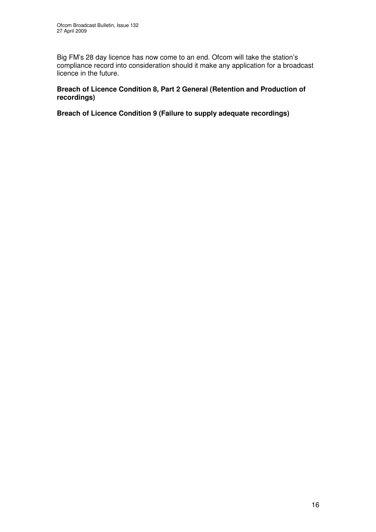Big FM's 28 day licence has now come to an end. Ofcom will take the station's compliance record into consideration should it make any application for a broadcast licence in the future.

### **Breach of Licence Condition 8, Part 2 General (Retention and Production of recordings)**

**Breach of Licence Condition 9 (Failure to supply adequate recordings)**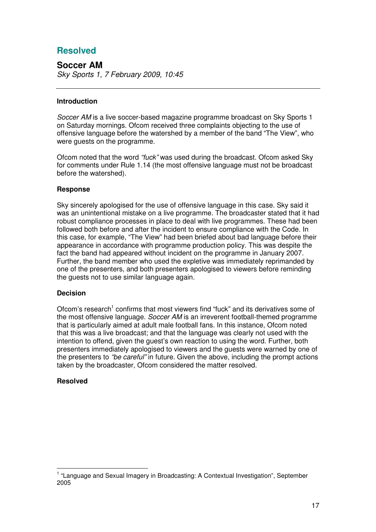# **Resolved**

**Soccer AM** *Sky Sports 1, 7 February 2009, 10:45*

### **Introduction**

*Soccer AM* is a live soccer-based magazine programme broadcast on Sky Sports 1 on Saturday mornings. Ofcom received three complaints objecting to the use of offensive language before the watershed by a member of the band "The View", who were guests on the programme.

Ofcom noted that the word *"fuck"* was used during the broadcast. Ofcom asked Sky for comments under Rule 1.14 (the most offensive language must not be broadcast before the watershed).

### **Response**

Sky sincerely apologised for the use of offensive language in this case. Sky said it was an unintentional mistake on a live programme. The broadcaster stated that it had robust compliance processes in place to deal with live programmes. These had been followed both before and after the incident to ensure compliance with the Code. In this case, for example, "The View" had been briefed about bad language before their appearance in accordance with programme production policy. This was despite the fact the band had appeared without incident on the programme in January 2007. Further, the band member who used the expletive was immediately reprimanded by one of the presenters, and both presenters apologised to viewers before reminding the guests not to use similar language again.

### **Decision**

Ofcom's research<sup>1</sup> confirms that most viewers find "fuck" and its derivatives some of the most offensive language. *Soccer AM* is an irreverent football-themed programme that is particularly aimed at adult male football fans. In this instance, Ofcom noted that this was a live broadcast; and that the language was clearly not used with the intention to offend, given the guest's own reaction to using the word. Further, both presenters immediately apologised to viewers and the guests were warned by one of the presenters to *"be careful"* in future. Given the above, including the prompt actions taken by the broadcaster, Ofcom considered the matter resolved.

### **Resolved**

<sup>&</sup>lt;sup>1</sup> "Language and Sexual Imagery in Broadcasting: A Contextual Investigation", September 2005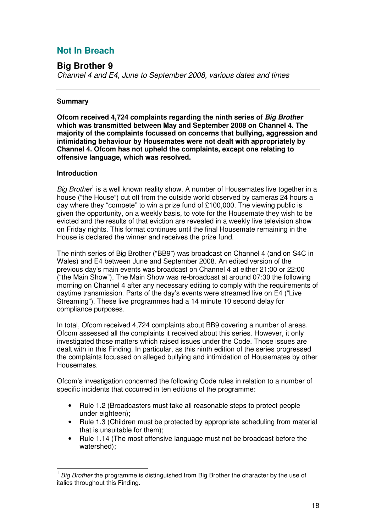# **Not In Breach**

## **Big Brother 9**

*Channel 4 and E4, June to September 2008, various dates and times*

### **Summary**

**Ofcom received 4,724 complaints regarding the ninth series of** *Big Brother* **which was transmitted between May and September 2008 on Channel 4. The majority of the complaints focussed on concerns that bullying, aggression and intimidating behaviour by Housemates were not dealt with appropriately by Channel 4. Ofcom has not upheld the complaints, except one relating to offensive language, which was resolved.**

### **Introduction**

Big Brother<sup>1</sup> is a well known reality show. A number of Housemates live together in a house ("the House") cut off from the outside world observed by cameras 24 hours a day where they "compete" to win a prize fund of £100,000. The viewing public is given the opportunity, on a weekly basis, to vote for the Housemate they wish to be evicted and the results of that eviction are revealed in a weekly live television show on Friday nights. This format continues until the final Housemate remaining in the House is declared the winner and receives the prize fund.

The ninth series of Big Brother ("BB9") was broadcast on Channel 4 (and on S4C in Wales) and E4 between June and September 2008. An edited version of the previous day's main events was broadcast on Channel 4 at either 21:00 or 22:00 ("the Main Show"). The Main Show was re-broadcast at around 07:30 the following morning on Channel 4 after any necessary editing to comply with the requirements of daytime transmission. Parts of the day's events were streamed live on E4 ("Live Streaming"). These live programmes had a 14 minute 10 second delay for compliance purposes.

In total, Ofcom received 4,724 complaints about BB9 covering a number of areas. Ofcom assessed all the complaints it received about this series. However, it only investigated those matters which raised issues under the Code. Those issues are dealt with in this Finding. In particular, as this ninth edition of the series progressed the complaints focussed on alleged bullying and intimidation of Housemates by other **Housemates** 

Ofcom's investigation concerned the following Code rules in relation to a number of specific incidents that occurred in ten editions of the programme:

- Rule 1.2 (Broadcasters must take all reasonable steps to protect people under eighteen);
- Rule 1.3 (Children must be protected by appropriate scheduling from material that is unsuitable for them);
- Rule 1.14 (The most offensive language must not be broadcast before the watershed);

<sup>&</sup>lt;sup>1</sup> Big Brother the programme is distinguished from Big Brother the character by the use of italics throughout this Finding.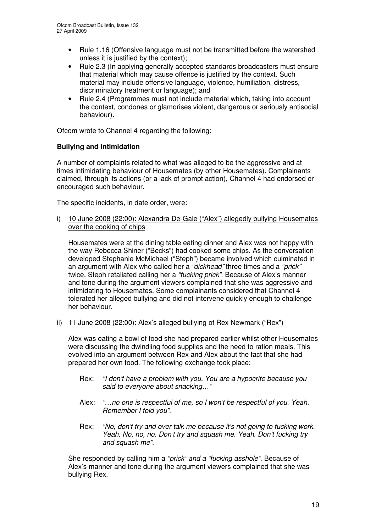- Rule 1.16 (Offensive language must not be transmitted before the watershed unless it is justified by the context);
- Rule 2.3 (In applying generally accepted standards broadcasters must ensure that material which may cause offence is justified by the context. Such material may include offensive language, violence, humiliation, distress, discriminatory treatment or language); and
- Rule 2.4 (Programmes must not include material which, taking into account the context, condones or glamorises violent, dangerous or seriously antisocial behaviour).

Ofcom wrote to Channel 4 regarding the following:

### **Bullying and intimidation**

A number of complaints related to what was alleged to be the aggressive and at times intimidating behaviour of Housemates (by other Housemates). Complainants claimed, through its actions (or a lack of prompt action), Channel 4 had endorsed or encouraged such behaviour.

The specific incidents, in date order, were:

i) 10 June 2008 (22:00): Alexandra De-Gale ("Alex") allegedly bullying Housemates over the cooking of chips

Housemates were at the dining table eating dinner and Alex was not happy with the way Rebecca Shiner ("Becks") had cooked some chips. As the conversation developed Stephanie McMichael ("Steph") became involved which culminated in an argument with Alex who called her a *"dickhead"* three times and a *"prick"* twice. Steph retaliated calling her a *"fucking prick"*. Because of Alex's manner and tone during the argument viewers complained that she was aggressive and intimidating to Housemates. Some complainants considered that Channel 4 tolerated her alleged bullying and did not intervene quickly enough to challenge her behaviour.

ii) 11 June 2008 (22:00): Alex's alleged bullying of Rex Newmark ("Rex")

Alex was eating a bowl of food she had prepared earlier whilst other Housemates were discussing the dwindling food supplies and the need to ration meals. This evolved into an argument between Rex and Alex about the fact that she had prepared her own food. The following exchange took place:

- Rex: *"I don't have a problem with you. You are a hypocrite because you said to everyone about snacking…"*
- Alex: *"…no one is respectful of me, so I won't be respectful of you. Yeah. Remember I told you".*
- Rex: *"No, don't try and over talk me because it's not going to fucking work. Yeah. No, no, no. Don't try and squash me. Yeah. Don't fucking try and squash me".*

She responded by calling him a *"prick" and a "fucking asshole".* Because of Alex's manner and tone during the argument viewers complained that she was bullying Rex.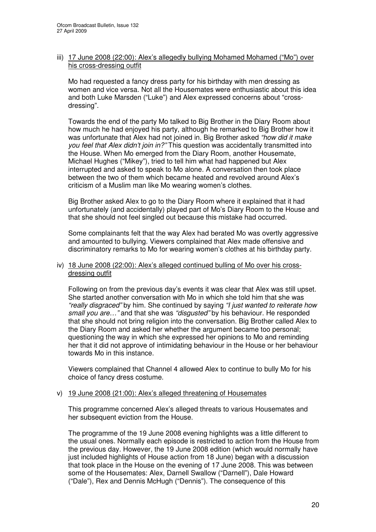### iii) 17 June 2008 (22:00): Alex's allegedly bullying Mohamed Mohamed ("Mo") over his cross-dressing outfit

Mo had requested a fancy dress party for his birthday with men dressing as women and vice versa. Not all the Housemates were enthusiastic about this idea and both Luke Marsden ("Luke") and Alex expressed concerns about "crossdressing".

Towards the end of the party Mo talked to Big Brother in the Diary Room about how much he had enjoyed his party, although he remarked to Big Brother how it was unfortunate that Alex had not joined in. Big Brother asked *"how did it make you feel that Alex didn't join in?"* This question was accidentally transmitted into the House. When Mo emerged from the Diary Room, another Housemate, Michael Hughes ("Mikey"), tried to tell him what had happened but Alex interrupted and asked to speak to Mo alone. A conversation then took place between the two of them which became heated and revolved around Alex's criticism of a Muslim man like Mo wearing women's clothes.

Big Brother asked Alex to go to the Diary Room where it explained that it had unfortunately (and accidentally) played part of Mo's Diary Room to the House and that she should not feel singled out because this mistake had occurred.

Some complainants felt that the way Alex had berated Mo was overtly aggressive and amounted to bullying. Viewers complained that Alex made offensive and discriminatory remarks to Mo for wearing women's clothes at his birthday party.

### iv) 18 June 2008 (22:00): Alex's alleged continued bulling of Mo over his crossdressing outfit

Following on from the previous day's events it was clear that Alex was still upset. She started another conversation with Mo in which she told him that she was *"really disgraced"* by him. She continued by saying *"I just wanted to reiterate how small you are…"* and that she was *"disgusted"* by his behaviour. He responded that she should not bring religion into the conversation. Big Brother called Alex to the Diary Room and asked her whether the argument became too personal; questioning the way in which she expressed her opinions to Mo and reminding her that it did not approve of intimidating behaviour in the House or her behaviour towards Mo in this instance.

Viewers complained that Channel 4 allowed Alex to continue to bully Mo for his choice of fancy dress costume.

### v) 19 June 2008 (21:00): Alex's alleged threatening of Housemates

This programme concerned Alex's alleged threats to various Housemates and her subsequent eviction from the House.

The programme of the 19 June 2008 evening highlights was a little different to the usual ones. Normally each episode is restricted to action from the House from the previous day. However, the 19 June 2008 edition (which would normally have just included highlights of House action from 18 June) began with a discussion that took place in the House on the evening of 17 June 2008. This was between some of the Housemates: Alex, Darnell Swallow ("Darnell"), Dale Howard ("Dale"), Rex and Dennis McHugh ("Dennis"). The consequence of this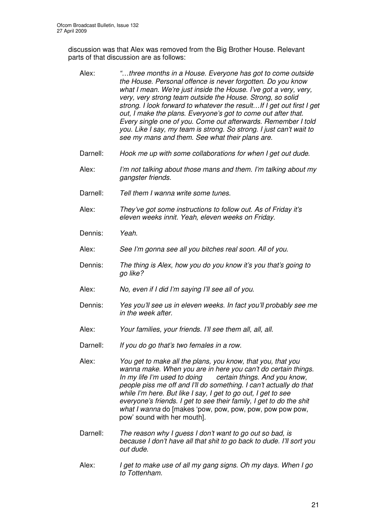discussion was that Alex was removed from the Big Brother House. Relevant parts of that discussion are as follows:

- Alex: *"…three months in a House. Everyone has got to come outside the House. Personal offence is never forgotten. Do you know what I mean. We're just inside the House. I've got a very, very, very, very strong team outside the House. Strong, so solid strong. I look forward to whatever the result…If I get out first I get out, I make the plans. Everyone's got to come out after that. Every single one of you. Come out afterwards. Remember I told you. Like I say, my team is strong. So strong. I just can't wait to see my mans and them. See what their plans are.* Darnell: *Hook me up with some collaborations for when I get out dude*. Alex: *I'm not talking about those mans and them. I'm talking about my gangster friends.* Darnell: *Tell them I wanna write some tunes.* Alex: *They've got some instructions to follow out. As of Friday it's eleven weeks innit. Yeah, eleven weeks on Friday.* Dennis: *Yeah.* Alex: *See I'm gonna see all you bitches real soon. All of you.* Dennis: *The thing is Alex, how you do you know it's you that's going to go like?* Alex: *No, even if I did I'm saying I'll see all of you.* Dennis: *Yes you'll see us in eleven weeks. In fact you'll probably see me in the week after.* Alex: *Your families, your friends. I'll see them all, all, all.* Darnell: *If you do go that's two females in a row.* Alex: *You get to make all the plans, you know, that you, that you wanna make. When you are in here you can't do certain things. In my life I'm used to doing certain things. And you know, people piss me off and I'll do something. I can't actually do that while I'm here. But like I say, I get to go out, I get to see everyone's friends. I get to see their family, I get to do the shit what I wanna* do [makes 'pow, pow, pow, pow, pow pow pow, pow' sound with her mouth]. Darnell: *The reason why I guess I don't want to go out so bad, is because I don't have all that shit to go back to dude. I'll sort you out dude.*
- Alex: *I get to make use of all my gang signs. Oh my days. When I go to Tottenham.*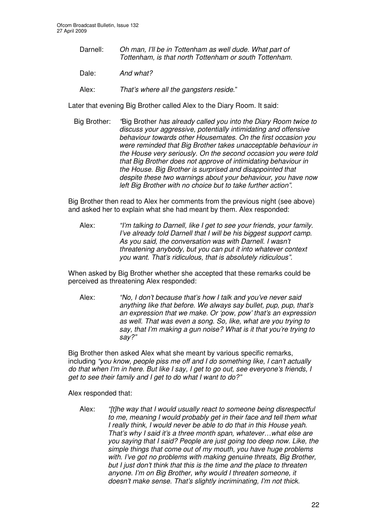- Darnell: *Oh man, I'll be in Tottenham as well dude. What part of Tottenham, is that north Tottenham or south Tottenham.*
- Dale: **And** what?
- Alex: *That's where all the gangsters reside*."

Later that evening Big Brother called Alex to the Diary Room. It said:

Big Brother: *"*Big Brother *has already called you into the Diary Room twice to discuss your aggressive, potentially intimidating and offensive behaviour towards other Housemates. On the first occasion you were reminded that Big Brother takes unacceptable behaviour in the House very seriously. On the second occasion you were told that Big Brother does not approve of intimidating behaviour in the House. Big Brother is surprised and disappointed that despite these two warnings about your behaviour, you have now left Big Brother with no choice but to take further action"*.

Big Brother then read to Alex her comments from the previous night (see above) and asked her to explain what she had meant by them. Alex responded:

Alex: *"I'm talking to Darnell, like I get to see your friends, your family. I've already told Darnell that I will be his biggest support camp. As you said, the conversation was with Darnell. I wasn't threatening anybody, but you can put it into whatever context you want. That's ridiculous, that is absolutely ridiculous".*

When asked by Big Brother whether she accepted that these remarks could be perceived as threatening Alex responded:

Alex: *"No, I don't because that's how I talk and you've never said anything like that before. We always say bullet, pup, pup, that's an expression that we make. Or 'pow, pow' that's an expression as well. That was even a song. So, like, what are you trying to say, that I'm making a gun noise? What is it that you're trying to say?"*

Big Brother then asked Alex what she meant by various specific remarks, including *"you know, people piss me off and I do something like, I can't actually do that when I'm in here. But like I say, I get to go out, see everyone's friends, I get to see their family and I get to do what I want to do?"*

Alex responded that:

Alex: *"[t]he way that I would usually react to someone being disrespectful to me, meaning I would probably get in their face and tell them what I really think, I would never be able to do that in this House yeah. That's why I said it's a three month span, whatever…what else are you saying that I said? People are just going too deep now. Like, the simple things that come out of my mouth, you have huge problems with. I've got no problems with making genuine threats, Big Brother, but I just don't think that this is the time and the place to threaten anyone. I'm on Big Brother, why would I threaten someone, it doesn't make sense. That's slightly incriminating, I'm not thick.*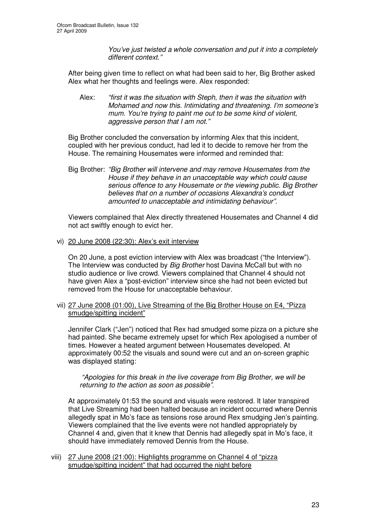*You've just twisted a whole conversation and put it into a completely different context."*

After being given time to reflect on what had been said to her, Big Brother asked Alex what her thoughts and feelings were. Alex responded:

Alex: *"first it was the situation with Steph, then it was the situation with Mohamed and now this. Intimidating and threatening. I'm someone's mum. You're trying to paint me out to be some kind of violent, aggressive person that I am not."*

Big Brother concluded the conversation by informing Alex that this incident, coupled with her previous conduct, had led it to decide to remove her from the House. The remaining Housemates were informed and reminded that:

Big Brother: *"Big Brother will intervene and may remove Housemates from the House if they behave in an unacceptable way which could cause serious offence to any Housemate or the viewing public. Big Brother believes that on a number of occasions Alexandra's conduct amounted to unacceptable and intimidating behaviour".*

Viewers complained that Alex directly threatened Housemates and Channel 4 did not act swiftly enough to evict her.

vi) 20 June 2008 (22:30): Alex's exit interview

On 20 June, a post eviction interview with Alex was broadcast ("the Interview"). The Interview was conducted by *Big Brother* host Davina McCall but with no studio audience or live crowd. Viewers complained that Channel 4 should not have given Alex a "post-eviction" interview since she had not been evicted but removed from the House for unacceptable behaviour.

vii) 27 June 2008 (01:00), Live Streaming of the Big Brother House on E4, "Pizza smudge/spitting incident"

Jennifer Clark ("Jen") noticed that Rex had smudged some pizza on a picture she had painted. She became extremely upset for which Rex apologised a number of times. However a heated argument between Housemates developed. At approximately 00:52 the visuals and sound were cut and an on-screen graphic was displayed stating:

*"Apologies for this break in the live coverage from Big Brother, we will be returning to the action as soon as possible"*.

At approximately 01:53 the sound and visuals were restored. It later transpired that Live Streaming had been halted because an incident occurred where Dennis allegedly spat in Mo's face as tensions rose around Rex smudging Jen's painting. Viewers complained that the live events were not handled appropriately by Channel 4 and, given that it knew that Dennis had allegedly spat in Mo's face, it should have immediately removed Dennis from the House.

viii) 27 June 2008 (21:00): Highlights programme on Channel 4 of "pizza smudge/spitting incident" that had occurred the night before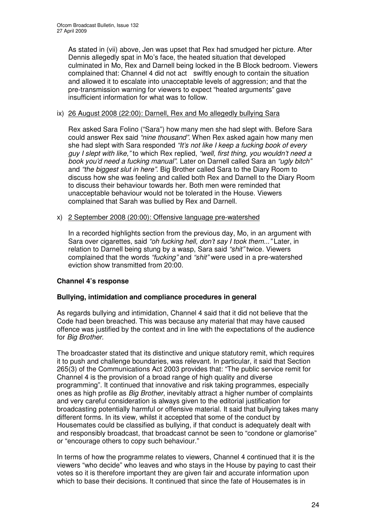As stated in (vii) above, Jen was upset that Rex had smudged her picture. After Dennis allegedly spat in Mo's face, the heated situation that developed culminated in Mo, Rex and Darnell being locked in the B Block bedroom. Viewers complained that: Channel 4 did not act swiftly enough to contain the situation and allowed it to escalate into unacceptable levels of aggression; and that the pre-transmission warning for viewers to expect "heated arguments" gave insufficient information for what was to follow.

### ix) 26 August 2008 (22:00): Darnell, Rex and Mo allegedly bullying Sara

Rex asked Sara Folino ("Sara") how many men she had slept with. Before Sara could answer Rex said *"nine thousand"*. When Rex asked again how many men she had slept with Sara responded *"It's not like I keep a fucking book of every guy I slept with like,"* to which Rex replied, *"well, first thing, you wouldn't need a book you'd need a fucking manual"*. Later on Darnell called Sara an *"ugly bitch"* and *"the biggest slut in here".* Big Brother called Sara to the Diary Room to discuss how she was feeling and called both Rex and Darnell to the Diary Room to discuss their behaviour towards her. Both men were reminded that unacceptable behaviour would not be tolerated in the House. Viewers complained that Sarah was bullied by Rex and Darnell.

### x) 2 September 2008 (20:00): Offensive language pre-watershed

In a recorded highlights section from the previous day, Mo, in an argument with Sara over cigarettes, said *"oh fucking hell, don't say I took them..."* Later, in relation to Darnell being stung by a wasp, Sara said *"shit"* twice. Viewers complained that the words *"fucking"* and *"shit"* were used in a pre-watershed eviction show transmitted from 20:00.

### **Channel 4's response**

### **Bullying, intimidation and compliance procedures in general**

As regards bullying and intimidation, Channel 4 said that it did not believe that the Code had been breached. This was because any material that may have caused offence was justified by the context and in line with the expectations of the audience for *Big Brother.*

The broadcaster stated that its distinctive and unique statutory remit, which requires it to push and challenge boundaries, was relevant. In particular, it said that Section 265(3) of the Communications Act 2003 provides that: "The public service remit for Channel 4 is the provision of a broad range of high quality and diverse programming". It continued that innovative and risk taking programmes, especially ones as high profile as *Big Brother*, inevitably attract a higher number of complaints and very careful consideration is always given to the editorial justification for broadcasting potentially harmful or offensive material. It said that bullying takes many different forms. In its view, whilst it accepted that some of the conduct by Housemates could be classified as bullying, if that conduct is adequately dealt with and responsibly broadcast, that broadcast cannot be seen to "condone or glamorise" or "encourage others to copy such behaviour."

In terms of how the programme relates to viewers, Channel 4 continued that it is the viewers "who decide" who leaves and who stays in the House by paying to cast their votes so it is therefore important they are given fair and accurate information upon which to base their decisions. It continued that since the fate of Housemates is in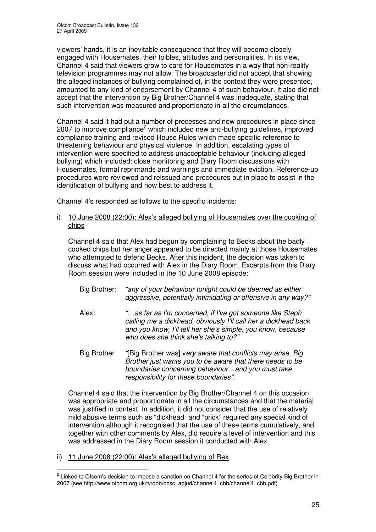viewers' hands, it is an inevitable consequence that they will become closely engaged with Housemates, their foibles, attitudes and personalities. In its view, Channel 4 said that viewers grow to care for Housemates in a way that non-reality television programmes may not allow. The broadcaster did not accept that showing the alleged instances of bullying complained of, in the context they were presented, amounted to any kind of endorsement by Channel 4 of such behaviour. It also did not accept that the intervention by Big Brother/Channel 4 was inadequate, stating that such intervention was measured and proportionate in all the circumstances.

Channel 4 said it had put a number of processes and new procedures in place since 2007 to improve compliance<sup>2</sup> which included new anti-bullying guidelines, improved compliance training and revised House Rules which made specific reference to threatening behaviour and physical violence. In addition, escalating types of intervention were specified to address unacceptable behaviour (including alleged bullying) which included: close monitoring and Diary Room discussions with Housemates, formal reprimands and warnings and immediate eviction. Reference-up procedures were reviewed and reissued and procedures put in place to assist in the identification of bullying and how best to address it.

Channel 4's responded as follows to the specific incidents:

i) 10 June 2008 (22:00): Alex's alleged bullying of Housemates over the cooking of chips

Channel 4 said that Alex had begun by complaining to Becks about the badly cooked chips but her anger appeared to be directed mainly at those Housemates who attempted to defend Becks. After this incident, the decision was taken to discuss what had occurred with Alex in the Diary Room. Excerpts from this Diary Room session were included in the 10 June 2008 episode:

| Big Brother: | "any of your behaviour tonight could be deemed as either<br>aggressive, potentially intimidating or offensive in any way?"                                                                |
|--------------|-------------------------------------------------------------------------------------------------------------------------------------------------------------------------------------------|
| Alex:        | "as far as I'm concerned, if I've got someone like Steph<br>calling me a dickhead, obviously I'll call her a dickhead back<br>and you know, I'll tell her she's simple, you know, because |

Big Brother *"*[Big Brother was] v*ery aware that conflicts may arise, Big Brother just wants you to be aware that there needs to be boundaries concerning behaviour…and you must take responsibility for these boundaries".*

*who does she think she's talking to?"*

Channel 4 said that the intervention by Big Brother/Channel 4 on this occasion was appropriate and proportionate in all the circumstances and that the material was justified in context. In addition, it did not consider that the use of relatively mild abusive terms such as "dickhead" and "prick" required any special kind of intervention although it recognised that the use of these terms cumulatively, and together with other comments by Alex, did require a level of intervention and this was addressed in the Diary Room session it conducted with Alex.

ii) 11 June 2008 (22:00): Alex's alleged bullying of Rex

<sup>&</sup>lt;sup>2</sup> Linked to Ofcom's decision to impose a sanction on Channel 4 for the series of Celebrity Big Brother in 2007 (see http://www.ofcom.org.uk/tv/obb/ocsc\_adjud/channel4\_cbb/channel4\_cbb.pdf)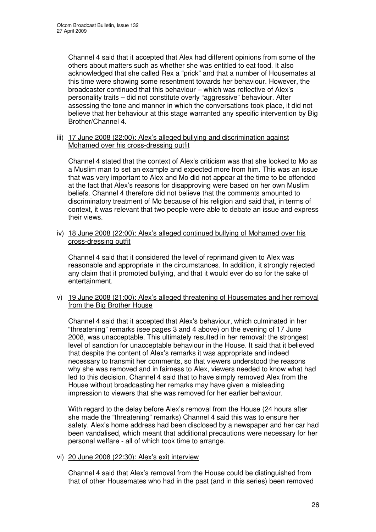Channel 4 said that it accepted that Alex had different opinions from some of the others about matters such as whether she was entitled to eat food. It also acknowledged that she called Rex a "prick" and that a number of Housemates at this time were showing some resentment towards her behaviour. However, the broadcaster continued that this behaviour – which was reflective of Alex's personality traits – did not constitute overly "aggressive" behaviour. After assessing the tone and manner in which the conversations took place, it did not believe that her behaviour at this stage warranted any specific intervention by Big Brother/Channel 4.

### iii) 17 June 2008 (22:00): Alex's alleged bullying and discrimination against Mohamed over his cross-dressing outfit

Channel 4 stated that the context of Alex's criticism was that she looked to Mo as a Muslim man to set an example and expected more from him. This was an issue that was very important to Alex and Mo did not appear at the time to be offended at the fact that Alex's reasons for disapproving were based on her own Muslim beliefs. Channel 4 therefore did not believe that the comments amounted to discriminatory treatment of Mo because of his religion and said that, in terms of context, it was relevant that two people were able to debate an issue and express their views.

iv) 18 June 2008 (22:00): Alex's alleged continued bullying of Mohamed over his cross-dressing outfit

Channel 4 said that it considered the level of reprimand given to Alex was reasonable and appropriate in the circumstances. In addition, it strongly rejected any claim that it promoted bullying, and that it would ever do so for the sake of entertainment.

v) 19 June 2008 (21:00): Alex's alleged threatening of Housemates and her removal from the Big Brother House

Channel 4 said that it accepted that Alex's behaviour, which culminated in her "threatening" remarks (see pages 3 and 4 above) on the evening of 17 June 2008, was unacceptable. This ultimately resulted in her removal: the strongest level of sanction for unacceptable behaviour in the House. It said that it believed that despite the content of Alex's remarks it was appropriate and indeed necessary to transmit her comments, so that viewers understood the reasons why she was removed and in fairness to Alex, viewers needed to know what had led to this decision. Channel 4 said that to have simply removed Alex from the House without broadcasting her remarks may have given a misleading impression to viewers that she was removed for her earlier behaviour.

With regard to the delay before Alex's removal from the House (24 hours after she made the "threatening" remarks) Channel 4 said this was to ensure her safety. Alex's home address had been disclosed by a newspaper and her car had been vandalised, which meant that additional precautions were necessary for her personal welfare - all of which took time to arrange.

### vi) 20 June 2008 (22:30): Alex's exit interview

Channel 4 said that Alex's removal from the House could be distinguished from that of other Housemates who had in the past (and in this series) been removed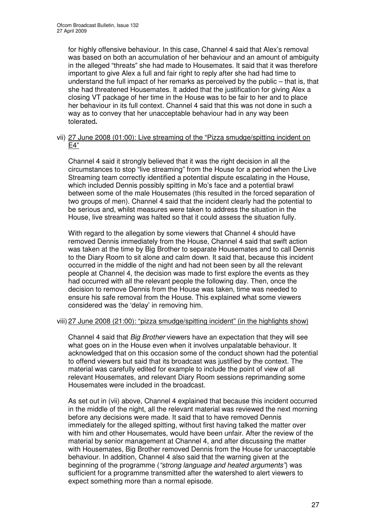for highly offensive behaviour. In this case, Channel 4 said that Alex's removal was based on both an accumulation of her behaviour and an amount of ambiguity in the alleged "threats" she had made to Housemates. It said that it was therefore important to give Alex a full and fair right to reply after she had had time to understand the full impact of her remarks as perceived by the public – that is, that she had threatened Housemates. It added that the justification for giving Alex a closing VT package of her time in the House was to be fair to her and to place her behaviour in its full context. Channel 4 said that this was not done in such a way as to convey that her unacceptable behaviour had in any way been tolerated**.**

### vii) 27 June 2008 (01:00): Live streaming of the "Pizza smudge/spitting incident on E4"

Channel 4 said it strongly believed that it was the right decision in all the circumstances to stop "live streaming" from the House for a period when the Live Streaming team correctly identified a potential dispute escalating in the House, which included Dennis possibly spitting in Mo's face and a potential brawl between some of the male Housemates (this resulted in the forced separation of two groups of men). Channel 4 said that the incident clearly had the potential to be serious and, whilst measures were taken to address the situation in the House, live streaming was halted so that it could assess the situation fully.

With regard to the allegation by some viewers that Channel 4 should have removed Dennis immediately from the House, Channel 4 said that swift action was taken at the time by Big Brother to separate Housemates and to call Dennis to the Diary Room to sit alone and calm down. It said that, because this incident occurred in the middle of the night and had not been seen by all the relevant people at Channel 4, the decision was made to first explore the events as they had occurred with all the relevant people the following day. Then, once the decision to remove Dennis from the House was taken, time was needed to ensure his safe removal from the House. This explained what some viewers considered was the 'delay' in removing him.

### viii) 27 June 2008 (21:00): "pizza smudge/spitting incident" (in the highlights show)

Channel 4 said that *Big Brother* viewers have an expectation that they will see what goes on in the House even when it involves unpalatable behaviour. It acknowledged that on this occasion some of the conduct shown had the potential to offend viewers but said that its broadcast was justified by the context. The material was carefully edited for example to include the point of view of all relevant Housemates, and relevant Diary Room sessions reprimanding some Housemates were included in the broadcast.

As set out in (vii) above, Channel 4 explained that because this incident occurred in the middle of the night, all the relevant material was reviewed the next morning before any decisions were made. It said that to have removed Dennis immediately for the alleged spitting, without first having talked the matter over with him and other Housemates, would have been unfair. After the review of the material by senior management at Channel 4, and after discussing the matter with Housemates, Big Brother removed Dennis from the House for unacceptable behaviour. In addition, Channel 4 also said that the warning given at the beginning of the programme (*"strong language and heated arguments"*) was sufficient for a programme transmitted after the watershed to alert viewers to expect something more than a normal episode.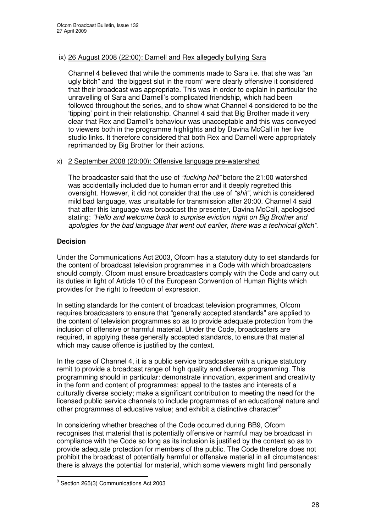### ix) 26 August 2008 (22:00): Darnell and Rex allegedly bullying Sara

Channel 4 believed that while the comments made to Sara i.e. that she was "an ugly bitch" and "the biggest slut in the room" were clearly offensive it considered that their broadcast was appropriate. This was in order to explain in particular the unravelling of Sara and Darnell's complicated friendship, which had been followed throughout the series, and to show what Channel 4 considered to be the 'tipping' point in their relationship. Channel 4 said that Big Brother made it very clear that Rex and Darnell's behaviour was unacceptable and this was conveyed to viewers both in the programme highlights and by Davina McCall in her live studio links. It therefore considered that both Rex and Darnell were appropriately reprimanded by Big Brother for their actions.

### x) 2 September 2008 (20:00): Offensive language pre-watershed

The broadcaster said that the use of *"fucking hell"* before the 21:00 watershed was accidentally included due to human error and it deeply regretted this oversight. However, it did not consider that the use of *"shit"*, which is considered mild bad language, was unsuitable for transmission after 20:00. Channel 4 said that after this language was broadcast the presenter, Davina McCall, apologised stating: *"Hello and welcome back to surprise eviction night on Big Brother and apologies for the bad language that went out earlier, there was a technical glitch"*.

### **Decision**

Under the Communications Act 2003, Ofcom has a statutory duty to set standards for the content of broadcast television programmes in a Code with which broadcasters should comply. Ofcom must ensure broadcasters comply with the Code and carry out its duties in light of Article 10 of the European Convention of Human Rights which provides for the right to freedom of expression.

In setting standards for the content of broadcast television programmes, Ofcom requires broadcasters to ensure that "generally accepted standards" are applied to the content of television programmes so as to provide adequate protection from the inclusion of offensive or harmful material. Under the Code, broadcasters are required, in applying these generally accepted standards, to ensure that material which may cause offence is justified by the context.

In the case of Channel 4, it is a public service broadcaster with a unique statutory remit to provide a broadcast range of high quality and diverse programming. This programming should in particular: demonstrate innovation, experiment and creativity in the form and content of programmes; appeal to the tastes and interests of a culturally diverse society; make a significant contribution to meeting the need for the licensed public service channels to include programmes of an educational nature and other programmes of educative value; and exhibit a distinctive character<sup>3</sup>

In considering whether breaches of the Code occurred during BB9, Ofcom recognises that material that is potentially offensive or harmful may be broadcast in compliance with the Code so long as its inclusion is justified by the context so as to provide adequate protection for members of the public. The Code therefore does not prohibit the broadcast of potentially harmful or offensive material in all circumstances: there is always the potential for material, which some viewers might find personally

 $3$  Section 265(3) Communications Act 2003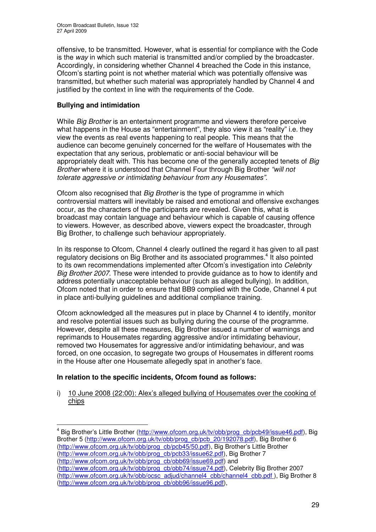offensive, to be transmitted. However, what is essential for compliance with the Code is the *way* in which such material is transmitted and/or complied by the broadcaster. Accordingly, in considering whether Channel 4 breached the Code in this instance, Ofcom's starting point is not whether material which was potentially offensive was transmitted, but whether such material was appropriately handled by Channel 4 and justified by the context in line with the requirements of the Code.

### **Bullying and intimidation**

While *Big Brother* is an entertainment programme and viewers therefore perceive what happens in the House as "entertainment", they also view it as "reality" i.e. they view the events as real events happening to real people. This means that the audience can become genuinely concerned for the welfare of Housemates with the expectation that any serious, problematic or anti-social behaviour will be appropriately dealt with. This has become one of the generally accepted tenets of *Big Brother* where it is understood that Channel Four through Big Brother *"will not tolerate aggressive or intimidating behaviour from any Housemates".*

Ofcom also recognised that *Big Brother* is the type of programme in which controversial matters will inevitably be raised and emotional and offensive exchanges occur, as the characters of the participants are revealed. Given this, what is broadcast may contain language and behaviour which is capable of causing offence to viewers. However, as described above, viewers expect the broadcaster, through Big Brother, to challenge such behaviour appropriately.

In its response to Ofcom, Channel 4 clearly outlined the regard it has given to all past regulatory decisions on Big Brother and its associated programmes.<sup>4</sup> It also pointed to its own recommendations implemented after Ofcom's investigation into *Celebrity Big Brother 2007*. These were intended to provide guidance as to how to identify and address potentially unacceptable behaviour (such as alleged bullying). In addition, Ofcom noted that in order to ensure that BB9 complied with the Code, Channel 4 put in place anti-bullying guidelines and additional compliance training.

Ofcom acknowledged all the measures put in place by Channel 4 to identify, monitor and resolve potential issues such as bullying during the course of the programme. However, despite all these measures, Big Brother issued a number of warnings and reprimands to Housemates regarding aggressive and/or intimidating behaviour, removed two Housemates for aggressive and/or intimidating behaviour, and was forced, on one occasion, to segregate two groups of Housemates in different rooms in the House after one Housemate allegedly spat in another's face.

### **In relation to the specific incidents, Ofcom found as follows:**

i) 10 June 2008 (22:00): Alex's alleged bullying of Housemates over the cooking of chips

(http://www.ofcom.org.uk/tv/obb/prog\_cb/obb69/issue69.pdf) and

(http://www.ofcom.org.uk/tv/obb/prog\_cb/obb74/issue74.pdf), Celebrity Big Brother 2007 (http://www.ofcom.org.uk/tv/obb/ocsc\_adjud/channel4\_cbb/channel4\_cbb.pdf ), Big Brother 8 (http://www.ofcom.org.uk/tv/obb/prog\_cb/obb96/issue96.pdf),

<sup>&</sup>lt;sup>4</sup> Big Brother's Little Brother (http://www.ofcom.org.uk/tv/obb/prog\_cb/pcb49/issue46.pdf), Big Brother 5 (http://www.ofcom.org.uk/ty/obb/prog\_cb/pcb\_20/192078.pdf), Big Brother 6 (http://www.ofcom.org.uk/tv/obb/prog\_cb/pcb45/50.pdf), Big Brother's Little Brother (http://www.ofcom.org.uk/tv/obb/prog\_cb/pcb33/issue62.pdf), Big Brother 7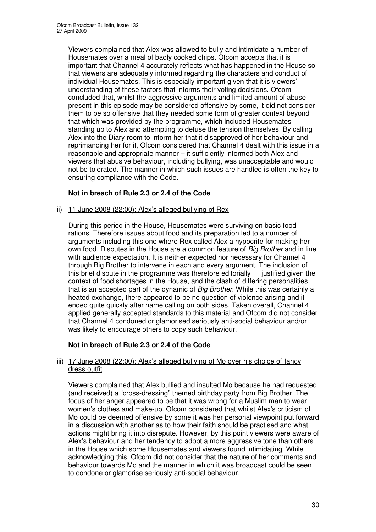Viewers complained that Alex was allowed to bully and intimidate a number of Housemates over a meal of badly cooked chips. Ofcom accepts that it is important that Channel 4 accurately reflects what has happened in the House so that viewers are adequately informed regarding the characters and conduct of individual Housemates. This is especially important given that it is viewers' understanding of these factors that informs their voting decisions. Ofcom concluded that, whilst the aggressive arguments and limited amount of abuse present in this episode may be considered offensive by some, it did not consider them to be so offensive that they needed some form of greater context beyond that which was provided by the programme, which included Housemates standing up to Alex and attempting to defuse the tension themselves. By calling Alex into the Diary room to inform her that it disapproved of her behaviour and reprimanding her for it, Ofcom considered that Channel 4 dealt with this issue in a reasonable and appropriate manner – it sufficiently informed both Alex and viewers that abusive behaviour, including bullying, was unacceptable and would not be tolerated. The manner in which such issues are handled is often the key to ensuring compliance with the Code.

### **Not in breach of Rule 2.3 or 2.4 of the Code**

ii) 11 June 2008 (22:00): Alex's alleged bullying of Rex

During this period in the House, Housemates were surviving on basic food rations. Therefore issues about food and its preparation led to a number of arguments including this one where Rex called Alex a hypocrite for making her own food. Disputes in the House are a common feature of *Big Brother* and in line with audience expectation. It is neither expected nor necessary for Channel 4 through Big Brother to intervene in each and every argument. The inclusion of this brief dispute in the programme was therefore editorially justified given the context of food shortages in the House, and the clash of differing personalities that is an accepted part of the dynamic of *Big Brother*. While this was certainly a heated exchange, there appeared to be no question of violence arising and it ended quite quickly after name calling on both sides. Taken overall, Channel 4 applied generally accepted standards to this material and Ofcom did not consider that Channel 4 condoned or glamorised seriously anti-social behaviour and/or was likely to encourage others to copy such behaviour.

### **Not in breach of Rule 2.3 or 2.4 of the Code**

### iii) 17 June 2008 (22:00): Alex's alleged bullying of Mo over his choice of fancy dress outfit

Viewers complained that Alex bullied and insulted Mo because he had requested (and received) a "cross-dressing" themed birthday party from Big Brother. The focus of her anger appeared to be that it was wrong for a Muslim man to wear women's clothes and make-up. Ofcom considered that whilst Alex's criticism of Mo could be deemed offensive by some it was her personal viewpoint put forward in a discussion with another as to how their faith should be practised and what actions might bring it into disrepute. However, by this point viewers were aware of Alex's behaviour and her tendency to adopt a more aggressive tone than others in the House which some Housemates and viewers found intimidating. While acknowledging this, Ofcom did not consider that the nature of her comments and behaviour towards Mo and the manner in which it was broadcast could be seen to condone or glamorise seriously anti-social behaviour.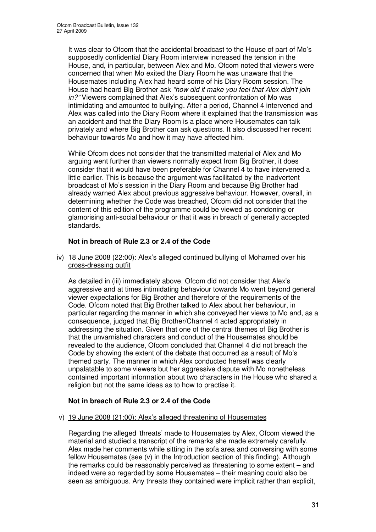It was clear to Ofcom that the accidental broadcast to the House of part of Mo's supposedly confidential Diary Room interview increased the tension in the House, and, in particular, between Alex and Mo. Ofcom noted that viewers were concerned that when Mo exited the Diary Room he was unaware that the Housemates including Alex had heard some of his Diary Room session. The House had heard Big Brother ask *"how did it make you feel that Alex didn't join in?"* Viewers complained that Alex's subsequent confrontation of Mo was intimidating and amounted to bullying. After a period, Channel 4 intervened and Alex was called into the Diary Room where it explained that the transmission was an accident and that the Diary Room is a place where Housemates can talk privately and where Big Brother can ask questions. It also discussed her recent behaviour towards Mo and how it may have affected him.

While Ofcom does not consider that the transmitted material of Alex and Mo arguing went further than viewers normally expect from Big Brother, it does consider that it would have been preferable for Channel 4 to have intervened a little earlier. This is because the argument was facilitated by the inadvertent broadcast of Mo's session in the Diary Room and because Big Brother had already warned Alex about previous aggressive behaviour. However, overall, in determining whether the Code was breached, Ofcom did not consider that the content of this edition of the programme could be viewed as condoning or glamorising anti-social behaviour or that it was in breach of generally accepted standards.

### **Not in breach of Rule 2.3 or 2.4 of the Code**

iv) 18 June 2008 (22:00): Alex's alleged continued bullying of Mohamed over his cross-dressing outfit

As detailed in (iii) immediately above, Ofcom did not consider that Alex's aggressive and at times intimidating behaviour towards Mo went beyond general viewer expectations for Big Brother and therefore of the requirements of the Code. Ofcom noted that Big Brother talked to Alex about her behaviour, in particular regarding the manner in which she conveyed her views to Mo and, as a consequence, judged that Big Brother/Channel 4 acted appropriately in addressing the situation. Given that one of the central themes of Big Brother is that the unvarnished characters and conduct of the Housemates should be revealed to the audience, Ofcom concluded that Channel 4 did not breach the Code by showing the extent of the debate that occurred as a result of Mo's themed party. The manner in which Alex conducted herself was clearly unpalatable to some viewers but her aggressive dispute with Mo nonetheless contained important information about two characters in the House who shared a religion but not the same ideas as to how to practise it.

### **Not in breach of Rule 2.3 or 2.4 of the Code**

### v) 19 June 2008 (21:00): Alex's alleged threatening of Housemates

Regarding the alleged 'threats' made to Housemates by Alex, Ofcom viewed the material and studied a transcript of the remarks she made extremely carefully. Alex made her comments while sitting in the sofa area and conversing with some fellow Housemates (see (v) in the Introduction section of this finding). Although the remarks could be reasonably perceived as threatening to some extent – and indeed were so regarded by some Housemates – their meaning could also be seen as ambiguous. Any threats they contained were implicit rather than explicit,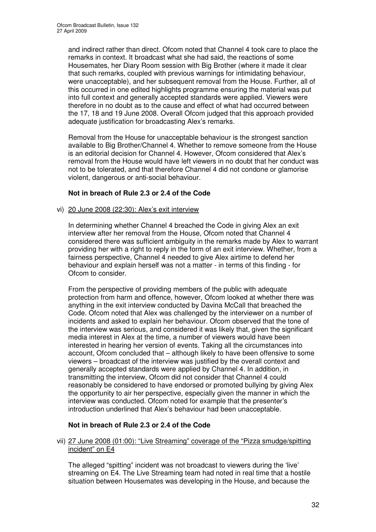and indirect rather than direct. Ofcom noted that Channel 4 took care to place the remarks in context. It broadcast what she had said, the reactions of some Housemates, her Diary Room session with Big Brother (where it made it clear that such remarks, coupled with previous warnings for intimidating behaviour, were unacceptable), and her subsequent removal from the House. Further, all of this occurred in one edited highlights programme ensuring the material was put into full context and generally accepted standards were applied. Viewers were therefore in no doubt as to the cause and effect of what had occurred between the 17, 18 and 19 June 2008. Overall Ofcom judged that this approach provided adequate justification for broadcasting Alex's remarks.

Removal from the House for unacceptable behaviour is the strongest sanction available to Big Brother/Channel 4. Whether to remove someone from the House is an editorial decision for Channel 4. However, Ofcom considered that Alex's removal from the House would have left viewers in no doubt that her conduct was not to be tolerated, and that therefore Channel 4 did not condone or glamorise violent, dangerous or anti-social behaviour.

### **Not in breach of Rule 2.3 or 2.4 of the Code**

### vi) 20 June 2008 (22:30): Alex's exit interview

In determining whether Channel 4 breached the Code in giving Alex an exit interview after her removal from the House, Ofcom noted that Channel 4 considered there was sufficient ambiguity in the remarks made by Alex to warrant providing her with a right to reply in the form of an exit interview. Whether, from a fairness perspective, Channel 4 needed to give Alex airtime to defend her behaviour and explain herself was not a matter - in terms of this finding - for Ofcom to consider.

From the perspective of providing members of the public with adequate protection from harm and offence, however, Ofcom looked at whether there was anything in the exit interview conducted by Davina McCall that breached the Code. Ofcom noted that Alex was challenged by the interviewer on a number of incidents and asked to explain her behaviour. Ofcom observed that the tone of the interview was serious, and considered it was likely that, given the significant media interest in Alex at the time, a number of viewers would have been interested in hearing her version of events. Taking all the circumstances into account, Ofcom concluded that – although likely to have been offensive to some viewers – broadcast of the interview was justified by the overall context and generally accepted standards were applied by Channel 4. In addition, in transmitting the interview, Ofcom did not consider that Channel 4 could reasonably be considered to have endorsed or promoted bullying by giving Alex the opportunity to air her perspective, especially given the manner in which the interview was conducted. Ofcom noted for example that the presenter's introduction underlined that Alex's behaviour had been unacceptable.

### **Not in breach of Rule 2.3 or 2.4 of the Code**

### vii) 27 June 2008 (01:00): "Live Streaming" coverage of the "Pizza smudge/spitting incident" on E4

The alleged "spitting" incident was not broadcast to viewers during the 'live' streaming on E4. The Live Streaming team had noted in real time that a hostile situation between Housemates was developing in the House, and because the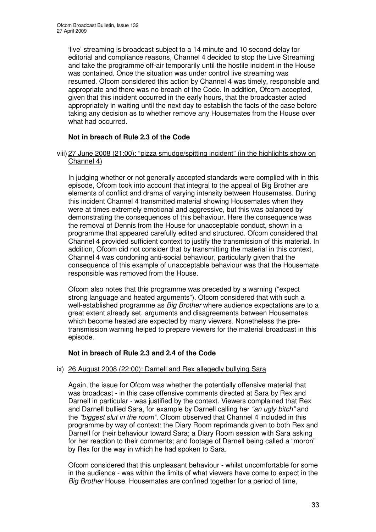'live' streaming is broadcast subject to a 14 minute and 10 second delay for editorial and compliance reasons, Channel 4 decided to stop the Live Streaming and take the programme off-air temporarily until the hostile incident in the House was contained. Once the situation was under control live streaming was resumed. Ofcom considered this action by Channel 4 was timely, responsible and appropriate and there was no breach of the Code. In addition, Ofcom accepted, given that this incident occurred in the early hours, that the broadcaster acted appropriately in waiting until the next day to establish the facts of the case before taking any decision as to whether remove any Housemates from the House over what had occurred.

### **Not in breach of Rule 2.3 of the Code**

### viii) 27 June 2008 (21:00): "pizza smudge/spitting incident" (in the highlights show on Channel 4)

In judging whether or not generally accepted standards were complied with in this episode, Ofcom took into account that integral to the appeal of Big Brother are elements of conflict and drama of varying intensity between Housemates. During this incident Channel 4 transmitted material showing Housemates when they were at times extremely emotional and aggressive, but this was balanced by demonstrating the consequences of this behaviour. Here the consequence was the removal of Dennis from the House for unacceptable conduct, shown in a programme that appeared carefully edited and structured. Ofcom considered that Channel 4 provided sufficient context to justify the transmission of this material. In addition, Ofcom did not consider that by transmitting the material in this context, Channel 4 was condoning anti-social behaviour, particularly given that the consequence of this example of unacceptable behaviour was that the Housemate responsible was removed from the House.

Ofcom also notes that this programme was preceded by a warning ("expect strong language and heated arguments"). Ofcom considered that with such a well-established programme as *Big Brother* where audience expectations are to a great extent already set, arguments and disagreements between Housemates which become heated are expected by many viewers. Nonetheless the pretransmission warning helped to prepare viewers for the material broadcast in this episode.

### **Not in breach of Rule 2.3 and 2.4 of the Code**

### ix) 26 August 2008 (22:00): Darnell and Rex allegedly bullying Sara

Again, the issue for Ofcom was whether the potentially offensive material that was broadcast - in this case offensive comments directed at Sara by Rex and Darnell in particular - was justified by the context. Viewers complained that Rex and Darnell bullied Sara, for example by Darnell calling her *"an ugly bitch"* and the *"biggest slut in the room"*. Ofcom observed that Channel 4 included in this programme by way of context: the Diary Room reprimands given to both Rex and Darnell for their behaviour toward Sara; a Diary Room session with Sara asking for her reaction to their comments; and footage of Darnell being called a "moron" by Rex for the way in which he had spoken to Sara.

Ofcom considered that this unpleasant behaviour - whilst uncomfortable for some in the audience - was within the limits of what viewers have come to expect in the *Big Brother* House. Housemates are confined together for a period of time,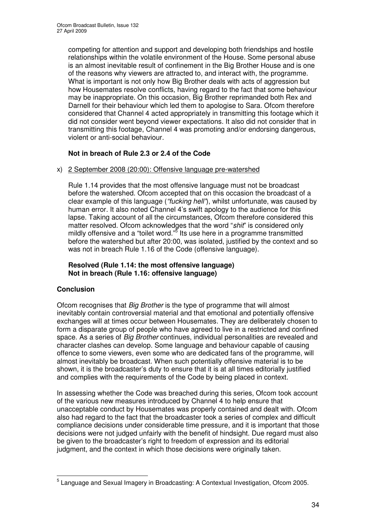competing for attention and support and developing both friendships and hostile relationships within the volatile environment of the House. Some personal abuse is an almost inevitable result of confinement in the Big Brother House and is one of the reasons why viewers are attracted to, and interact with, the programme. What is important is not only how Big Brother deals with acts of aggression but how Housemates resolve conflicts, having regard to the fact that some behaviour may be inappropriate. On this occasion, Big Brother reprimanded both Rex and Darnell for their behaviour which led them to apologise to Sara. Ofcom therefore considered that Channel 4 acted appropriately in transmitting this footage which it did not consider went beyond viewer expectations. It also did not consider that in transmitting this footage, Channel 4 was promoting and/or endorsing dangerous, violent or anti-social behaviour.

### **Not in breach of Rule 2.3 or 2.4 of the Code**

x) 2 September 2008 (20:00): Offensive language pre-watershed

Rule 1.14 provides that the most offensive language must not be broadcast before the watershed. Ofcom accepted that on this occasion the broadcast of a clear example of this language (*"fucking hell"*), whilst unfortunate, was caused by human error. It also noted Channel 4's swift apology to the audience for this lapse. Taking account of all the circumstances, Ofcom therefore considered this matter resolved. Ofcom acknowledges that the word "*shit*" is considered only mildly offensive and a "toilet word."<sup>5</sup> Its use here in a programme transmitted before the watershed but after 20:00, was isolated, justified by the context and so was not in breach Rule 1.16 of the Code (offensive language).

### **Resolved (Rule 1.14: the most offensive language) Not in breach (Rule 1.16: offensive language)**

### **Conclusion**

Ofcom recognises that *Big Brother* is the type of programme that will almost inevitably contain controversial material and that emotional and potentially offensive exchanges will at times occur between Housemates. They are deliberately chosen to form a disparate group of people who have agreed to live in a restricted and confined space. As a series of *Big Brother* continues, individual personalities are revealed and character clashes can develop. Some language and behaviour capable of causing offence to some viewers, even some who are dedicated fans of the programme, will almost inevitably be broadcast. When such potentially offensive material is to be shown, it is the broadcaster's duty to ensure that it is at all times editorially justified and complies with the requirements of the Code by being placed in context.

In assessing whether the Code was breached during this series, Ofcom took account of the various new measures introduced by Channel 4 to help ensure that unacceptable conduct by Housemates was properly contained and dealt with. Ofcom also had regard to the fact that the broadcaster took a series of complex and difficult compliance decisions under considerable time pressure, and it is important that those decisions were not judged unfairly with the benefit of hindsight. Due regard must also be given to the broadcaster's right to freedom of expression and its editorial judgment, and the context in which those decisions were originally taken.

<sup>&</sup>lt;sup>5</sup> Language and Sexual Imagery in Broadcasting: A Contextual Investigation, Ofcom 2005.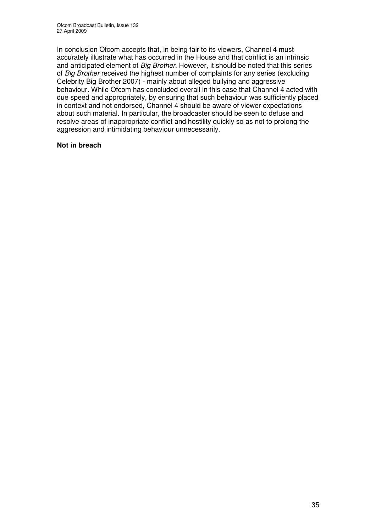In conclusion Ofcom accepts that, in being fair to its viewers, Channel 4 must accurately illustrate what has occurred in the House and that conflict is an intrinsic and anticipated element of *Big Brother*. However, it should be noted that this series of *Big Brother* received the highest number of complaints for any series (excluding Celebrity Big Brother 2007) - mainly about alleged bullying and aggressive behaviour. While Ofcom has concluded overall in this case that Channel 4 acted with due speed and appropriately, by ensuring that such behaviour was sufficiently placed in context and not endorsed, Channel 4 should be aware of viewer expectations about such material. In particular, the broadcaster should be seen to defuse and resolve areas of inappropriate conflict and hostility quickly so as not to prolong the aggression and intimidating behaviour unnecessarily.

### **Not in breach**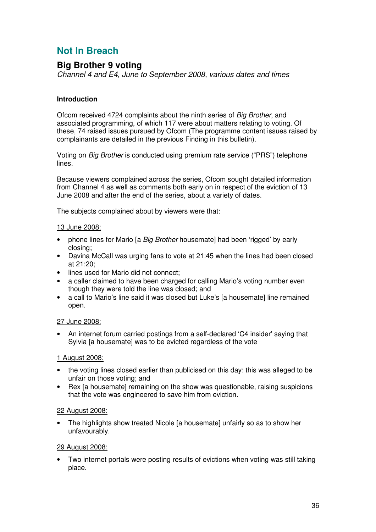# **Not In Breach**

# **Big Brother 9 voting**

*Channel 4 and E4, June to September 2008, various dates and times*

### **Introduction**

Ofcom received 4724 complaints about the ninth series of *Big Brother*, and associated programming, of which 117 were about matters relating to voting. Of these, 74 raised issues pursued by Ofcom (The programme content issues raised by complainants are detailed in the previous Finding in this bulletin).

Voting on *Big Brother* is conducted using premium rate service ("PRS") telephone lines.

Because viewers complained across the series, Ofcom sought detailed information from Channel 4 as well as comments both early on in respect of the eviction of 13 June 2008 and after the end of the series, about a variety of dates.

The subjects complained about by viewers were that:

### 13 June 2008:

- phone lines for Mario [a *Big Brother* housemate] had been 'rigged' by early closing;
- Davina McCall was urging fans to vote at 21:45 when the lines had been closed at 21:20;
- lines used for Mario did not connect;
- a caller claimed to have been charged for calling Mario's voting number even though they were told the line was closed; and
- a call to Mario's line said it was closed but Luke's [a housemate] line remained open.

### 27 June 2008:

• An internet forum carried postings from a self-declared 'C4 insider' saying that Sylvia [a housemate] was to be evicted regardless of the vote

### 1 August 2008:

- the voting lines closed earlier than publicised on this day: this was alleged to be unfair on those voting; and
- Rex [a housemate] remaining on the show was questionable, raising suspicions that the vote was engineered to save him from eviction.

### 22 August 2008:

• The highlights show treated Nicole [a housemate] unfairly so as to show her unfavourably.

### 29 August 2008:

Two internet portals were posting results of evictions when voting was still taking place.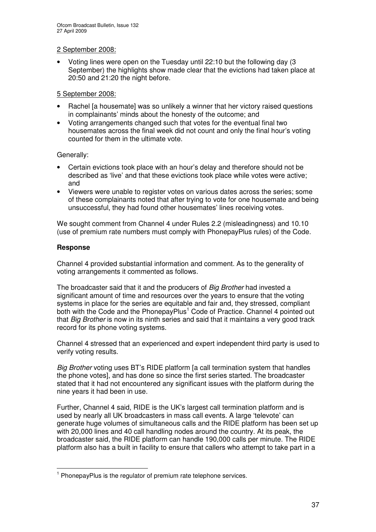### 2 September 2008:

• Voting lines were open on the Tuesday until 22:10 but the following day (3 September) the highlights show made clear that the evictions had taken place at 20:50 and 21:20 the night before.

### 5 September 2008:

- Rachel [a housemate] was so unlikely a winner that her victory raised questions in complainants' minds about the honesty of the outcome; and
- Voting arrangements changed such that votes for the eventual final two housemates across the final week did not count and only the final hour's voting counted for them in the ultimate vote.

### Generally:

- Certain evictions took place with an hour's delay and therefore should not be described as 'live' and that these evictions took place while votes were active; and
- Viewers were unable to register votes on various dates across the series; some of these complainants noted that after trying to vote for one housemate and being unsuccessful, they had found other housemates' lines receiving votes.

We sought comment from Channel 4 under Rules 2.2 (misleadingness) and 10.10 (use of premium rate numbers must comply with PhonepayPlus rules) of the Code.

### **Response**

Channel 4 provided substantial information and comment. As to the generality of voting arrangements it commented as follows.

The broadcaster said that it and the producers of *Big Brother* had invested a significant amount of time and resources over the years to ensure that the voting systems in place for the series are equitable and fair and, they stressed, compliant both with the Code and the PhonepayPlus<sup>1</sup> Code of Practice. Channel 4 pointed out that *Big Brother* is now in its ninth series and said that it maintains a very good track record for its phone voting systems.

Channel 4 stressed that an experienced and expert independent third party is used to verify voting results.

*Big Brother* voting uses BT's RIDE platform [a call termination system that handles the phone votes], and has done so since the first series started. The broadcaster stated that it had not encountered any significant issues with the platform during the nine years it had been in use.

Further, Channel 4 said, RIDE is the UK's largest call termination platform and is used by nearly all UK broadcasters in mass call events. A large 'televote' can generate huge volumes of simultaneous calls and the RIDE platform has been set up with 20,000 lines and 40 call handling nodes around the country. At its peak, the broadcaster said, the RIDE platform can handle 190,000 calls per minute. The RIDE platform also has a built in facility to ensure that callers who attempt to take part in a

<sup>&</sup>lt;sup>1</sup> PhonepayPlus is the regulator of premium rate telephone services.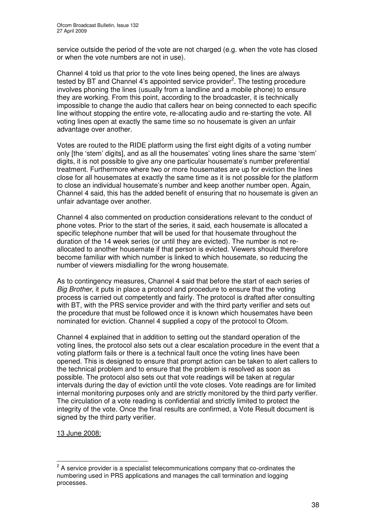service outside the period of the vote are not charged (e.g. when the vote has closed or when the vote numbers are not in use).

Channel 4 told us that prior to the vote lines being opened, the lines are always tested by BT and Channel 4's appointed service provider<sup>2</sup>. The testing procedure involves phoning the lines (usually from a landline and a mobile phone) to ensure they are working. From this point, according to the broadcaster, it is technically impossible to change the audio that callers hear on being connected to each specific line without stopping the entire vote, re-allocating audio and re-starting the vote. All voting lines open at exactly the same time so no housemate is given an unfair advantage over another.

Votes are routed to the RIDE platform using the first eight digits of a voting number only [the 'stem' digits], and as all the housemates' voting lines share the same 'stem' digits, it is not possible to give any one particular housemate's number preferential treatment. Furthermore where two or more housemates are up for eviction the lines close for all housemates at exactly the same time as it is not possible for the platform to close an individual housemate's number and keep another number open. Again, Channel 4 said, this has the added benefit of ensuring that no housemate is given an unfair advantage over another.

Channel 4 also commented on production considerations relevant to the conduct of phone votes. Prior to the start of the series, it said, each housemate is allocated a specific telephone number that will be used for that housemate throughout the duration of the 14 week series (or until they are evicted). The number is not reallocated to another housemate if that person is evicted. Viewers should therefore become familiar with which number is linked to which housemate, so reducing the number of viewers misdialling for the wrong housemate.

As to contingency measures, Channel 4 said that before the start of each series of *Big Brother*, it puts in place a protocol and procedure to ensure that the voting process is carried out competently and fairly. The protocol is drafted after consulting with BT, with the PRS service provider and with the third party verifier and sets out the procedure that must be followed once it is known which housemates have been nominated for eviction. Channel 4 supplied a copy of the protocol to Ofcom.

Channel 4 explained that in addition to setting out the standard operation of the voting lines, the protocol also sets out a clear escalation procedure in the event that a voting platform fails or there is a technical fault once the voting lines have been opened. This is designed to ensure that prompt action can be taken to alert callers to the technical problem and to ensure that the problem is resolved as soon as possible. The protocol also sets out that vote readings will be taken at regular intervals during the day of eviction until the vote closes. Vote readings are for limited internal monitoring purposes only and are strictly monitored by the third party verifier. The circulation of a vote reading is confidential and strictly limited to protect the integrity of the vote. Once the final results are confirmed, a Vote Result document is signed by the third party verifier.

13 June 2008:

 $2$  A service provider is a specialist telecommunications company that co-ordinates the numbering used in PRS applications and manages the call termination and logging processes.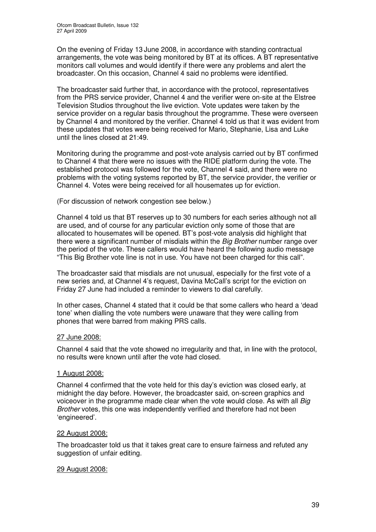On the evening of Friday 13 June 2008, in accordance with standing contractual arrangements, the vote was being monitored by BT at its offices. A BT representative monitors call volumes and would identify if there were any problems and alert the broadcaster. On this occasion, Channel 4 said no problems were identified.

The broadcaster said further that, in accordance with the protocol, representatives from the PRS service provider, Channel 4 and the verifier were on-site at the Elstree Television Studios throughout the live eviction. Vote updates were taken by the service provider on a regular basis throughout the programme. These were overseen by Channel 4 and monitored by the verifier. Channel 4 told us that it was evident from these updates that votes were being received for Mario, Stephanie, Lisa and Luke until the lines closed at 21:49.

Monitoring during the programme and post-vote analysis carried out by BT confirmed to Channel 4 that there were no issues with the RIDE platform during the vote. The established protocol was followed for the vote, Channel 4 said, and there were no problems with the voting systems reported by BT, the service provider, the verifier or Channel 4. Votes were being received for all housemates up for eviction.

(For discussion of network congestion see below.)

Channel 4 told us that BT reserves up to 30 numbers for each series although not all are used, and of course for any particular eviction only some of those that are allocated to housemates will be opened. BT's post-vote analysis did highlight that there were a significant number of misdials within the *Big Brother* number range over the period of the vote. These callers would have heard the following audio message "This Big Brother vote line is not in use. You have not been charged for this call".

The broadcaster said that misdials are not unusual, especially for the first vote of a new series and, at Channel 4's request, Davina McCall's script for the eviction on Friday 27 June had included a reminder to viewers to dial carefully.

In other cases, Channel 4 stated that it could be that some callers who heard a 'dead tone' when dialling the vote numbers were unaware that they were calling from phones that were barred from making PRS calls.

### 27 June 2008:

Channel 4 said that the vote showed no irregularity and that, in line with the protocol, no results were known until after the vote had closed.

### 1 August 2008:

Channel 4 confirmed that the vote held for this day's eviction was closed early, at midnight the day before. However, the broadcaster said, on-screen graphics and voiceover in the programme made clear when the vote would close. As with all *Big Brother* votes, this one was independently verified and therefore had not been 'engineered'.

### 22 August 2008:

The broadcaster told us that it takes great care to ensure fairness and refuted any suggestion of unfair editing.

### 29 August 2008: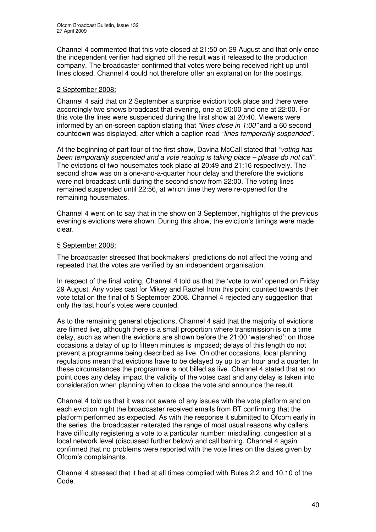Channel 4 commented that this vote closed at 21:50 on 29 August and that only once the independent verifier had signed off the result was it released to the production company. The broadcaster confirmed that votes were being received right up until lines closed. Channel 4 could not therefore offer an explanation for the postings.

### 2 September 2008:

Channel 4 said that on 2 September a surprise eviction took place and there were accordingly two shows broadcast that evening, one at 20:00 and one at 22:00. For this vote the lines were suspended during the first show at 20:40. Viewers were informed by an on-screen caption stating that *"lines close in 1:00"* and a 60 second countdown was displayed, after which a caption read *"lines temporarily suspended*".

At the beginning of part four of the first show, Davina McCall stated that *"voting has been temporarily suspended and a vote reading is taking place – please do not call"*. The evictions of two housemates took place at 20:49 and 21:16 respectively. The second show was on a one-and-a-quarter hour delay and therefore the evictions were not broadcast until during the second show from 22:00. The voting lines remained suspended until 22:56, at which time they were re-opened for the remaining housemates.

Channel 4 went on to say that in the show on 3 September, highlights of the previous evening's evictions were shown. During this show, the eviction's timings were made clear.

### 5 September 2008:

The broadcaster stressed that bookmakers' predictions do not affect the voting and repeated that the votes are verified by an independent organisation.

In respect of the final voting, Channel 4 told us that the 'vote to win' opened on Friday 29 August. Any votes cast for Mikey and Rachel from this point counted towards their vote total on the final of 5 September 2008. Channel 4 rejected any suggestion that only the last hour's votes were counted.

As to the remaining general objections, Channel 4 said that the majority of evictions are filmed live, although there is a small proportion where transmission is on a time delay, such as when the evictions are shown before the 21:00 'watershed': on those occasions a delay of up to fifteen minutes is imposed; delays of this length do not prevent a programme being described as live. On other occasions, local planning regulations mean that evictions have to be delayed by up to an hour and a quarter. In these circumstances the programme is not billed as live. Channel 4 stated that at no point does any delay impact the validity of the votes cast and any delay is taken into consideration when planning when to close the vote and announce the result.

Channel 4 told us that it was not aware of any issues with the vote platform and on each eviction night the broadcaster received emails from BT confirming that the platform performed as expected. As with the response it submitted to Ofcom early in the series, the broadcaster reiterated the range of most usual reasons why callers have difficulty registering a vote to a particular number: misdialling, congestion at a local network level (discussed further below) and call barring. Channel 4 again confirmed that no problems were reported with the vote lines on the dates given by Ofcom's complainants.

Channel 4 stressed that it had at all times complied with Rules 2.2 and 10.10 of the Code.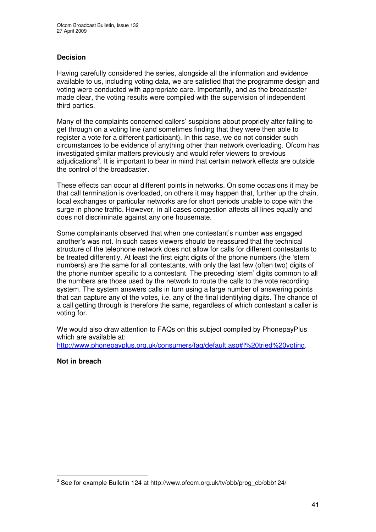### **Decision**

Having carefully considered the series, alongside all the information and evidence available to us, including voting data, we are satisfied that the programme design and voting were conducted with appropriate care. Importantly, and as the broadcaster made clear, the voting results were compiled with the supervision of independent third parties.

Many of the complaints concerned callers' suspicions about propriety after failing to get through on a voting line (and sometimes finding that they were then able to register a vote for a different participant). In this case, we do not consider such circumstances to be evidence of anything other than network overloading. Ofcom has investigated similar matters previously and would refer viewers to previous adjudications<sup>3</sup>. It is important to bear in mind that certain network effects are outside the control of the broadcaster.

These effects can occur at different points in networks. On some occasions it may be that call termination is overloaded, on others it may happen that, further up the chain, local exchanges or particular networks are for short periods unable to cope with the surge in phone traffic. However, in all cases congestion affects all lines equally and does not discriminate against any one housemate.

Some complainants observed that when one contestant's number was engaged another's was not. In such cases viewers should be reassured that the technical structure of the telephone network does not allow for calls for different contestants to be treated differently. At least the first eight digits of the phone numbers (the 'stem' numbers) are the same for all contestants, with only the last few (often two) digits of the phone number specific to a contestant. The preceding 'stem' digits common to all the numbers are those used by the network to route the calls to the vote recording system. The system answers calls in turn using a large number of answering points that can capture any of the votes, i.e. any of the final identifying digits. The chance of a call getting through is therefore the same, regardless of which contestant a caller is voting for.

We would also draw attention to FAQs on this subject compiled by PhonepayPlus which are available at: http://www.phonepayplus.org.uk/consumers/faq/default.asp#I%20tried%20voting.

**Not in breach**

 $^3$  See for example Bulletin 124 at http://www.ofcom.org.uk/tv/obb/prog\_cb/obb124/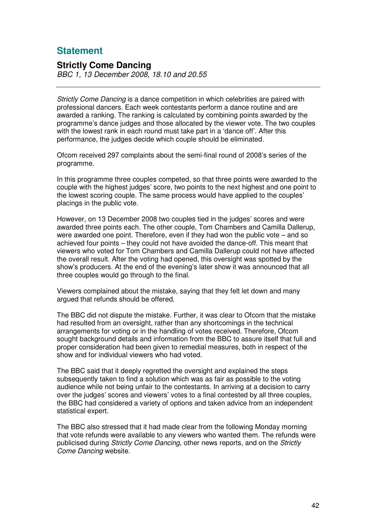# **Statement**

### **Strictly Come Dancing**

*BBC 1, 13 December 2008, 18.10 and 20.55*

*Strictly Come Dancing* is a dance competition in which celebrities are paired with professional dancers. Each week contestants perform a dance routine and are awarded a ranking. The ranking is calculated by combining points awarded by the programme's dance judges and those allocated by the viewer vote. The two couples with the lowest rank in each round must take part in a 'dance off'. After this performance, the judges decide which couple should be eliminated.

Ofcom received 297 complaints about the semi-final round of 2008's series of the programme.

In this programme three couples competed, so that three points were awarded to the couple with the highest judges' score, two points to the next highest and one point to the lowest scoring couple. The same process would have applied to the couples' placings in the public vote.

However, on 13 December 2008 two couples tied in the judges' scores and were awarded three points each. The other couple, Tom Chambers and Camilla Dallerup, were awarded one point. Therefore, even if they had won the public vote – and so achieved four points – they could not have avoided the dance-off. This meant that viewers who voted for Tom Chambers and Camilla Dallerup could not have affected the overall result. After the voting had opened, this oversight was spotted by the show's producers. At the end of the evening's later show it was announced that all three couples would go through to the final.

Viewers complained about the mistake, saying that they felt let down and many argued that refunds should be offered.

The BBC did not dispute the mistake. Further, it was clear to Ofcom that the mistake had resulted from an oversight, rather than any shortcomings in the technical arrangements for voting or in the handling of votes received. Therefore, Ofcom sought background details and information from the BBC to assure itself that full and proper consideration had been given to remedial measures, both in respect of the show and for individual viewers who had voted.

The BBC said that it deeply regretted the oversight and explained the steps subsequently taken to find a solution which was as fair as possible to the voting audience while not being unfair to the contestants. In arriving at a decision to carry over the judges' scores and viewers' votes to a final contested by all three couples, the BBC had considered a variety of options and taken advice from an independent statistical expert.

The BBC also stressed that it had made clear from the following Monday morning that vote refunds were available to any viewers who wanted them. The refunds were publicised during *Strictly Come Dancing*, other news reports, and on the *Strictly Come Dancing* website.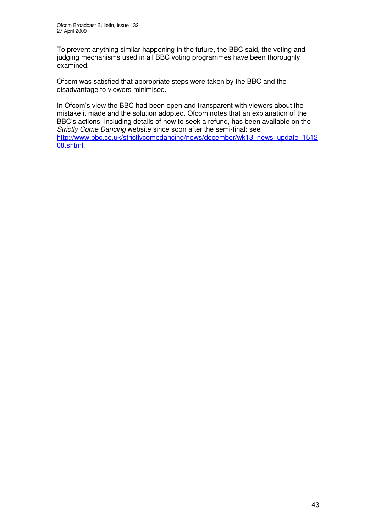To prevent anything similar happening in the future, the BBC said, the voting and judging mechanisms used in all BBC voting programmes have been thoroughly examined.

Ofcom was satisfied that appropriate steps were taken by the BBC and the disadvantage to viewers minimised.

In Ofcom's view the BBC had been open and transparent with viewers about the mistake it made and the solution adopted. Ofcom notes that an explanation of the BBC's actions, including details of how to seek a refund, has been available on the *Strictly Come Dancing* website since soon after the semi-final: see http://www.bbc.co.uk/strictlycomedancing/news/december/wk13\_news\_update\_1512 08.shtml.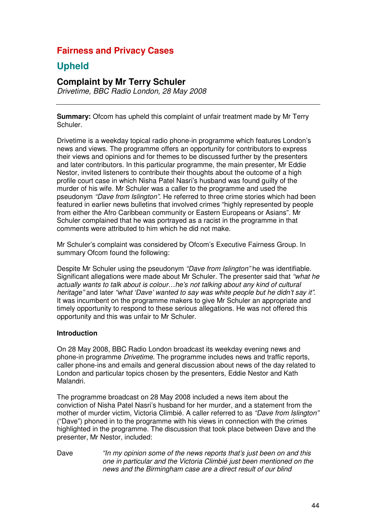# **Fairness and Privacy Cases**

# **Upheld**

# **Complaint by Mr Terry Schuler**

*Drivetime, BBC Radio London, 28 May 2008*

**Summary:** Ofcom has upheld this complaint of unfair treatment made by Mr Terry Schuler.

Drivetime is a weekday topical radio phone-in programme which features London's news and views. The programme offers an opportunity for contributors to express their views and opinions and for themes to be discussed further by the presenters and later contributors. In this particular programme, the main presenter, Mr Eddie Nestor, invited listeners to contribute their thoughts about the outcome of a high profile court case in which Nisha Patel Nasri's husband was found guilty of the murder of his wife. Mr Schuler was a caller to the programme and used the pseudonym *"Dave from Islington"*. He referred to three crime stories which had been featured in earlier news bulletins that involved crimes "highly represented by people from either the Afro Caribbean community or Eastern Europeans or Asians". Mr Schuler complained that he was portrayed as a racist in the programme in that comments were attributed to him which he did not make.

Mr Schuler's complaint was considered by Ofcom's Executive Fairness Group. In summary Ofcom found the following:

Despite Mr Schuler using the pseudonym *"Dave from Islington"* he was identifiable. Significant allegations were made about Mr Schuler. The presenter said that *"what he actually wants to talk about is colour…he's not talking about any kind of cultural heritage"* and later *"what 'Dave' wanted to say was white people but he didn't say it"*. It was incumbent on the programme makers to give Mr Schuler an appropriate and timely opportunity to respond to these serious allegations. He was not offered this opportunity and this was unfair to Mr Schuler.

### **Introduction**

On 28 May 2008, BBC Radio London broadcast its weekday evening news and phone-in programme *Drivetime.* The programme includes news and traffic reports, caller phone-ins and emails and general discussion about news of the day related to London and particular topics chosen by the presenters, Eddie Nestor and Kath Malandri.

The programme broadcast on 28 May 2008 included a news item about the conviction of Nisha Patel Nasri's husband for her murder, and a statement from the mother of murder victim, Victoria Climbié. A caller referred to as *"Dave from Islington"* ("Dave") phoned in to the programme with his views in connection with the crimes highlighted in the programme. The discussion that took place between Dave and the presenter, Mr Nestor, included:

Dave *"In my opinion some of the news reports that's just been on and this one in particular and the Victoria Climbié just been mentioned on the news and the Birmingham case are a direct result of our blind*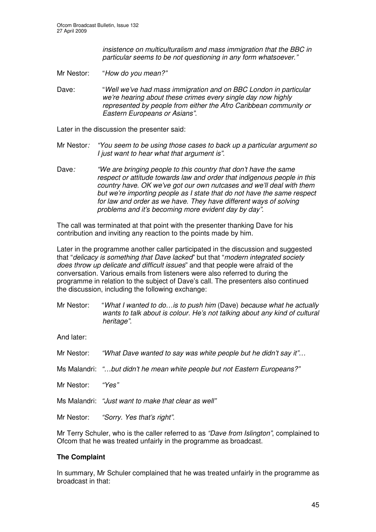*insistence on multiculturalism and mass immigration that the BBC in particular seems to be not questioning in any form whatsoever."*

Mr Nestor: "*How do you mean?"*

Dave: "*Well we've had mass immigration and on BBC London in particular we're hearing about these crimes every single day now highly represented by people from either the Afro Caribbean community or Eastern Europeans or Asians".*

Later in the discussion the presenter said:

- Mr Nestor*: "You seem to be using those cases to back up a particular argument so I just want to hear what that argument is".*
- Dave*: "We are bringing people to this country that don't have the same respect or attitude towards law and order that indigenous people in this country have. OK we've got our own nutcases and we'll deal with them but we're importing people as I state that do not have the same respect for law and order as we have. They have different ways of solving problems and it's becoming more evident day by day".*

The call was terminated at that point with the presenter thanking Dave for his contribution and inviting any reaction to the points made by him.

Later in the programme another caller participated in the discussion and suggested that "*delicacy is something that Dave lacked*" but that "*modern integrated society does throw up delicate and difficult issues*" and that people were afraid of the conversation*.* Various emails from listeners were also referred to during the programme in relation to the subject of Dave's call. The presenters also continued the discussion, including the following exchange:

Mr Nestor: "*What I wanted to do…is to push him* (Dave) *because what he actually wants to talk about is colour. He's not talking about any kind of cultural heritage".*

And later:

|                  | Mr Nestor: "What Dave wanted to say was white people but he didn't say it" |
|------------------|----------------------------------------------------------------------------|
|                  | Ms Malandri: "but didn't he mean white people but not Eastern Europeans?"  |
| Mr Nestor: "Yes" |                                                                            |
|                  | Ms Malandri: "Just want to make that clear as well"                        |
|                  | Mr Nestor: "Sorry. Yes that's right".                                      |

Mr Terry Schuler, who is the caller referred to as *"Dave from Islington"*, complained to Ofcom that he was treated unfairly in the programme as broadcast.

### **The Complaint**

In summary, Mr Schuler complained that he was treated unfairly in the programme as broadcast in that: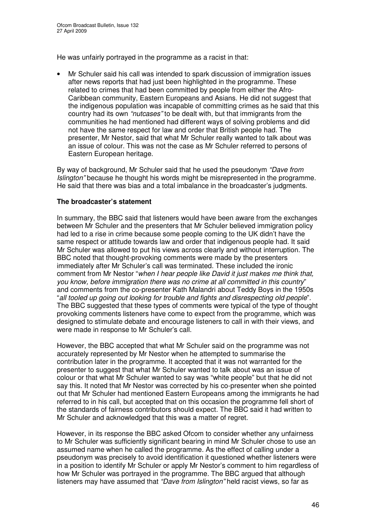He was unfairly portrayed in the programme as a racist in that:

• Mr Schuler said his call was intended to spark discussion of immigration issues after news reports that had just been highlighted in the programme. These related to crimes that had been committed by people from either the Afro-Caribbean community, Eastern Europeans and Asians. He did not suggest that the indigenous population was incapable of committing crimes as he said that this country had its own *"nutcases"* to be dealt with, but that immigrants from the communities he had mentioned had different ways of solving problems and did not have the same respect for law and order that British people had. The presenter, Mr Nestor, said that what Mr Schuler really wanted to talk about was an issue of colour. This was not the case as Mr Schuler referred to persons of Eastern European heritage.

By way of background, Mr Schuler said that he used the pseudonym *"Dave from Islington"* because he thought his words might be misrepresented in the programme. He said that there was bias and a total imbalance in the broadcaster's judgments.

### **The broadcaster's statement**

In summary, the BBC said that listeners would have been aware from the exchanges between Mr Schuler and the presenters that Mr Schuler believed immigration policy had led to a rise in crime because some people coming to the UK didn't have the same respect or attitude towards law and order that indigenous people had. It said Mr Schuler was allowed to put his views across clearly and without interruption. The BBC noted that thought-provoking comments were made by the presenters immediately after Mr Schuler's call was terminated. These included the ironic comment from Mr Nestor "*when I hear people like David it just makes me think that, you know, before immigration there was no crime at all committed in this country*" and comments from the co-presenter Kath Malandri about Teddy Boys in the 1950s "*all tooled up going out looking for trouble and fights and disrespecting old people*". The BBC suggested that these types of comments were typical of the type of thought provoking comments listeners have come to expect from the programme, which was designed to stimulate debate and encourage listeners to call in with their views, and were made in response to Mr Schuler's call.

However, the BBC accepted that what Mr Schuler said on the programme was not accurately represented by Mr Nestor when he attempted to summarise the contribution later in the programme. It accepted that it was not warranted for the presenter to suggest that what Mr Schuler wanted to talk about was an issue of colour or that what Mr Schuler wanted to say was "white people" but that he did not say this. It noted that Mr Nestor was corrected by his co-presenter when she pointed out that Mr Schuler had mentioned Eastern Europeans among the immigrants he had referred to in his call, but accepted that on this occasion the programme fell short of the standards of fairness contributors should expect. The BBC said it had written to Mr Schuler and acknowledged that this was a matter of regret.

However, in its response the BBC asked Ofcom to consider whether any unfairness to Mr Schuler was sufficiently significant bearing in mind Mr Schuler chose to use an assumed name when he called the programme. As the effect of calling under a pseudonym was precisely to avoid identification it questioned whether listeners were in a position to identify Mr Schuler or apply Mr Nestor's comment to him regardless of how Mr Schuler was portrayed in the programme. The BBC argued that although listeners may have assumed that *"Dave from Islington"* held racist views, so far as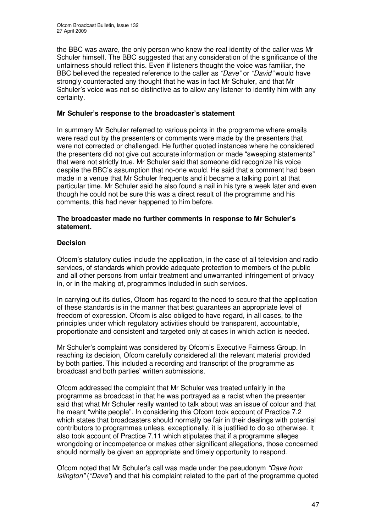the BBC was aware, the only person who knew the real identity of the caller was Mr Schuler himself. The BBC suggested that any consideration of the significance of the unfairness should reflect this. Even if listeners thought the voice was familiar, the BBC believed the repeated reference to the caller as *"Dave"* or *"David"* would have strongly counteracted any thought that he was in fact Mr Schuler, and that Mr Schuler's voice was not so distinctive as to allow any listener to identify him with any certainty.

### **Mr Schuler's response to the broadcaster's statement**

In summary Mr Schuler referred to various points in the programme where emails were read out by the presenters or comments were made by the presenters that were not corrected or challenged. He further quoted instances where he considered the presenters did not give out accurate information or made "sweeping statements" that were not strictly true. Mr Schuler said that someone did recognize his voice despite the BBC's assumption that no-one would. He said that a comment had been made in a venue that Mr Schuler frequents and it became a talking point at that particular time. Mr Schuler said he also found a nail in his tyre a week later and even though he could not be sure this was a direct result of the programme and his comments, this had never happened to him before.

### **The broadcaster made no further comments in response to Mr Schuler's statement.**

### **Decision**

Ofcom's statutory duties include the application, in the case of all television and radio services, of standards which provide adequate protection to members of the public and all other persons from unfair treatment and unwarranted infringement of privacy in, or in the making of, programmes included in such services.

In carrying out its duties, Ofcom has regard to the need to secure that the application of these standards is in the manner that best guarantees an appropriate level of freedom of expression. Ofcom is also obliged to have regard, in all cases, to the principles under which regulatory activities should be transparent, accountable, proportionate and consistent and targeted only at cases in which action is needed.

Mr Schuler's complaint was considered by Ofcom's Executive Fairness Group. In reaching its decision, Ofcom carefully considered all the relevant material provided by both parties. This included a recording and transcript of the programme as broadcast and both parties' written submissions.

Ofcom addressed the complaint that Mr Schuler was treated unfairly in the programme as broadcast in that he was portrayed as a racist when the presenter said that what Mr Schuler really wanted to talk about was an issue of colour and that he meant "white people". In considering this Ofcom took account of Practice 7.2 which states that broadcasters should normally be fair in their dealings with potential contributors to programmes unless, exceptionally, it is justified to do so otherwise. It also took account of Practice 7.11 which stipulates that if a programme alleges wrongdoing or incompetence or makes other significant allegations, those concerned should normally be given an appropriate and timely opportunity to respond.

Ofcom noted that Mr Schuler's call was made under the pseudonym *"Dave from Islington"* (*"Dave"*) and that his complaint related to the part of the programme quoted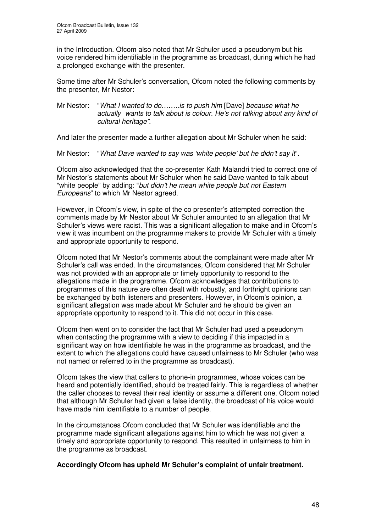in the Introduction. Ofcom also noted that Mr Schuler used a pseudonym but his voice rendered him identifiable in the programme as broadcast, during which he had a prolonged exchange with the presenter.

Some time after Mr Schuler's conversation, Ofcom noted the following comments by the presenter, Mr Nestor:

Mr Nestor: "*What I wanted to do……..is to push him* [Dave] *because what he actually wants to talk about is colour. He's not talking about any kind of cultural heritage".*

And later the presenter made a further allegation about Mr Schuler when he said:

Mr Nestor: "*What Dave wanted to say was 'white people' but he didn't say it*".

Ofcom also acknowledged that the co-presenter Kath Malandri tried to correct one of Mr Nestor's statements about Mr Schuler when he said Dave wanted to talk about "white people" by adding: "*but didn't he mean white people but not Eastern Europeans*" to which Mr Nestor agreed.

However, in Ofcom's view, in spite of the co presenter's attempted correction the comments made by Mr Nestor about Mr Schuler amounted to an allegation that Mr Schuler's views were racist. This was a significant allegation to make and in Ofcom's view it was incumbent on the programme makers to provide Mr Schuler with a timely and appropriate opportunity to respond.

Ofcom noted that Mr Nestor's comments about the complainant were made after Mr Schuler's call was ended. In the circumstances, Ofcom considered that Mr Schuler was not provided with an appropriate or timely opportunity to respond to the allegations made in the programme. Ofcom acknowledges that contributions to programmes of this nature are often dealt with robustly, and forthright opinions can be exchanged by both listeners and presenters. However, in Ofcom's opinion, a significant allegation was made about Mr Schuler and he should be given an appropriate opportunity to respond to it. This did not occur in this case.

Ofcom then went on to consider the fact that Mr Schuler had used a pseudonym when contacting the programme with a view to deciding if this impacted in a significant way on how identifiable he was in the programme as broadcast, and the extent to which the allegations could have caused unfairness to Mr Schuler (who was not named or referred to in the programme as broadcast).

Ofcom takes the view that callers to phone-in programmes, whose voices can be heard and potentially identified, should be treated fairly. This is regardless of whether the caller chooses to reveal their real identity or assume a different one. Ofcom noted that although Mr Schuler had given a false identity, the broadcast of his voice would have made him identifiable to a number of people.

In the circumstances Ofcom concluded that Mr Schuler was identifiable and the programme made significant allegations against him to which he was not given a timely and appropriate opportunity to respond. This resulted in unfairness to him in the programme as broadcast.

### **Accordingly Ofcom has upheld Mr Schuler's complaint of unfair treatment.**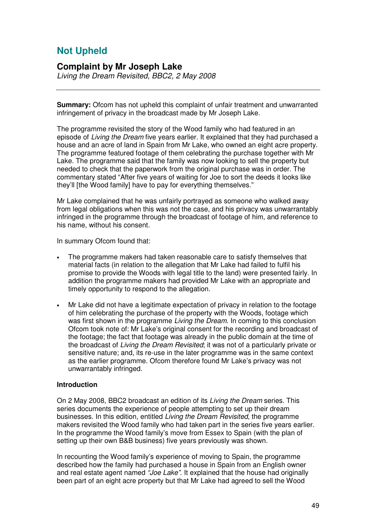# **Not Upheld**

### **Complaint by Mr Joseph Lake**

*Living the Dream Revisited, BBC2, 2 May 2008*

**Summary:** Ofcom has not upheld this complaint of unfair treatment and unwarranted infringement of privacy in the broadcast made by Mr Joseph Lake.

The programme revisited the story of the Wood family who had featured in an episode of *Living the Dream* five years earlier. It explained that they had purchased a house and an acre of land in Spain from Mr Lake, who owned an eight acre property. The programme featured footage of them celebrating the purchase together with Mr Lake. The programme said that the family was now looking to sell the property but needed to check that the paperwork from the original purchase was in order. The commentary stated "After five years of waiting for Joe to sort the deeds it looks like they'll [the Wood family] have to pay for everything themselves."

Mr Lake complained that he was unfairly portrayed as someone who walked away from legal obligations when this was not the case, and his privacy was unwarrantably infringed in the programme through the broadcast of footage of him, and reference to his name, without his consent.

In summary Ofcom found that:

- The programme makers had taken reasonable care to satisfy themselves that material facts (in relation to the allegation that Mr Lake had failed to fulfil his promise to provide the Woods with legal title to the land) were presented fairly. In addition the programme makers had provided Mr Lake with an appropriate and timely opportunity to respond to the allegation.
- Mr Lake did not have a legitimate expectation of privacy in relation to the footage of him celebrating the purchase of the property with the Woods, footage which was first shown in the programme *Living the Dream*. In coming to this conclusion Ofcom took note of: Mr Lake's original consent for the recording and broadcast of the footage; the fact that footage was already in the public domain at the time of the broadcast of *Living the Dream Revisited*; it was not of a particularly private or sensitive nature; and, its re-use in the later programme was in the same context as the earlier programme. Ofcom therefore found Mr Lake's privacy was not unwarrantably infringed.

### **Introduction**

On 2 May 2008, BBC2 broadcast an edition of its *Living the Dream* series. This series documents the experience of people attempting to set up their dream businesses. In this edition, entitled *Living the Dream Revisited*, the programme makers revisited the Wood family who had taken part in the series five years earlier. In the programme the Wood family's move from Essex to Spain (with the plan of setting up their own B&B business) five years previously was shown.

In recounting the Wood family's experience of moving to Spain, the programme described how the family had purchased a house in Spain from an English owner and real estate agent named *"Joe Lake"*. It explained that the house had originally been part of an eight acre property but that Mr Lake had agreed to sell the Wood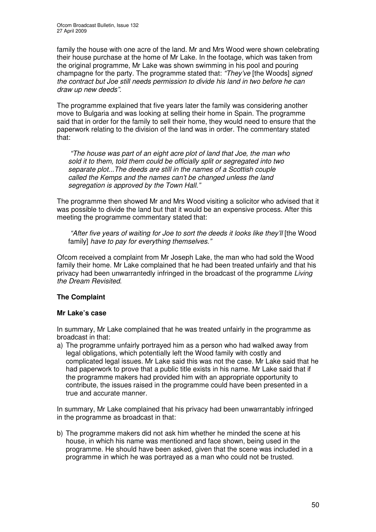family the house with one acre of the land. Mr and Mrs Wood were shown celebrating their house purchase at the home of Mr Lake. In the footage, which was taken from the original programme, Mr Lake was shown swimming in his pool and pouring champagne for the party. The programme stated that: *"They've* [the Woods] *signed the contract but Joe still needs permission to divide his land in two before he can draw up new deeds".*

The programme explained that five years later the family was considering another move to Bulgaria and was looking at selling their home in Spain. The programme said that in order for the family to sell their home, they would need to ensure that the paperwork relating to the division of the land was in order. The commentary stated that:

*"The house was part of an eight acre plot of land that Joe, the man who sold it to them, told them could be officially split or segregated into two separate plot...The deeds are still in the names of a Scottish couple called the Kemps and the names can't be changed unless the land segregation is approved by the Town Hall."*

The programme then showed Mr and Mrs Wood visiting a solicitor who advised that it was possible to divide the land but that it would be an expensive process. After this meeting the programme commentary stated that:

*"After five years of waiting for Joe to sort the deeds it looks like they'll* [the Wood family] *have to pay for everything themselves."*

Ofcom received a complaint from Mr Joseph Lake, the man who had sold the Wood family their home. Mr Lake complained that he had been treated unfairly and that his privacy had been unwarrantedly infringed in the broadcast of the programme *Living the Dream Revisited*.

### **The Complaint**

### **Mr Lake's case**

In summary, Mr Lake complained that he was treated unfairly in the programme as broadcast in that:

a) The programme unfairly portrayed him as a person who had walked away from legal obligations, which potentially left the Wood family with costly and complicated legal issues. Mr Lake said this was not the case. Mr Lake said that he had paperwork to prove that a public title exists in his name. Mr Lake said that if the programme makers had provided him with an appropriate opportunity to contribute, the issues raised in the programme could have been presented in a true and accurate manner.

In summary, Mr Lake complained that his privacy had been unwarrantably infringed in the programme as broadcast in that:

b) The programme makers did not ask him whether he minded the scene at his house, in which his name was mentioned and face shown, being used in the programme. He should have been asked, given that the scene was included in a programme in which he was portrayed as a man who could not be trusted.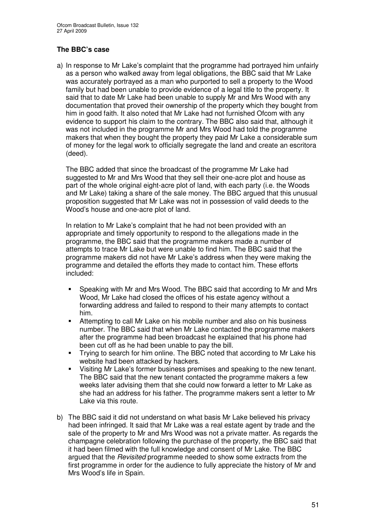### **The BBC's case**

a) In response to Mr Lake's complaint that the programme had portrayed him unfairly as a person who walked away from legal obligations, the BBC said that Mr Lake was accurately portrayed as a man who purported to sell a property to the Wood family but had been unable to provide evidence of a legal title to the property. It said that to date Mr Lake had been unable to supply Mr and Mrs Wood with any documentation that proved their ownership of the property which they bought from him in good faith. It also noted that Mr Lake had not furnished Ofcom with any evidence to support his claim to the contrary. The BBC also said that, although it was not included in the programme Mr and Mrs Wood had told the programme makers that when they bought the property they paid Mr Lake a considerable sum of money for the legal work to officially segregate the land and create an escritora (deed).

The BBC added that since the broadcast of the programme Mr Lake had suggested to Mr and Mrs Wood that they sell their one-acre plot and house as part of the whole original eight-acre plot of land, with each party (i.e. the Woods and Mr Lake) taking a share of the sale money. The BBC argued that this unusual proposition suggested that Mr Lake was not in possession of valid deeds to the Wood's house and one-acre plot of land.

In relation to Mr Lake's complaint that he had not been provided with an appropriate and timely opportunity to respond to the allegations made in the programme, the BBC said that the programme makers made a number of attempts to trace Mr Lake but were unable to find him. The BBC said that the programme makers did not have Mr Lake's address when they were making the programme and detailed the efforts they made to contact him. These efforts included:

- Speaking with Mr and Mrs Wood. The BBC said that according to Mr and Mrs Wood, Mr Lake had closed the offices of his estate agency without a forwarding address and failed to respond to their many attempts to contact him.
- **Attempting to call Mr Lake on his mobile number and also on his business** number. The BBC said that when Mr Lake contacted the programme makers after the programme had been broadcast he explained that his phone had been cut off as he had been unable to pay the bill.
- Trying to search for him online. The BBC noted that according to Mr Lake his website had been attacked by hackers.
- Visiting Mr Lake's former business premises and speaking to the new tenant. The BBC said that the new tenant contacted the programme makers a few weeks later advising them that she could now forward a letter to Mr Lake as she had an address for his father. The programme makers sent a letter to Mr Lake via this route.
- b) The BBC said it did not understand on what basis Mr Lake believed his privacy had been infringed. It said that Mr Lake was a real estate agent by trade and the sale of the property to Mr and Mrs Wood was not a private matter. As regards the champagne celebration following the purchase of the property, the BBC said that it had been filmed with the full knowledge and consent of Mr Lake. The BBC argued that the *Revisited* programme needed to show some extracts from the first programme in order for the audience to fully appreciate the history of Mr and Mrs Wood's life in Spain.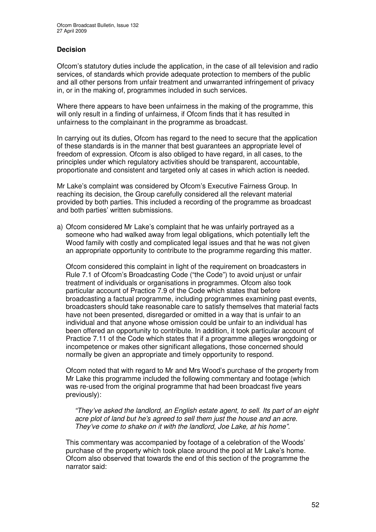### **Decision**

Ofcom's statutory duties include the application, in the case of all television and radio services, of standards which provide adequate protection to members of the public and all other persons from unfair treatment and unwarranted infringement of privacy in, or in the making of, programmes included in such services.

Where there appears to have been unfairness in the making of the programme, this will only result in a finding of unfairness, if Ofcom finds that it has resulted in unfairness to the complainant in the programme as broadcast.

In carrying out its duties, Ofcom has regard to the need to secure that the application of these standards is in the manner that best guarantees an appropriate level of freedom of expression. Ofcom is also obliged to have regard, in all cases, to the principles under which regulatory activities should be transparent, accountable, proportionate and consistent and targeted only at cases in which action is needed.

Mr Lake's complaint was considered by Ofcom's Executive Fairness Group. In reaching its decision, the Group carefully considered all the relevant material provided by both parties. This included a recording of the programme as broadcast and both parties' written submissions.

a) Ofcom considered Mr Lake's complaint that he was unfairly portrayed as a someone who had walked away from legal obligations, which potentially left the Wood family with costly and complicated legal issues and that he was not given an appropriate opportunity to contribute to the programme regarding this matter.

Ofcom considered this complaint in light of the requirement on broadcasters in Rule 7.1 of Ofcom's Broadcasting Code ("the Code") to avoid unjust or unfair treatment of individuals or organisations in programmes. Ofcom also took particular account of Practice 7.9 of the Code which states that before broadcasting a factual programme, including programmes examining past events, broadcasters should take reasonable care to satisfy themselves that material facts have not been presented, disregarded or omitted in a way that is unfair to an individual and that anyone whose omission could be unfair to an individual has been offered an opportunity to contribute. In addition, it took particular account of Practice 7.11 of the Code which states that if a programme alleges wrongdoing or incompetence or makes other significant allegations, those concerned should normally be given an appropriate and timely opportunity to respond.

Ofcom noted that with regard to Mr and Mrs Wood's purchase of the property from Mr Lake this programme included the following commentary and footage (which was re-used from the original programme that had been broadcast five years previously):

*"They've asked the landlord, an English estate agent, to sell. Its part of an eight acre plot of land but he's agreed to sell them just the house and an acre. They've come to shake on it with the landlord, Joe Lake, at his home".*

This commentary was accompanied by footage of a celebration of the Woods' purchase of the property which took place around the pool at Mr Lake's home. Ofcom also observed that towards the end of this section of the programme the narrator said: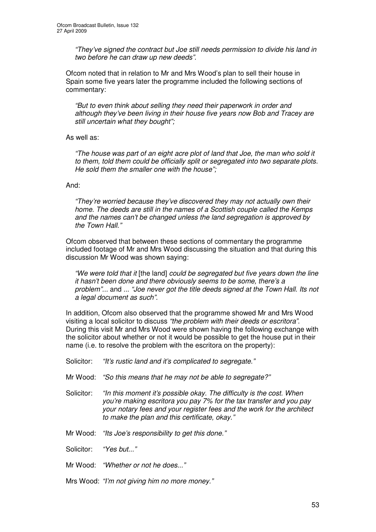*"They've signed the contract but Joe still needs permission to divide his land in two before he can draw up new deeds".*

Ofcom noted that in relation to Mr and Mrs Wood's plan to sell their house in Spain some five years later the programme included the following sections of commentary:

*"But to even think about selling they need their paperwork in order and although they've been living in their house five years now Bob and Tracey are still uncertain what they bought";*

As well as:

*"The house was part of an eight acre plot of land that Joe, the man who sold it to them, told them could be officially split or segregated into two separate plots. He sold them the smaller one with the house";*

### And:

*"They're worried because they've discovered they may not actually own their home. The deeds are still in the names of a Scottish couple called the Kemps and the names can't be changed unless the land segregation is approved by the Town Hall."*

Ofcom observed that between these sections of commentary the programme included footage of Mr and Mrs Wood discussing the situation and that during this discussion Mr Wood was shown saying:

*"We were told that it* [the land] *could be segregated but five years down the line it hasn't been done and there obviously seems to be some, there's a problem"...* and *... "Joe never got the title deeds signed at the Town Hall. Its not a legal document as such".*

In addition, Ofcom also observed that the programme showed Mr and Mrs Wood visiting a local solicitor to discuss *"the problem with their deeds or escritora"*. During this visit Mr and Mrs Wood were shown having the following exchange with the solicitor about whether or not it would be possible to get the house put in their name (i.e. to resolve the problem with the escritora on the property):

- Solicitor: *"It's rustic land and it's complicated to segregate."*
- Mr Wood: *"So this means that he may not be able to segregate?"*
- Solicitor: *"In this moment it's possible okay. The difficulty is the cost. When you're making escritora you pay 7% for the tax transfer and you pay your notary fees and your register fees and the work for the architect to make the plan and this certificate, okay."*
- Mr Wood: *"Its Joe's responsibility to get this done."*

Solicitor: *"Yes but..."*

Mr Wood: *"Whether or not he does..."*

Mrs Wood: *"I'm not giving him no more money."*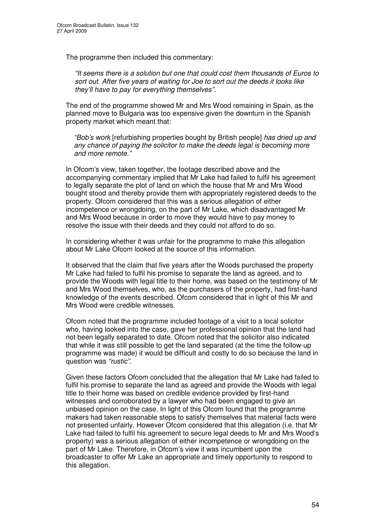The programme then included this commentary:

*"It seems there is a solution but one that could cost them thousands of Euros to sort out. After five years of waiting for Joe to sort out the deeds it looks like they'll have to pay for everything themselves".*

The end of the programme showed Mr and Mrs Wood remaining in Spain, as the planned move to Bulgaria was too expensive given the downturn in the Spanish property market which meant that:

*"Bob's work* [refurbishing properties bought by British people] *has dried up and any chance of paying the solicitor to make the deeds legal is becoming more and more remote."*

In Ofcom's view, taken together, the footage described above and the accompanying commentary implied that Mr Lake had failed to fulfil his agreement to legally separate the plot of land on which the house that Mr and Mrs Wood bought stood and thereby provide them with appropriately registered deeds to the property. Ofcom considered that this was a serious allegation of either incompetence or wrongdoing, on the part of Mr Lake, which disadvantaged Mr and Mrs Wood because in order to move they would have to pay money to resolve the issue with their deeds and they could not afford to do so.

In considering whether it was unfair for the programme to make this allegation about Mr Lake Ofcom looked at the source of this information.

It observed that the claim that five years after the Woods purchased the property Mr Lake had failed to fulfil his promise to separate the land as agreed, and to provide the Woods with legal title to their home, was based on the testimony of Mr and Mrs Wood themselves, who, as the purchasers of the property, had first-hand knowledge of the events described. Ofcom considered that in light of this Mr and Mrs Wood were credible witnesses.

Ofcom noted that the programme included footage of a visit to a local solicitor who, having looked into the case, gave her professional opinion that the land had not been legally separated to date. Ofcom noted that the solicitor also indicated that while it was still possible to get the land separated (at the time the follow-up programme was made) it would be difficult and costly to do so because the land in question was *"rustic"*.

Given these factors Ofcom concluded that the allegation that Mr Lake had failed to fulfil his promise to separate the land as agreed and provide the Woods with legal title to their home was based on credible evidence provided by first-hand witnesses and corroborated by a lawyer who had been engaged to give an unbiased opinion on the case. In light of this Ofcom found that the programme makers had taken reasonable steps to satisfy themselves that material facts were not presented unfairly. However Ofcom considered that this allegation (i.e. that Mr Lake had failed to fulfil his agreement to secure legal deeds to Mr and Mrs Wood's property) was a serious allegation of either incompetence or wrongdoing on the part of Mr Lake. Therefore, in Ofcom's view it was incumbent upon the broadcaster to offer Mr Lake an appropriate and timely opportunity to respond to this allegation.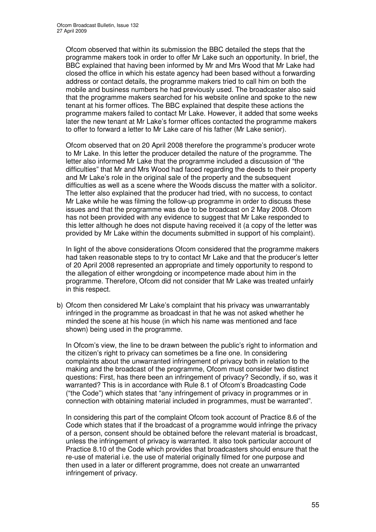Ofcom observed that within its submission the BBC detailed the steps that the programme makers took in order to offer Mr Lake such an opportunity. In brief, the BBC explained that having been informed by Mr and Mrs Wood that Mr Lake had closed the office in which his estate agency had been based without a forwarding address or contact details, the programme makers tried to call him on both the mobile and business numbers he had previously used. The broadcaster also said that the programme makers searched for his website online and spoke to the new tenant at his former offices. The BBC explained that despite these actions the programme makers failed to contact Mr Lake. However, it added that some weeks later the new tenant at Mr Lake's former offices contacted the programme makers to offer to forward a letter to Mr Lake care of his father (Mr Lake senior).

Ofcom observed that on 20 April 2008 therefore the programme's producer wrote to Mr Lake. In this letter the producer detailed the nature of the programme. The letter also informed Mr Lake that the programme included a discussion of "the difficulties" that Mr and Mrs Wood had faced regarding the deeds to their property and Mr Lake's role in the original sale of the property and the subsequent difficulties as well as a scene where the Woods discuss the matter with a solicitor. The letter also explained that the producer had tried, with no success, to contact Mr Lake while he was filming the follow-up programme in order to discuss these issues and that the programme was due to be broadcast on 2 May 2008. Ofcom has not been provided with any evidence to suggest that Mr Lake responded to this letter although he does not dispute having received it (a copy of the letter was provided by Mr Lake within the documents submitted in support of his complaint).

In light of the above considerations Ofcom considered that the programme makers had taken reasonable steps to try to contact Mr Lake and that the producer's letter of 20 April 2008 represented an appropriate and timely opportunity to respond to the allegation of either wrongdoing or incompetence made about him in the programme. Therefore, Ofcom did not consider that Mr Lake was treated unfairly in this respect.

b) Ofcom then considered Mr Lake's complaint that his privacy was unwarrantably infringed in the programme as broadcast in that he was not asked whether he minded the scene at his house (in which his name was mentioned and face shown) being used in the programme.

In Ofcom's view, the line to be drawn between the public's right to information and the citizen's right to privacy can sometimes be a fine one. In considering complaints about the unwarranted infringement of privacy both in relation to the making and the broadcast of the programme, Ofcom must consider two distinct questions: First, has there been an infringement of privacy? Secondly, if so, was it warranted? This is in accordance with Rule 8.1 of Ofcom's Broadcasting Code ("the Code") which states that "any infringement of privacy in programmes or in connection with obtaining material included in programmes, must be warranted".

In considering this part of the complaint Ofcom took account of Practice 8.6 of the Code which states that if the broadcast of a programme would infringe the privacy of a person, consent should be obtained before the relevant material is broadcast, unless the infringement of privacy is warranted. It also took particular account of Practice 8.10 of the Code which provides that broadcasters should ensure that the re-use of material i.e. the use of material originally filmed for one purpose and then used in a later or different programme, does not create an unwarranted infringement of privacy.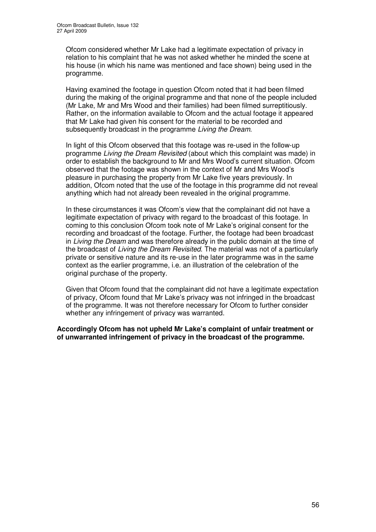Ofcom considered whether Mr Lake had a legitimate expectation of privacy in relation to his complaint that he was not asked whether he minded the scene at his house (in which his name was mentioned and face shown) being used in the programme.

Having examined the footage in question Ofcom noted that it had been filmed during the making of the original programme and that none of the people included (Mr Lake, Mr and Mrs Wood and their families) had been filmed surreptitiously. Rather, on the information available to Ofcom and the actual footage it appeared that Mr Lake had given his consent for the material to be recorded and subsequently broadcast in the programme *Living the Dream*.

In light of this Ofcom observed that this footage was re-used in the follow-up programme *Living the Dream Revisited* (about which this complaint was made) in order to establish the background to Mr and Mrs Wood's current situation. Ofcom observed that the footage was shown in the context of Mr and Mrs Wood's pleasure in purchasing the property from Mr Lake five years previously. In addition, Ofcom noted that the use of the footage in this programme did not reveal anything which had not already been revealed in the original programme.

In these circumstances it was Ofcom's view that the complainant did not have a legitimate expectation of privacy with regard to the broadcast of this footage. In coming to this conclusion Ofcom took note of Mr Lake's original consent for the recording and broadcast of the footage. Further, the footage had been broadcast in *Living the Dream* and was therefore already in the public domain at the time of the broadcast of *Living the Dream Revisited*. The material was not of a particularly private or sensitive nature and its re-use in the later programme was in the same context as the earlier programme, i.e. an illustration of the celebration of the original purchase of the property.

Given that Ofcom found that the complainant did not have a legitimate expectation of privacy, Ofcom found that Mr Lake's privacy was not infringed in the broadcast of the programme. It was not therefore necessary for Ofcom to further consider whether any infringement of privacy was warranted.

**Accordingly Ofcom has not upheld Mr Lake's complaint of unfair treatment or of unwarranted infringement of privacy in the broadcast of the programme.**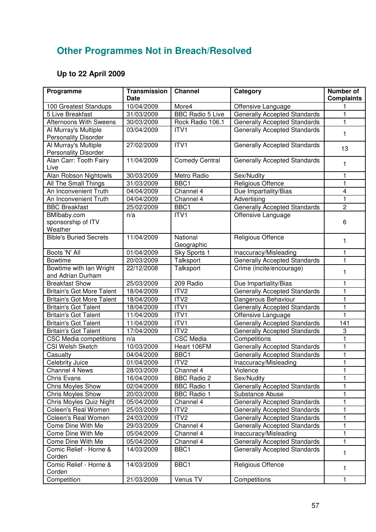# **Other Programmes Not in Breach/Resolved**

# **Up to 22 April 2009**

| Programme                        | <b>Transmission</b><br><b>Date</b> | <b>Channel</b>          | Category                            | <b>Number of</b><br><b>Complaints</b> |
|----------------------------------|------------------------------------|-------------------------|-------------------------------------|---------------------------------------|
| 100 Greatest Standups            | 10/04/2009                         | More4                   | Offensive Language                  |                                       |
| 5 Live Breakfast                 | 31/03/2009                         | <b>BBC Radio 5 Live</b> | <b>Generally Accepted Standards</b> | 1                                     |
| <b>Afternoons With Sweens</b>    | 30/03/2009                         | Rock Radio 106.1        | <b>Generally Accepted Standards</b> | 1                                     |
| Al Murray's Multiple             | 03/04/2009                         | ITV1                    | <b>Generally Accepted Standards</b> |                                       |
| <b>Personality Disorder</b>      |                                    |                         |                                     | 1                                     |
| Al Murray's Multiple             | 27/02/2009                         | ITVI                    | Generally Accepted Standards        |                                       |
| <b>Personality Disorder</b>      |                                    |                         |                                     | 13                                    |
| Alan Carr: Tooth Fairy           | 11/04/2009                         | <b>Comedy Central</b>   | <b>Generally Accepted Standards</b> | 1                                     |
| Live                             |                                    |                         |                                     |                                       |
| Alan Robson Nightowls            | 30/03/2009                         | Metro Radio             | Sex/Nudity                          | 1                                     |
| All The Small Things             | 31/03/2009                         | BBC1                    | Religious Offence                   | 1                                     |
| An Inconvenient Truth            | 04/04/2009                         | Channel 4               | Due Impartiality/Bias               | $\overline{\mathbf{4}}$               |
| An Inconvenient Truth            | 04/04/2009                         | Channel 4               | Advertising                         | 1                                     |
| <b>BBC Breakfast</b>             | 25/02/2009                         | BBC1                    | <b>Generally Accepted Standards</b> | $\overline{c}$                        |
| BMIbaby.com                      | n/a                                | ITV1                    | Offensive Language                  |                                       |
| sponsorship of ITV               |                                    |                         |                                     | 6                                     |
| Weather                          |                                    |                         |                                     |                                       |
| <b>Bible's Buried Secrets</b>    | 11/04/2009                         | National<br>Geographic  | Religious Offence                   | 1                                     |
| Boots 'N' All                    | 01/04/2009                         | Sky Sports 1            | Inaccuracy/Misleading               | 1                                     |
| <b>Bowtime</b>                   | 20/03/2009                         | Talksport               | <b>Generally Accepted Standards</b> | 1                                     |
| Bowtime with Ian Wright          | 22/12/2008                         | Talksport               | Crime (incite/encourage)            |                                       |
| and Adrian Durham                |                                    |                         |                                     | 1                                     |
| <b>Breakfast Show</b>            | 25/03/2009                         | 209 Radio               | Due Impartiality/Bias               | 1                                     |
| <b>Britain's Got More Talent</b> | 18/04/2009                         | ITV <sub>2</sub>        | <b>Generally Accepted Standards</b> | 1                                     |
| <b>Britain's Got More Talent</b> | 18/04/2009                         | ITV <sub>2</sub>        | Dangerous Behaviour                 | 1                                     |
| <b>Britain's Got Talent</b>      | 18/04/2009                         | ITV1                    | Generally Accepted Standards        | 1                                     |
| <b>Britain's Got Talent</b>      | 11/04/2009                         | ITV1                    | Offensive Language                  | 1                                     |
| <b>Britain's Got Talent</b>      | 11/04/2009                         | ITV1                    | Generally Accepted Standards        | 141                                   |
| <b>Britain's Got Talent</b>      | 17/04/2009                         | ITV2                    | <b>Generally Accepted Standards</b> | 3                                     |
| <b>CSC Media competitions</b>    | n/a                                | <b>CSC Media</b>        | Competitions                        | 1                                     |
| <b>CSI Welsh Sketch</b>          | 10/03/2009                         | Heart 106FM             | <b>Generally Accepted Standards</b> | 1                                     |
| Casualty                         | 04/04/2009                         | BBC1                    | <b>Generally Accepted Standards</b> | 1                                     |
| Celebrity Juice                  | 01/04/2009                         | ITV <sub>2</sub>        | Inaccuracy/Misleading               | 1                                     |
| Channel 4 News                   | 28/03/2009                         | Channel 4               | Violence                            |                                       |
| Chris Evans                      | 16/04/2009                         | <b>BBC Radio 2</b>      | Sex/Nudity                          |                                       |
| <b>Chris Moyles Show</b>         | 02/04/2009                         | <b>BBC Radio 1</b>      | <b>Generally Accepted Standards</b> | 1                                     |
| <b>Chris Moyles Show</b>         | 20/03/2009                         | <b>BBC Radio 1</b>      | Substance Abuse                     | 1                                     |
| Chris Moyles Quiz Night          | 05/04/2009                         | Channel 4               | <b>Generally Accepted Standards</b> | 1                                     |
| Coleen's Real Women              | 25/03/2009                         | ITV <sub>2</sub>        | <b>Generally Accepted Standards</b> | 1                                     |
| Coleen's Real Women              | 24/03/2009                         | ITV <sub>2</sub>        | <b>Generally Accepted Standards</b> | 1                                     |
| Come Dine With Me                | 29/03/2009                         | Channel 4               | <b>Generally Accepted Standards</b> |                                       |
| Come Dine With Me                | 05/04/2009                         | Channel 4               | Inaccuracy/Misleading               | 1                                     |
| Come Dine With Me                | 05/04/2009                         | Channel 4               | <b>Generally Accepted Standards</b> | 1                                     |
| Comic Relief - Horne &           | 14/03/2009                         | BBC1                    | <b>Generally Accepted Standards</b> | 1                                     |
| Corden                           |                                    |                         |                                     |                                       |
| Comic Relief - Horne &           | 14/03/2009                         | BBC1                    | Religious Offence                   | 1                                     |
| Corden                           |                                    |                         |                                     |                                       |
| Competition                      | 21/03/2009                         | Venus TV                | Competitions                        | 1                                     |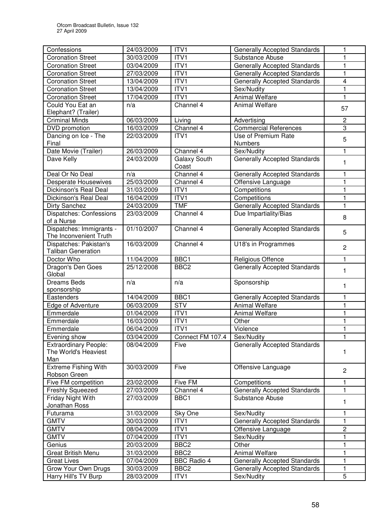| Confessions                                                 | 24/03/2009 | ITV1               | <b>Generally Accepted Standards</b>                    | 1                       |
|-------------------------------------------------------------|------------|--------------------|--------------------------------------------------------|-------------------------|
| <b>Coronation Street</b>                                    | 30/03/2009 | ITV1               | Substance Abuse                                        | 1                       |
| <b>Coronation Street</b>                                    | 03/04/2009 | ITV1               | <b>Generally Accepted Standards</b>                    | 1                       |
| <b>Coronation Street</b>                                    | 27/03/2009 | ITV1               | <b>Generally Accepted Standards</b>                    | 1                       |
| <b>Coronation Street</b>                                    | 13/04/2009 | ITV1               | <b>Generally Accepted Standards</b>                    | $\overline{\mathbf{4}}$ |
| <b>Coronation Street</b>                                    | 13/04/2009 | ITV1               | Sex/Nudity                                             | 1                       |
| <b>Coronation Street</b>                                    | 17/04/2009 | ITV1               | <b>Animal Welfare</b>                                  | 1                       |
| Could You Eat an                                            | n/a        | Channel 4          | <b>Animal Welfare</b>                                  |                         |
| Elephant? (Trailer)                                         |            |                    |                                                        | 57                      |
| <b>Criminal Minds</b>                                       | 06/03/2009 | Living             | Advertising                                            | $\overline{c}$          |
| DVD promotion                                               | 16/03/2009 | Channel 4          | <b>Commercial References</b>                           | $\overline{3}$          |
| Dancing on Ice - The<br>Final                               | 22/03/2009 | ITV1               | Use of Premium Rate<br>Numbers                         | 5                       |
| Date Movie (Trailer)                                        | 26/03/2009 | Channel 4          | Sex/Nudity                                             | 1                       |
| Dave Kelly                                                  | 24/03/2009 | Galaxy South       | <b>Generally Accepted Standards</b>                    | 1                       |
|                                                             |            | Coast              |                                                        |                         |
| Deal Or No Deal                                             | n/a        | Channel 4          | Generally Accepted Standards                           | 1                       |
| <b>Desperate Housewives</b>                                 | 25/03/2009 | Channel 4          | Offensive Language                                     | $\mathbf{1}$            |
| Dickinson's Real Deal                                       | 31/03/2009 | ITV1               | Competitions                                           | $\mathbf{1}$            |
| Dickinson's Real Deal                                       | 16/04/2009 | ITV1               | Competitions                                           | 1                       |
| Dirty Sanchez                                               | 24/03/2009 | <b>TMF</b>         | <b>Generally Accepted Standards</b>                    | 1                       |
| Dispatches: Confessions<br>of a Nurse                       | 23/03/2009 | Channel 4          | Due Impartiality/Bias                                  | 8                       |
| Dispatches: Immigrants -<br>The Inconvenient Truth          | 01/10/2007 | Channel 4          | <b>Generally Accepted Standards</b>                    | 5                       |
| Dispatches: Pakistan's<br><b>Taliban Generation</b>         | 16/03/2009 | Channel 4          | U18's in Programmes                                    | $\overline{2}$          |
| Doctor Who                                                  | 11/04/2009 | BBC1               | Religious Offence                                      | 1                       |
| Dragon's Den Goes                                           | 25/12/2008 | BBC <sub>2</sub>   | <b>Generally Accepted Standards</b>                    |                         |
|                                                             |            |                    |                                                        | 1                       |
| Global<br><b>Dreams Beds</b>                                | n/a        | n/a                | Sponsorship                                            | 1                       |
| sponsorship                                                 |            |                    |                                                        |                         |
| Eastenders                                                  | 14/04/2009 | BBC1               | Generally Accepted Standards                           | 1                       |
| Edge of Adventure                                           | 06/03/2009 | <b>STV</b>         | <b>Animal Welfare</b>                                  | 1                       |
| Emmerdale                                                   | 01/04/2009 | ITV1               | <b>Animal Welfare</b>                                  | 1                       |
| Emmerdale                                                   | 16/03/2009 | ITV1               | Other                                                  | 1                       |
| Emmerdale                                                   | 06/04/2009 | ITVI               | Violence                                               | 1                       |
| Evening show                                                | 03/04/2009 | Connect FM 107.4   | Sex/Nudity                                             |                         |
| <b>Extraordinary People:</b><br>The World's Heaviest<br>Man | 08/04/2009 | Five               | <b>Generally Accepted Standards</b>                    | 1                       |
| <b>Extreme Fishing With</b><br>Robson Green                 | 30/03/2009 | Five               | Offensive Language                                     | $\overline{2}$          |
| Five FM competition                                         | 23/02/2009 | Five FM            | Competitions                                           |                         |
|                                                             | 27/03/2009 | Channel 4          |                                                        | 1                       |
| Freshly Squeezed<br>Friday Night With                       | 27/03/2009 | BBC1               | <b>Generally Accepted Standards</b><br>Substance Abuse |                         |
| Jonathan Ross                                               |            |                    |                                                        | 1                       |
| Futurama                                                    | 31/03/2009 | Sky One            | Sex/Nudity                                             | 1                       |
| <b>GMTV</b>                                                 | 30/03/2009 | ITV1               | <b>Generally Accepted Standards</b>                    | 1                       |
| <b>GMTV</b>                                                 | 08/04/2009 | ITV1               | Offensive Language                                     | $\overline{c}$          |
| <b>GMTV</b>                                                 | 07/04/2009 | ITV1               | Sex/Nudity                                             | 1                       |
| Genius                                                      | 20/03/2009 | BBC <sub>2</sub>   | Other                                                  | 1                       |
| Great British Menu                                          | 31/03/2009 | BBC <sub>2</sub>   | <b>Animal Welfare</b>                                  | 1                       |
| <b>Great Lives</b>                                          | 07/04/2009 | <b>BBC Radio 4</b> | <b>Generally Accepted Standards</b>                    | 1                       |
| Grow Your Own Drugs                                         | 30/03/2009 | BBC <sub>2</sub>   | <b>Generally Accepted Standards</b>                    | 1                       |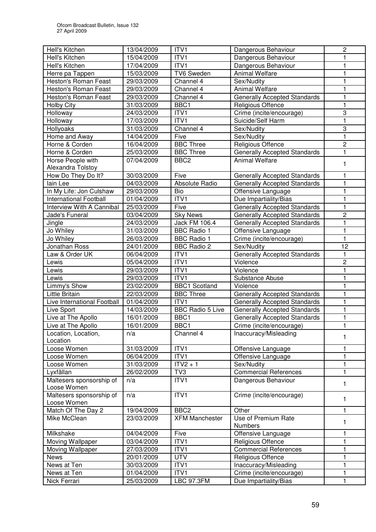| Hell's Kitchen                | 13/04/2009 | ITV1                    | Dangerous Behaviour                 | $\overline{c}$ |
|-------------------------------|------------|-------------------------|-------------------------------------|----------------|
| Hell's Kitchen                | 15/04/2009 | ITV1                    | Dangerous Behaviour                 | 1              |
| Hell's Kitchen                | 17/04/2009 | ITV1                    | Dangerous Behaviour                 | 1              |
| Herre pa Tappen               | 15/03/2009 | <b>TV6 Sweden</b>       | <b>Animal Welfare</b>               | 1              |
| <b>Heston's Roman Feast</b>   | 29/03/2009 | Channel 4               | Sex/Nudity                          | 1              |
| Heston's Roman Feast          | 29/03/2009 | Channel 4               | <b>Animal Welfare</b>               | 1              |
| Heston's Roman Feast          | 29/03/2009 | Channel 4               | <b>Generally Accepted Standards</b> | 1              |
| <b>Holby City</b>             | 31/03/2009 | BBC1                    | <b>Religious Offence</b>            | 1              |
| Holloway                      | 24/03/2009 | ITV1                    | Crime (incite/encourage)            | 3              |
| Holloway                      | 17/03/2009 | ITV1                    | Suicide/Self Harm                   | 1              |
| Hollyoaks                     | 31/03/2009 | Channel 4               | Sex/Nudity                          | 3              |
| Home and Away                 | 14/04/2009 | Five                    | Sex/Nudity                          | 1              |
| Horne & Corden                | 16/04/2009 | <b>BBC Three</b>        | Religious Offence                   | $\overline{2}$ |
| Horne & Corden                | 25/03/2009 | <b>BBC Three</b>        | <b>Generally Accepted Standards</b> | 1              |
| Horse People with             | 07/04/2009 | BBC <sub>2</sub>        | <b>Animal Welfare</b>               |                |
| Alexandra Tolstoy             |            |                         |                                     | 1              |
| How Do They Do It?            | 30/03/2009 | Five                    | <b>Generally Accepted Standards</b> | 1              |
| lain Lee                      | 04/03/2009 | Absolute Radio          | <b>Generally Accepted Standards</b> | 1              |
| In My Life: Jon Culshaw       | 29/03/2009 | Bio                     | Offensive Language                  | 1              |
| <b>International Football</b> | 01/04/2009 | ITV1                    | Due Impartiality/Bias               | 1              |
| Interview With A Cannibal     | 25/03/2009 | Five                    | Generally Accepted Standards        | 1              |
| Jade's Funeral                | 03/04/2009 | <b>Sky News</b>         | <b>Generally Accepted Standards</b> | 2              |
| Jingle                        | 24/03/2009 | Jack FM 106.4           | Generally Accepted Standards        | 1              |
| Jo Whiley                     | 31/03/2009 | <b>BBC Radio 1</b>      | Offensive Language                  | 1              |
| Jo Whiley                     | 26/03/2009 | <b>BBC Radio 1</b>      | Crime (incite/encourage)            | 1              |
| Jonathan Ross                 | 24/01/2009 | <b>BBC Radio 2</b>      | Sex/Nudity                          | 12             |
| Law & Order UK                | 06/04/2009 | ITV1                    | Generally Accepted Standards        | 1              |
| Lewis                         | 05/04/2009 | ITV1                    | Violence                            | $\mathbf 2$    |
| Lewis                         | 29/03/2009 | ITV1                    | Violence                            | 1              |
| Lewis                         | 29/03/2009 | ITV1                    | Substance Abuse                     | 1              |
| Limmy's Show                  | 23/02/2009 | <b>BBC1</b> Scotland    | Violence                            | 1              |
| Little Britain                | 22/03/2009 | <b>BBC Three</b>        | <b>Generally Accepted Standards</b> | 1              |
| Live International Football   | 01/04/2009 | ITV1                    | <b>Generally Accepted Standards</b> | 1              |
| Live Sport                    | 14/03/2009 | <b>BBC Radio 5 Live</b> | <b>Generally Accepted Standards</b> | 1              |
| Live at The Apollo            | 16/01/2009 | BBC1                    | <b>Generally Accepted Standards</b> | 1              |
| Live at The Apollo            | 16/01/2009 | BBC1                    | Crime (incite/encourage)            | 1              |
| Location, Location,           | n/a        | Channel 4               | Inaccuracy/Misleading               |                |
| Location                      |            |                         |                                     | 1              |
| Loose Women                   | 31/03/2009 | ITV1                    | Offensive Language                  | 1              |
| Loose Women                   | 06/04/2009 | ITV <sub>1</sub>        | Offensive Language                  | 1              |
| Loose Women                   | 31/03/2009 | $ITY2 + 1$              | Sex/Nudity                          | 1              |
| Lyxfällan                     | 26/02/2009 | TV3                     | <b>Commercial References</b>        | 1              |
| Maltesers sponsorship of      | n/a        | ITV <sub>1</sub>        | Dangerous Behaviour                 |                |
| Loose Women                   |            |                         |                                     | 1              |
| Maltesers sponsorship of      | n/a        | ITV1                    | Crime (incite/encourage)            |                |
| Loose Women                   |            |                         |                                     | 1              |
| Match Of The Day 2            | 19/04/2009 | BBC <sub>2</sub>        | Other                               | 1              |
| Mike McClean                  | 23/03/2009 | <b>XFM Manchester</b>   | Use of Premium Rate                 |                |
|                               |            |                         | <b>Numbers</b>                      | 1              |
| Milkshake                     | 04/04/2009 | Five                    | Offensive Language                  | 1              |
| Moving Wallpaper              | 03/04/2009 | ITV1                    | Religious Offence                   | 1              |
| Moving Wallpaper              | 27/03/2009 | ITV1                    | <b>Commercial References</b>        | 1              |
| <b>News</b>                   | 20/01/2009 | <b>UTV</b>              | Religious Offence                   | 1              |
| News at Ten                   | 30/03/2009 | ITV1                    | Inaccuracy/Misleading               | 1              |
| News at Ten                   | 01/04/2009 | ITV1                    | Crime (incite/encourage)            | 1              |
| Nick Ferrari                  | 25/03/2009 | <b>LBC 97.3FM</b>       | Due Impartiality/Bias               | 1              |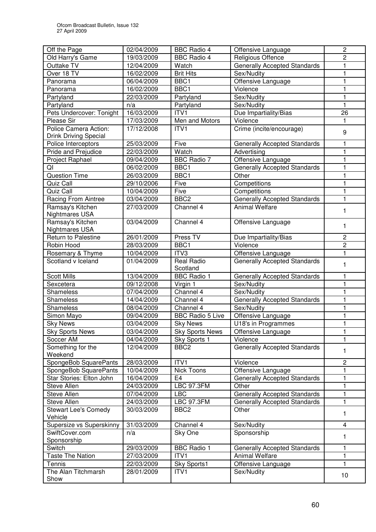| Old Harry's Game<br>Religious Offence<br>$\overline{c}$<br>19/03/2009<br><b>BBC Radio 4</b><br>Outtake TV<br><b>Generally Accepted Standards</b><br>12/04/2009<br>Watch<br>1<br>$\mathbf{1}$<br>Over 18 TV<br>16/02/2009<br><b>Brit Hits</b><br>Sex/Nudity<br>Offensive Language<br>BBC1<br>1<br>Panorama<br>06/04/2009<br>BBC1<br>Violence<br>16/02/2009<br>1<br>Panorama<br>$\mathbf{1}$<br>22/03/2009<br>Partyland<br>Sex/Nudity<br>Partyland<br>Partyland<br>Sex/Nudity<br>$\mathbf{1}$<br>Partyland<br>n/a<br>16/03/2009<br>Pets Undercover: Tonight<br>Due Impartiality/Bias<br>26<br>ITV1<br>Men and Motors<br>17/03/2009<br>Violence<br>Please Sir<br>Police Camera Action:<br>ITV1<br>Crime (incite/encourage)<br>17/12/2008<br>9<br><b>Drink Driving Special</b><br>25/03/2009<br>Five<br>Generally Accepted Standards<br>Police Interceptors<br>Pride and Prejudice<br>22/03/2009<br>Watch<br>1<br>Advertising<br>$\mathbf{1}$<br><b>BBC</b> Radio 7<br>Project Raphael<br>Offensive Language<br>09/04/2009<br>BBC1<br>QI<br><b>Generally Accepted Standards</b><br>1<br>06/02/2009<br><b>Question Time</b><br>26/03/2009<br>BBC1<br>Other<br>1<br>Five<br>Quiz Call<br>29/10/2006<br>Competitions<br>1<br>Competitions<br>Quiz Call<br>Five<br>10/04/2009<br>1<br>BBC <sub>2</sub><br>Racing From Aintree<br>03/04/2009<br><b>Generally Accepted Standards</b><br>1<br>Ramsay's Kitchen<br>Channel 4<br><b>Animal Welfare</b><br>27/03/2009<br>1<br>Nightmares USA<br>Ramsay's Kitchen<br>Channel 4<br>03/04/2009<br>Offensive Language<br>1<br>Nightmares USA<br>Press TV<br>$\mathbf 2$<br>Return to Palestine<br>26/01/2009<br>Due Impartiality/Bias<br>BBC1<br>Violence<br>$\overline{c}$<br>Robin Hood<br>28/03/2009<br>Rosemary & Thyme<br>10/04/2009<br>ITV3<br>Offensive Language<br>1<br>Scotland v Iceland<br><b>Real Radio</b><br>Generally Accepted Standards<br>01/04/2009<br>1<br>Scotland<br><b>Scott Mills</b><br>13/04/2009<br><b>BBC Radio 1</b><br>Generally Accepted Standards<br>1<br>$\mathbf{1}$<br>09/12/2008<br>Sex/Nudity<br>Sexcetera<br>Virgin 1<br>07/04/2009<br>Channel 4<br>Sex/Nudity<br>Shameless<br>1<br>1<br>14/04/2009<br>Channel 4<br><b>Generally Accepted Standards</b><br>Shameless<br>Shameless<br>08/04/2009<br>Channel 4<br>Sex/Nudity<br>1<br><b>BBC Radio 5 Live</b><br>Simon Mayo<br>09/04/2009<br>Offensive Language<br>1<br><b>Sky News</b><br>03/04/2009<br><b>Sky News</b><br>U18's in Programmes<br>1<br><b>Sky Sports News</b><br>03/04/2009<br><b>Sky Sports News</b><br>Offensive Language<br>ı<br>Soccer AM<br>04/04/2009<br>Violence<br>1<br>Sky Sports 1<br>Something for the<br>BBC <sub>2</sub><br><b>Generally Accepted Standards</b><br>12/04/2009<br>1<br>Weekend<br>ITV1<br>Violence<br>$\overline{c}$<br>SpongeBob SquarePants<br>28/03/2009<br>SpongeBob SquarePants<br>10/04/2009<br>Nick Toons<br>Offensive Language<br>1<br>Star Stories: Elton John<br>16/04/2009<br>E <sub>4</sub><br><b>Generally Accepted Standards</b><br>1<br><b>LBC 97.3FM</b><br>Other<br>1<br>Steve Allen<br>24/03/2009<br>LBC<br>1<br>Steve Allen<br>07/04/2009<br>Generally Accepted Standards<br>Steve Allen<br>24/03/2009<br><b>LBC 97.3FM</b><br>Generally Accepted Standards<br>1<br>BBC <sub>2</sub><br>Other<br><b>Stewart Lee's Comedy</b><br>30/03/2009<br>1<br>Vehicle<br>Supersize vs Superskinny<br>Channel 4<br>$\overline{\mathbf{4}}$<br>31/03/2009<br>Sex/Nudity<br>Sponsorship<br>SwiftCover.com<br>Sky One<br>n/a<br>1<br>Sponsorship<br>Switch<br>29/03/2009<br><b>BBC Radio 1</b><br>1<br><b>Generally Accepted Standards</b><br><b>Taste The Nation</b><br>ITV1<br>Animal Welfare<br>27/03/2009<br>1<br>1<br>Tennis<br>22/03/2009<br>Sky Sports1<br>Offensive Language<br>The Alan Titchmarsh<br>ITV1<br>28/01/2009<br>Sex/Nudity<br>10<br>Show | Off the Page | 02/04/2009 | <b>BBC Radio 4</b> | Offensive Language | $\overline{c}$ |
|--------------------------------------------------------------------------------------------------------------------------------------------------------------------------------------------------------------------------------------------------------------------------------------------------------------------------------------------------------------------------------------------------------------------------------------------------------------------------------------------------------------------------------------------------------------------------------------------------------------------------------------------------------------------------------------------------------------------------------------------------------------------------------------------------------------------------------------------------------------------------------------------------------------------------------------------------------------------------------------------------------------------------------------------------------------------------------------------------------------------------------------------------------------------------------------------------------------------------------------------------------------------------------------------------------------------------------------------------------------------------------------------------------------------------------------------------------------------------------------------------------------------------------------------------------------------------------------------------------------------------------------------------------------------------------------------------------------------------------------------------------------------------------------------------------------------------------------------------------------------------------------------------------------------------------------------------------------------------------------------------------------------------------------------------------------------------------------------------------------------------------------------------------------------------------------------------------------------------------------------------------------------------------------------------------------------------------------------------------------------------------------------------------------------------------------------------------------------------------------------------------------------------------------------------------------------------------------------------------------------------------------------------------------------------------------------------------------------------------------------------------------------------------------------------------------------------------------------------------------------------------------------------------------------------------------------------------------------------------------------------------------------------------------------------------------------------------------------------------------------------------------------------------------------------------------------------------------------------------------------------------------------------------------------------------------------------------------------------------------------------------------------------------------------------------------------------------------------------------------------------------------------------------------------------------------------------------------------------------------------------------------------------------------------------------------------------------------------------------------------------------------------------------------------------------------------------------|--------------|------------|--------------------|--------------------|----------------|
|                                                                                                                                                                                                                                                                                                                                                                                                                                                                                                                                                                                                                                                                                                                                                                                                                                                                                                                                                                                                                                                                                                                                                                                                                                                                                                                                                                                                                                                                                                                                                                                                                                                                                                                                                                                                                                                                                                                                                                                                                                                                                                                                                                                                                                                                                                                                                                                                                                                                                                                                                                                                                                                                                                                                                                                                                                                                                                                                                                                                                                                                                                                                                                                                                                                                                                                                                                                                                                                                                                                                                                                                                                                                                                                                                                                                                                |              |            |                    |                    |                |
|                                                                                                                                                                                                                                                                                                                                                                                                                                                                                                                                                                                                                                                                                                                                                                                                                                                                                                                                                                                                                                                                                                                                                                                                                                                                                                                                                                                                                                                                                                                                                                                                                                                                                                                                                                                                                                                                                                                                                                                                                                                                                                                                                                                                                                                                                                                                                                                                                                                                                                                                                                                                                                                                                                                                                                                                                                                                                                                                                                                                                                                                                                                                                                                                                                                                                                                                                                                                                                                                                                                                                                                                                                                                                                                                                                                                                                |              |            |                    |                    |                |
|                                                                                                                                                                                                                                                                                                                                                                                                                                                                                                                                                                                                                                                                                                                                                                                                                                                                                                                                                                                                                                                                                                                                                                                                                                                                                                                                                                                                                                                                                                                                                                                                                                                                                                                                                                                                                                                                                                                                                                                                                                                                                                                                                                                                                                                                                                                                                                                                                                                                                                                                                                                                                                                                                                                                                                                                                                                                                                                                                                                                                                                                                                                                                                                                                                                                                                                                                                                                                                                                                                                                                                                                                                                                                                                                                                                                                                |              |            |                    |                    |                |
|                                                                                                                                                                                                                                                                                                                                                                                                                                                                                                                                                                                                                                                                                                                                                                                                                                                                                                                                                                                                                                                                                                                                                                                                                                                                                                                                                                                                                                                                                                                                                                                                                                                                                                                                                                                                                                                                                                                                                                                                                                                                                                                                                                                                                                                                                                                                                                                                                                                                                                                                                                                                                                                                                                                                                                                                                                                                                                                                                                                                                                                                                                                                                                                                                                                                                                                                                                                                                                                                                                                                                                                                                                                                                                                                                                                                                                |              |            |                    |                    |                |
|                                                                                                                                                                                                                                                                                                                                                                                                                                                                                                                                                                                                                                                                                                                                                                                                                                                                                                                                                                                                                                                                                                                                                                                                                                                                                                                                                                                                                                                                                                                                                                                                                                                                                                                                                                                                                                                                                                                                                                                                                                                                                                                                                                                                                                                                                                                                                                                                                                                                                                                                                                                                                                                                                                                                                                                                                                                                                                                                                                                                                                                                                                                                                                                                                                                                                                                                                                                                                                                                                                                                                                                                                                                                                                                                                                                                                                |              |            |                    |                    |                |
|                                                                                                                                                                                                                                                                                                                                                                                                                                                                                                                                                                                                                                                                                                                                                                                                                                                                                                                                                                                                                                                                                                                                                                                                                                                                                                                                                                                                                                                                                                                                                                                                                                                                                                                                                                                                                                                                                                                                                                                                                                                                                                                                                                                                                                                                                                                                                                                                                                                                                                                                                                                                                                                                                                                                                                                                                                                                                                                                                                                                                                                                                                                                                                                                                                                                                                                                                                                                                                                                                                                                                                                                                                                                                                                                                                                                                                |              |            |                    |                    |                |
|                                                                                                                                                                                                                                                                                                                                                                                                                                                                                                                                                                                                                                                                                                                                                                                                                                                                                                                                                                                                                                                                                                                                                                                                                                                                                                                                                                                                                                                                                                                                                                                                                                                                                                                                                                                                                                                                                                                                                                                                                                                                                                                                                                                                                                                                                                                                                                                                                                                                                                                                                                                                                                                                                                                                                                                                                                                                                                                                                                                                                                                                                                                                                                                                                                                                                                                                                                                                                                                                                                                                                                                                                                                                                                                                                                                                                                |              |            |                    |                    |                |
|                                                                                                                                                                                                                                                                                                                                                                                                                                                                                                                                                                                                                                                                                                                                                                                                                                                                                                                                                                                                                                                                                                                                                                                                                                                                                                                                                                                                                                                                                                                                                                                                                                                                                                                                                                                                                                                                                                                                                                                                                                                                                                                                                                                                                                                                                                                                                                                                                                                                                                                                                                                                                                                                                                                                                                                                                                                                                                                                                                                                                                                                                                                                                                                                                                                                                                                                                                                                                                                                                                                                                                                                                                                                                                                                                                                                                                |              |            |                    |                    |                |
|                                                                                                                                                                                                                                                                                                                                                                                                                                                                                                                                                                                                                                                                                                                                                                                                                                                                                                                                                                                                                                                                                                                                                                                                                                                                                                                                                                                                                                                                                                                                                                                                                                                                                                                                                                                                                                                                                                                                                                                                                                                                                                                                                                                                                                                                                                                                                                                                                                                                                                                                                                                                                                                                                                                                                                                                                                                                                                                                                                                                                                                                                                                                                                                                                                                                                                                                                                                                                                                                                                                                                                                                                                                                                                                                                                                                                                |              |            |                    |                    |                |
|                                                                                                                                                                                                                                                                                                                                                                                                                                                                                                                                                                                                                                                                                                                                                                                                                                                                                                                                                                                                                                                                                                                                                                                                                                                                                                                                                                                                                                                                                                                                                                                                                                                                                                                                                                                                                                                                                                                                                                                                                                                                                                                                                                                                                                                                                                                                                                                                                                                                                                                                                                                                                                                                                                                                                                                                                                                                                                                                                                                                                                                                                                                                                                                                                                                                                                                                                                                                                                                                                                                                                                                                                                                                                                                                                                                                                                |              |            |                    |                    |                |
|                                                                                                                                                                                                                                                                                                                                                                                                                                                                                                                                                                                                                                                                                                                                                                                                                                                                                                                                                                                                                                                                                                                                                                                                                                                                                                                                                                                                                                                                                                                                                                                                                                                                                                                                                                                                                                                                                                                                                                                                                                                                                                                                                                                                                                                                                                                                                                                                                                                                                                                                                                                                                                                                                                                                                                                                                                                                                                                                                                                                                                                                                                                                                                                                                                                                                                                                                                                                                                                                                                                                                                                                                                                                                                                                                                                                                                |              |            |                    |                    |                |
|                                                                                                                                                                                                                                                                                                                                                                                                                                                                                                                                                                                                                                                                                                                                                                                                                                                                                                                                                                                                                                                                                                                                                                                                                                                                                                                                                                                                                                                                                                                                                                                                                                                                                                                                                                                                                                                                                                                                                                                                                                                                                                                                                                                                                                                                                                                                                                                                                                                                                                                                                                                                                                                                                                                                                                                                                                                                                                                                                                                                                                                                                                                                                                                                                                                                                                                                                                                                                                                                                                                                                                                                                                                                                                                                                                                                                                |              |            |                    |                    |                |
|                                                                                                                                                                                                                                                                                                                                                                                                                                                                                                                                                                                                                                                                                                                                                                                                                                                                                                                                                                                                                                                                                                                                                                                                                                                                                                                                                                                                                                                                                                                                                                                                                                                                                                                                                                                                                                                                                                                                                                                                                                                                                                                                                                                                                                                                                                                                                                                                                                                                                                                                                                                                                                                                                                                                                                                                                                                                                                                                                                                                                                                                                                                                                                                                                                                                                                                                                                                                                                                                                                                                                                                                                                                                                                                                                                                                                                |              |            |                    |                    |                |
|                                                                                                                                                                                                                                                                                                                                                                                                                                                                                                                                                                                                                                                                                                                                                                                                                                                                                                                                                                                                                                                                                                                                                                                                                                                                                                                                                                                                                                                                                                                                                                                                                                                                                                                                                                                                                                                                                                                                                                                                                                                                                                                                                                                                                                                                                                                                                                                                                                                                                                                                                                                                                                                                                                                                                                                                                                                                                                                                                                                                                                                                                                                                                                                                                                                                                                                                                                                                                                                                                                                                                                                                                                                                                                                                                                                                                                |              |            |                    |                    |                |
|                                                                                                                                                                                                                                                                                                                                                                                                                                                                                                                                                                                                                                                                                                                                                                                                                                                                                                                                                                                                                                                                                                                                                                                                                                                                                                                                                                                                                                                                                                                                                                                                                                                                                                                                                                                                                                                                                                                                                                                                                                                                                                                                                                                                                                                                                                                                                                                                                                                                                                                                                                                                                                                                                                                                                                                                                                                                                                                                                                                                                                                                                                                                                                                                                                                                                                                                                                                                                                                                                                                                                                                                                                                                                                                                                                                                                                |              |            |                    |                    |                |
|                                                                                                                                                                                                                                                                                                                                                                                                                                                                                                                                                                                                                                                                                                                                                                                                                                                                                                                                                                                                                                                                                                                                                                                                                                                                                                                                                                                                                                                                                                                                                                                                                                                                                                                                                                                                                                                                                                                                                                                                                                                                                                                                                                                                                                                                                                                                                                                                                                                                                                                                                                                                                                                                                                                                                                                                                                                                                                                                                                                                                                                                                                                                                                                                                                                                                                                                                                                                                                                                                                                                                                                                                                                                                                                                                                                                                                |              |            |                    |                    |                |
|                                                                                                                                                                                                                                                                                                                                                                                                                                                                                                                                                                                                                                                                                                                                                                                                                                                                                                                                                                                                                                                                                                                                                                                                                                                                                                                                                                                                                                                                                                                                                                                                                                                                                                                                                                                                                                                                                                                                                                                                                                                                                                                                                                                                                                                                                                                                                                                                                                                                                                                                                                                                                                                                                                                                                                                                                                                                                                                                                                                                                                                                                                                                                                                                                                                                                                                                                                                                                                                                                                                                                                                                                                                                                                                                                                                                                                |              |            |                    |                    |                |
|                                                                                                                                                                                                                                                                                                                                                                                                                                                                                                                                                                                                                                                                                                                                                                                                                                                                                                                                                                                                                                                                                                                                                                                                                                                                                                                                                                                                                                                                                                                                                                                                                                                                                                                                                                                                                                                                                                                                                                                                                                                                                                                                                                                                                                                                                                                                                                                                                                                                                                                                                                                                                                                                                                                                                                                                                                                                                                                                                                                                                                                                                                                                                                                                                                                                                                                                                                                                                                                                                                                                                                                                                                                                                                                                                                                                                                |              |            |                    |                    |                |
|                                                                                                                                                                                                                                                                                                                                                                                                                                                                                                                                                                                                                                                                                                                                                                                                                                                                                                                                                                                                                                                                                                                                                                                                                                                                                                                                                                                                                                                                                                                                                                                                                                                                                                                                                                                                                                                                                                                                                                                                                                                                                                                                                                                                                                                                                                                                                                                                                                                                                                                                                                                                                                                                                                                                                                                                                                                                                                                                                                                                                                                                                                                                                                                                                                                                                                                                                                                                                                                                                                                                                                                                                                                                                                                                                                                                                                |              |            |                    |                    |                |
|                                                                                                                                                                                                                                                                                                                                                                                                                                                                                                                                                                                                                                                                                                                                                                                                                                                                                                                                                                                                                                                                                                                                                                                                                                                                                                                                                                                                                                                                                                                                                                                                                                                                                                                                                                                                                                                                                                                                                                                                                                                                                                                                                                                                                                                                                                                                                                                                                                                                                                                                                                                                                                                                                                                                                                                                                                                                                                                                                                                                                                                                                                                                                                                                                                                                                                                                                                                                                                                                                                                                                                                                                                                                                                                                                                                                                                |              |            |                    |                    |                |
|                                                                                                                                                                                                                                                                                                                                                                                                                                                                                                                                                                                                                                                                                                                                                                                                                                                                                                                                                                                                                                                                                                                                                                                                                                                                                                                                                                                                                                                                                                                                                                                                                                                                                                                                                                                                                                                                                                                                                                                                                                                                                                                                                                                                                                                                                                                                                                                                                                                                                                                                                                                                                                                                                                                                                                                                                                                                                                                                                                                                                                                                                                                                                                                                                                                                                                                                                                                                                                                                                                                                                                                                                                                                                                                                                                                                                                |              |            |                    |                    |                |
|                                                                                                                                                                                                                                                                                                                                                                                                                                                                                                                                                                                                                                                                                                                                                                                                                                                                                                                                                                                                                                                                                                                                                                                                                                                                                                                                                                                                                                                                                                                                                                                                                                                                                                                                                                                                                                                                                                                                                                                                                                                                                                                                                                                                                                                                                                                                                                                                                                                                                                                                                                                                                                                                                                                                                                                                                                                                                                                                                                                                                                                                                                                                                                                                                                                                                                                                                                                                                                                                                                                                                                                                                                                                                                                                                                                                                                |              |            |                    |                    |                |
|                                                                                                                                                                                                                                                                                                                                                                                                                                                                                                                                                                                                                                                                                                                                                                                                                                                                                                                                                                                                                                                                                                                                                                                                                                                                                                                                                                                                                                                                                                                                                                                                                                                                                                                                                                                                                                                                                                                                                                                                                                                                                                                                                                                                                                                                                                                                                                                                                                                                                                                                                                                                                                                                                                                                                                                                                                                                                                                                                                                                                                                                                                                                                                                                                                                                                                                                                                                                                                                                                                                                                                                                                                                                                                                                                                                                                                |              |            |                    |                    |                |
|                                                                                                                                                                                                                                                                                                                                                                                                                                                                                                                                                                                                                                                                                                                                                                                                                                                                                                                                                                                                                                                                                                                                                                                                                                                                                                                                                                                                                                                                                                                                                                                                                                                                                                                                                                                                                                                                                                                                                                                                                                                                                                                                                                                                                                                                                                                                                                                                                                                                                                                                                                                                                                                                                                                                                                                                                                                                                                                                                                                                                                                                                                                                                                                                                                                                                                                                                                                                                                                                                                                                                                                                                                                                                                                                                                                                                                |              |            |                    |                    |                |
|                                                                                                                                                                                                                                                                                                                                                                                                                                                                                                                                                                                                                                                                                                                                                                                                                                                                                                                                                                                                                                                                                                                                                                                                                                                                                                                                                                                                                                                                                                                                                                                                                                                                                                                                                                                                                                                                                                                                                                                                                                                                                                                                                                                                                                                                                                                                                                                                                                                                                                                                                                                                                                                                                                                                                                                                                                                                                                                                                                                                                                                                                                                                                                                                                                                                                                                                                                                                                                                                                                                                                                                                                                                                                                                                                                                                                                |              |            |                    |                    |                |
|                                                                                                                                                                                                                                                                                                                                                                                                                                                                                                                                                                                                                                                                                                                                                                                                                                                                                                                                                                                                                                                                                                                                                                                                                                                                                                                                                                                                                                                                                                                                                                                                                                                                                                                                                                                                                                                                                                                                                                                                                                                                                                                                                                                                                                                                                                                                                                                                                                                                                                                                                                                                                                                                                                                                                                                                                                                                                                                                                                                                                                                                                                                                                                                                                                                                                                                                                                                                                                                                                                                                                                                                                                                                                                                                                                                                                                |              |            |                    |                    |                |
|                                                                                                                                                                                                                                                                                                                                                                                                                                                                                                                                                                                                                                                                                                                                                                                                                                                                                                                                                                                                                                                                                                                                                                                                                                                                                                                                                                                                                                                                                                                                                                                                                                                                                                                                                                                                                                                                                                                                                                                                                                                                                                                                                                                                                                                                                                                                                                                                                                                                                                                                                                                                                                                                                                                                                                                                                                                                                                                                                                                                                                                                                                                                                                                                                                                                                                                                                                                                                                                                                                                                                                                                                                                                                                                                                                                                                                |              |            |                    |                    |                |
|                                                                                                                                                                                                                                                                                                                                                                                                                                                                                                                                                                                                                                                                                                                                                                                                                                                                                                                                                                                                                                                                                                                                                                                                                                                                                                                                                                                                                                                                                                                                                                                                                                                                                                                                                                                                                                                                                                                                                                                                                                                                                                                                                                                                                                                                                                                                                                                                                                                                                                                                                                                                                                                                                                                                                                                                                                                                                                                                                                                                                                                                                                                                                                                                                                                                                                                                                                                                                                                                                                                                                                                                                                                                                                                                                                                                                                |              |            |                    |                    |                |
|                                                                                                                                                                                                                                                                                                                                                                                                                                                                                                                                                                                                                                                                                                                                                                                                                                                                                                                                                                                                                                                                                                                                                                                                                                                                                                                                                                                                                                                                                                                                                                                                                                                                                                                                                                                                                                                                                                                                                                                                                                                                                                                                                                                                                                                                                                                                                                                                                                                                                                                                                                                                                                                                                                                                                                                                                                                                                                                                                                                                                                                                                                                                                                                                                                                                                                                                                                                                                                                                                                                                                                                                                                                                                                                                                                                                                                |              |            |                    |                    |                |
|                                                                                                                                                                                                                                                                                                                                                                                                                                                                                                                                                                                                                                                                                                                                                                                                                                                                                                                                                                                                                                                                                                                                                                                                                                                                                                                                                                                                                                                                                                                                                                                                                                                                                                                                                                                                                                                                                                                                                                                                                                                                                                                                                                                                                                                                                                                                                                                                                                                                                                                                                                                                                                                                                                                                                                                                                                                                                                                                                                                                                                                                                                                                                                                                                                                                                                                                                                                                                                                                                                                                                                                                                                                                                                                                                                                                                                |              |            |                    |                    |                |
|                                                                                                                                                                                                                                                                                                                                                                                                                                                                                                                                                                                                                                                                                                                                                                                                                                                                                                                                                                                                                                                                                                                                                                                                                                                                                                                                                                                                                                                                                                                                                                                                                                                                                                                                                                                                                                                                                                                                                                                                                                                                                                                                                                                                                                                                                                                                                                                                                                                                                                                                                                                                                                                                                                                                                                                                                                                                                                                                                                                                                                                                                                                                                                                                                                                                                                                                                                                                                                                                                                                                                                                                                                                                                                                                                                                                                                |              |            |                    |                    |                |
|                                                                                                                                                                                                                                                                                                                                                                                                                                                                                                                                                                                                                                                                                                                                                                                                                                                                                                                                                                                                                                                                                                                                                                                                                                                                                                                                                                                                                                                                                                                                                                                                                                                                                                                                                                                                                                                                                                                                                                                                                                                                                                                                                                                                                                                                                                                                                                                                                                                                                                                                                                                                                                                                                                                                                                                                                                                                                                                                                                                                                                                                                                                                                                                                                                                                                                                                                                                                                                                                                                                                                                                                                                                                                                                                                                                                                                |              |            |                    |                    |                |
|                                                                                                                                                                                                                                                                                                                                                                                                                                                                                                                                                                                                                                                                                                                                                                                                                                                                                                                                                                                                                                                                                                                                                                                                                                                                                                                                                                                                                                                                                                                                                                                                                                                                                                                                                                                                                                                                                                                                                                                                                                                                                                                                                                                                                                                                                                                                                                                                                                                                                                                                                                                                                                                                                                                                                                                                                                                                                                                                                                                                                                                                                                                                                                                                                                                                                                                                                                                                                                                                                                                                                                                                                                                                                                                                                                                                                                |              |            |                    |                    |                |
|                                                                                                                                                                                                                                                                                                                                                                                                                                                                                                                                                                                                                                                                                                                                                                                                                                                                                                                                                                                                                                                                                                                                                                                                                                                                                                                                                                                                                                                                                                                                                                                                                                                                                                                                                                                                                                                                                                                                                                                                                                                                                                                                                                                                                                                                                                                                                                                                                                                                                                                                                                                                                                                                                                                                                                                                                                                                                                                                                                                                                                                                                                                                                                                                                                                                                                                                                                                                                                                                                                                                                                                                                                                                                                                                                                                                                                |              |            |                    |                    |                |
|                                                                                                                                                                                                                                                                                                                                                                                                                                                                                                                                                                                                                                                                                                                                                                                                                                                                                                                                                                                                                                                                                                                                                                                                                                                                                                                                                                                                                                                                                                                                                                                                                                                                                                                                                                                                                                                                                                                                                                                                                                                                                                                                                                                                                                                                                                                                                                                                                                                                                                                                                                                                                                                                                                                                                                                                                                                                                                                                                                                                                                                                                                                                                                                                                                                                                                                                                                                                                                                                                                                                                                                                                                                                                                                                                                                                                                |              |            |                    |                    |                |
|                                                                                                                                                                                                                                                                                                                                                                                                                                                                                                                                                                                                                                                                                                                                                                                                                                                                                                                                                                                                                                                                                                                                                                                                                                                                                                                                                                                                                                                                                                                                                                                                                                                                                                                                                                                                                                                                                                                                                                                                                                                                                                                                                                                                                                                                                                                                                                                                                                                                                                                                                                                                                                                                                                                                                                                                                                                                                                                                                                                                                                                                                                                                                                                                                                                                                                                                                                                                                                                                                                                                                                                                                                                                                                                                                                                                                                |              |            |                    |                    |                |
|                                                                                                                                                                                                                                                                                                                                                                                                                                                                                                                                                                                                                                                                                                                                                                                                                                                                                                                                                                                                                                                                                                                                                                                                                                                                                                                                                                                                                                                                                                                                                                                                                                                                                                                                                                                                                                                                                                                                                                                                                                                                                                                                                                                                                                                                                                                                                                                                                                                                                                                                                                                                                                                                                                                                                                                                                                                                                                                                                                                                                                                                                                                                                                                                                                                                                                                                                                                                                                                                                                                                                                                                                                                                                                                                                                                                                                |              |            |                    |                    |                |
|                                                                                                                                                                                                                                                                                                                                                                                                                                                                                                                                                                                                                                                                                                                                                                                                                                                                                                                                                                                                                                                                                                                                                                                                                                                                                                                                                                                                                                                                                                                                                                                                                                                                                                                                                                                                                                                                                                                                                                                                                                                                                                                                                                                                                                                                                                                                                                                                                                                                                                                                                                                                                                                                                                                                                                                                                                                                                                                                                                                                                                                                                                                                                                                                                                                                                                                                                                                                                                                                                                                                                                                                                                                                                                                                                                                                                                |              |            |                    |                    |                |
|                                                                                                                                                                                                                                                                                                                                                                                                                                                                                                                                                                                                                                                                                                                                                                                                                                                                                                                                                                                                                                                                                                                                                                                                                                                                                                                                                                                                                                                                                                                                                                                                                                                                                                                                                                                                                                                                                                                                                                                                                                                                                                                                                                                                                                                                                                                                                                                                                                                                                                                                                                                                                                                                                                                                                                                                                                                                                                                                                                                                                                                                                                                                                                                                                                                                                                                                                                                                                                                                                                                                                                                                                                                                                                                                                                                                                                |              |            |                    |                    |                |
|                                                                                                                                                                                                                                                                                                                                                                                                                                                                                                                                                                                                                                                                                                                                                                                                                                                                                                                                                                                                                                                                                                                                                                                                                                                                                                                                                                                                                                                                                                                                                                                                                                                                                                                                                                                                                                                                                                                                                                                                                                                                                                                                                                                                                                                                                                                                                                                                                                                                                                                                                                                                                                                                                                                                                                                                                                                                                                                                                                                                                                                                                                                                                                                                                                                                                                                                                                                                                                                                                                                                                                                                                                                                                                                                                                                                                                |              |            |                    |                    |                |
|                                                                                                                                                                                                                                                                                                                                                                                                                                                                                                                                                                                                                                                                                                                                                                                                                                                                                                                                                                                                                                                                                                                                                                                                                                                                                                                                                                                                                                                                                                                                                                                                                                                                                                                                                                                                                                                                                                                                                                                                                                                                                                                                                                                                                                                                                                                                                                                                                                                                                                                                                                                                                                                                                                                                                                                                                                                                                                                                                                                                                                                                                                                                                                                                                                                                                                                                                                                                                                                                                                                                                                                                                                                                                                                                                                                                                                |              |            |                    |                    |                |
|                                                                                                                                                                                                                                                                                                                                                                                                                                                                                                                                                                                                                                                                                                                                                                                                                                                                                                                                                                                                                                                                                                                                                                                                                                                                                                                                                                                                                                                                                                                                                                                                                                                                                                                                                                                                                                                                                                                                                                                                                                                                                                                                                                                                                                                                                                                                                                                                                                                                                                                                                                                                                                                                                                                                                                                                                                                                                                                                                                                                                                                                                                                                                                                                                                                                                                                                                                                                                                                                                                                                                                                                                                                                                                                                                                                                                                |              |            |                    |                    |                |
|                                                                                                                                                                                                                                                                                                                                                                                                                                                                                                                                                                                                                                                                                                                                                                                                                                                                                                                                                                                                                                                                                                                                                                                                                                                                                                                                                                                                                                                                                                                                                                                                                                                                                                                                                                                                                                                                                                                                                                                                                                                                                                                                                                                                                                                                                                                                                                                                                                                                                                                                                                                                                                                                                                                                                                                                                                                                                                                                                                                                                                                                                                                                                                                                                                                                                                                                                                                                                                                                                                                                                                                                                                                                                                                                                                                                                                |              |            |                    |                    |                |
|                                                                                                                                                                                                                                                                                                                                                                                                                                                                                                                                                                                                                                                                                                                                                                                                                                                                                                                                                                                                                                                                                                                                                                                                                                                                                                                                                                                                                                                                                                                                                                                                                                                                                                                                                                                                                                                                                                                                                                                                                                                                                                                                                                                                                                                                                                                                                                                                                                                                                                                                                                                                                                                                                                                                                                                                                                                                                                                                                                                                                                                                                                                                                                                                                                                                                                                                                                                                                                                                                                                                                                                                                                                                                                                                                                                                                                |              |            |                    |                    |                |
|                                                                                                                                                                                                                                                                                                                                                                                                                                                                                                                                                                                                                                                                                                                                                                                                                                                                                                                                                                                                                                                                                                                                                                                                                                                                                                                                                                                                                                                                                                                                                                                                                                                                                                                                                                                                                                                                                                                                                                                                                                                                                                                                                                                                                                                                                                                                                                                                                                                                                                                                                                                                                                                                                                                                                                                                                                                                                                                                                                                                                                                                                                                                                                                                                                                                                                                                                                                                                                                                                                                                                                                                                                                                                                                                                                                                                                |              |            |                    |                    |                |
|                                                                                                                                                                                                                                                                                                                                                                                                                                                                                                                                                                                                                                                                                                                                                                                                                                                                                                                                                                                                                                                                                                                                                                                                                                                                                                                                                                                                                                                                                                                                                                                                                                                                                                                                                                                                                                                                                                                                                                                                                                                                                                                                                                                                                                                                                                                                                                                                                                                                                                                                                                                                                                                                                                                                                                                                                                                                                                                                                                                                                                                                                                                                                                                                                                                                                                                                                                                                                                                                                                                                                                                                                                                                                                                                                                                                                                |              |            |                    |                    |                |
|                                                                                                                                                                                                                                                                                                                                                                                                                                                                                                                                                                                                                                                                                                                                                                                                                                                                                                                                                                                                                                                                                                                                                                                                                                                                                                                                                                                                                                                                                                                                                                                                                                                                                                                                                                                                                                                                                                                                                                                                                                                                                                                                                                                                                                                                                                                                                                                                                                                                                                                                                                                                                                                                                                                                                                                                                                                                                                                                                                                                                                                                                                                                                                                                                                                                                                                                                                                                                                                                                                                                                                                                                                                                                                                                                                                                                                |              |            |                    |                    |                |
|                                                                                                                                                                                                                                                                                                                                                                                                                                                                                                                                                                                                                                                                                                                                                                                                                                                                                                                                                                                                                                                                                                                                                                                                                                                                                                                                                                                                                                                                                                                                                                                                                                                                                                                                                                                                                                                                                                                                                                                                                                                                                                                                                                                                                                                                                                                                                                                                                                                                                                                                                                                                                                                                                                                                                                                                                                                                                                                                                                                                                                                                                                                                                                                                                                                                                                                                                                                                                                                                                                                                                                                                                                                                                                                                                                                                                                |              |            |                    |                    |                |
|                                                                                                                                                                                                                                                                                                                                                                                                                                                                                                                                                                                                                                                                                                                                                                                                                                                                                                                                                                                                                                                                                                                                                                                                                                                                                                                                                                                                                                                                                                                                                                                                                                                                                                                                                                                                                                                                                                                                                                                                                                                                                                                                                                                                                                                                                                                                                                                                                                                                                                                                                                                                                                                                                                                                                                                                                                                                                                                                                                                                                                                                                                                                                                                                                                                                                                                                                                                                                                                                                                                                                                                                                                                                                                                                                                                                                                |              |            |                    |                    |                |
|                                                                                                                                                                                                                                                                                                                                                                                                                                                                                                                                                                                                                                                                                                                                                                                                                                                                                                                                                                                                                                                                                                                                                                                                                                                                                                                                                                                                                                                                                                                                                                                                                                                                                                                                                                                                                                                                                                                                                                                                                                                                                                                                                                                                                                                                                                                                                                                                                                                                                                                                                                                                                                                                                                                                                                                                                                                                                                                                                                                                                                                                                                                                                                                                                                                                                                                                                                                                                                                                                                                                                                                                                                                                                                                                                                                                                                |              |            |                    |                    |                |
|                                                                                                                                                                                                                                                                                                                                                                                                                                                                                                                                                                                                                                                                                                                                                                                                                                                                                                                                                                                                                                                                                                                                                                                                                                                                                                                                                                                                                                                                                                                                                                                                                                                                                                                                                                                                                                                                                                                                                                                                                                                                                                                                                                                                                                                                                                                                                                                                                                                                                                                                                                                                                                                                                                                                                                                                                                                                                                                                                                                                                                                                                                                                                                                                                                                                                                                                                                                                                                                                                                                                                                                                                                                                                                                                                                                                                                |              |            |                    |                    |                |
|                                                                                                                                                                                                                                                                                                                                                                                                                                                                                                                                                                                                                                                                                                                                                                                                                                                                                                                                                                                                                                                                                                                                                                                                                                                                                                                                                                                                                                                                                                                                                                                                                                                                                                                                                                                                                                                                                                                                                                                                                                                                                                                                                                                                                                                                                                                                                                                                                                                                                                                                                                                                                                                                                                                                                                                                                                                                                                                                                                                                                                                                                                                                                                                                                                                                                                                                                                                                                                                                                                                                                                                                                                                                                                                                                                                                                                |              |            |                    |                    |                |
|                                                                                                                                                                                                                                                                                                                                                                                                                                                                                                                                                                                                                                                                                                                                                                                                                                                                                                                                                                                                                                                                                                                                                                                                                                                                                                                                                                                                                                                                                                                                                                                                                                                                                                                                                                                                                                                                                                                                                                                                                                                                                                                                                                                                                                                                                                                                                                                                                                                                                                                                                                                                                                                                                                                                                                                                                                                                                                                                                                                                                                                                                                                                                                                                                                                                                                                                                                                                                                                                                                                                                                                                                                                                                                                                                                                                                                |              |            |                    |                    |                |
|                                                                                                                                                                                                                                                                                                                                                                                                                                                                                                                                                                                                                                                                                                                                                                                                                                                                                                                                                                                                                                                                                                                                                                                                                                                                                                                                                                                                                                                                                                                                                                                                                                                                                                                                                                                                                                                                                                                                                                                                                                                                                                                                                                                                                                                                                                                                                                                                                                                                                                                                                                                                                                                                                                                                                                                                                                                                                                                                                                                                                                                                                                                                                                                                                                                                                                                                                                                                                                                                                                                                                                                                                                                                                                                                                                                                                                |              |            |                    |                    |                |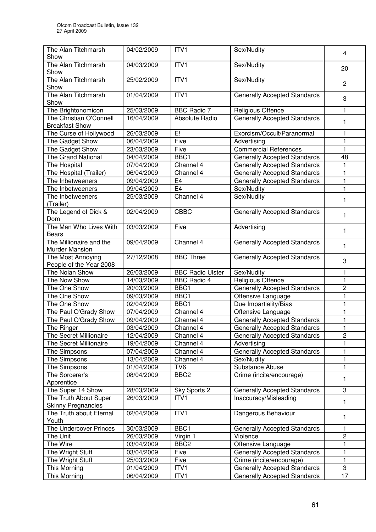| The Alan Titchmarsh                              | 04/02/2009 | ITV1                    | Sex/Nudity                          | 4              |
|--------------------------------------------------|------------|-------------------------|-------------------------------------|----------------|
| Show                                             |            |                         |                                     |                |
| The Alan Titchmarsh                              | 04/03/2009 | ITV1                    | Sex/Nudity                          | 20             |
| Show                                             |            |                         |                                     |                |
| The Alan Titchmarsh<br>Show                      | 25/02/2009 | ITV1                    | Sex/Nudity                          | $\overline{2}$ |
| The Alan Titchmarsh                              | 01/04/2009 | ITV1                    | <b>Generally Accepted Standards</b> |                |
| Show                                             |            |                         |                                     | 3              |
| The Brightonomicon                               | 25/03/2009 | <b>BBC Radio 7</b>      | Religious Offence                   | 1              |
| The Christian O'Connell                          | 16/04/2009 | Absolute Radio          | <b>Generally Accepted Standards</b> |                |
| <b>Breakfast Show</b>                            |            |                         |                                     | 1              |
| The Curse of Hollywood                           | 26/03/2009 | E!                      | Exorcism/Occult/Paranormal          | 1              |
| The Gadget Show                                  | 06/04/2009 | Five                    | Advertising                         | 1              |
| The Gadget Show                                  | 23/03/2009 | Five                    | <b>Commercial References</b>        | $\mathbf{1}$   |
| <b>The Grand National</b>                        | 04/04/2009 | BBC1                    | Generally Accepted Standards        | 48             |
| The Hospital                                     | 07/04/2009 | Channel 4               | <b>Generally Accepted Standards</b> | 1              |
| The Hospital (Trailer)                           | 06/04/2009 | Channel 4               | <b>Generally Accepted Standards</b> | 1              |
| The Inbetweeners                                 | 09/04/2009 | E <sub>4</sub>          | <b>Generally Accepted Standards</b> | 1              |
| The Inbetweeners                                 | 09/04/2009 | E4                      | Sex/Nudity                          | 1              |
| The Inbetweeners<br>(Trailer)                    | 25/03/2009 | Channel 4               | Sex/Nudity                          | 1              |
| The Legend of Dick &                             | 02/04/2009 | <b>CBBC</b>             | <b>Generally Accepted Standards</b> | 1              |
| Dom<br>The Man Who Lives With                    | 03/03/2009 | Five                    | Advertising                         |                |
| <b>Bears</b>                                     |            |                         |                                     | 1              |
| The Millionaire and the<br><b>Murder Mansion</b> | 09/04/2009 | Channel 4               | <b>Generally Accepted Standards</b> | 1              |
| The Most Annoying                                | 27/12/2008 | <b>BBC Three</b>        | <b>Generally Accepted Standards</b> | 3              |
| People of the Year 2008                          |            |                         |                                     |                |
| The Nolan Show                                   | 26/03/2009 | <b>BBC Radio Ulster</b> | Sex/Nudity                          | 1              |
| The Now Show                                     | 14/03/2009 | <b>BBC Radio 4</b>      | Religious Offence                   | 1              |
| The One Show                                     | 20/03/2009 | BBC1                    | <b>Generally Accepted Standards</b> | $\overline{2}$ |
| The One Show                                     | 09/03/2009 | BBC1                    | Offensive Language                  | 1              |
| The One Show                                     | 02/04/2009 | BBC1                    | Due Impartiality/Bias               | 1              |
| The Paul O'Grady Show                            | 07/04/2009 | Channel 4               | Offensive Language                  | $\mathbf{1}$   |
| The Paul O'Grady Show                            | 09/04/2009 | Channel 4               | <b>Generally Accepted Standards</b> | 1              |
| The Ringer                                       | 03/04/2009 | Channel 4               | Generally Accepted Standards        | 1              |
| The Secret Millionaire                           | 12/04/2009 | Channel 4               | <b>Generally Accepted Standards</b> | $\overline{2}$ |
| The Secret Millionaire                           | 19/04/2009 | Channel 4               | Advertising                         | 1              |
| The Simpsons                                     | 07/04/2009 | Channel 4               | <b>Generally Accepted Standards</b> | 1              |
| The Simpsons                                     | 13/04/2009 | Channel 4               | Sex/Nudity                          | 1              |
| The Simpsons                                     | 01/04/2009 | TV <sub>6</sub>         | Substance Abuse                     | $\mathbf{1}$   |
| The Sorcerer's                                   | 08/04/2009 | BBC <sub>2</sub>        | Crime (incite/encourage)            | 1              |
| Apprentice                                       |            |                         |                                     |                |
| The Super 14 Show                                | 28/03/2009 | Sky Sports 2            | Generally Accepted Standards        | 3              |
| The Truth About Super                            | 26/03/2009 | ITV1                    | Inaccuracy/Misleading               | 1              |
| <b>Skinny Pregnancies</b>                        |            |                         |                                     |                |
| The Truth about Eternal                          | 02/04/2009 | ITV1                    | Dangerous Behaviour                 | 1              |
| Youth                                            |            |                         |                                     |                |
| The Undercover Princes                           | 30/03/2009 | BBC1                    | <b>Generally Accepted Standards</b> |                |
| The Unit                                         | 26/03/2009 | Virgin 1                | Violence                            | $\overline{c}$ |
| The Wire                                         | 03/04/2009 | BBC <sub>2</sub>        | Offensive Language                  | 1              |
| The Wright Stuff                                 | 03/04/2009 | Five                    | <b>Generally Accepted Standards</b> | 1              |
| The Wright Stuff                                 | 25/03/2009 | Five                    | Crime (incite/encourage)            | 1              |
| This Morning                                     | 01/04/2009 | ITV1                    | <b>Generally Accepted Standards</b> | 3              |
| This Morning                                     | 06/04/2009 | ITV1                    | <b>Generally Accepted Standards</b> | 17             |